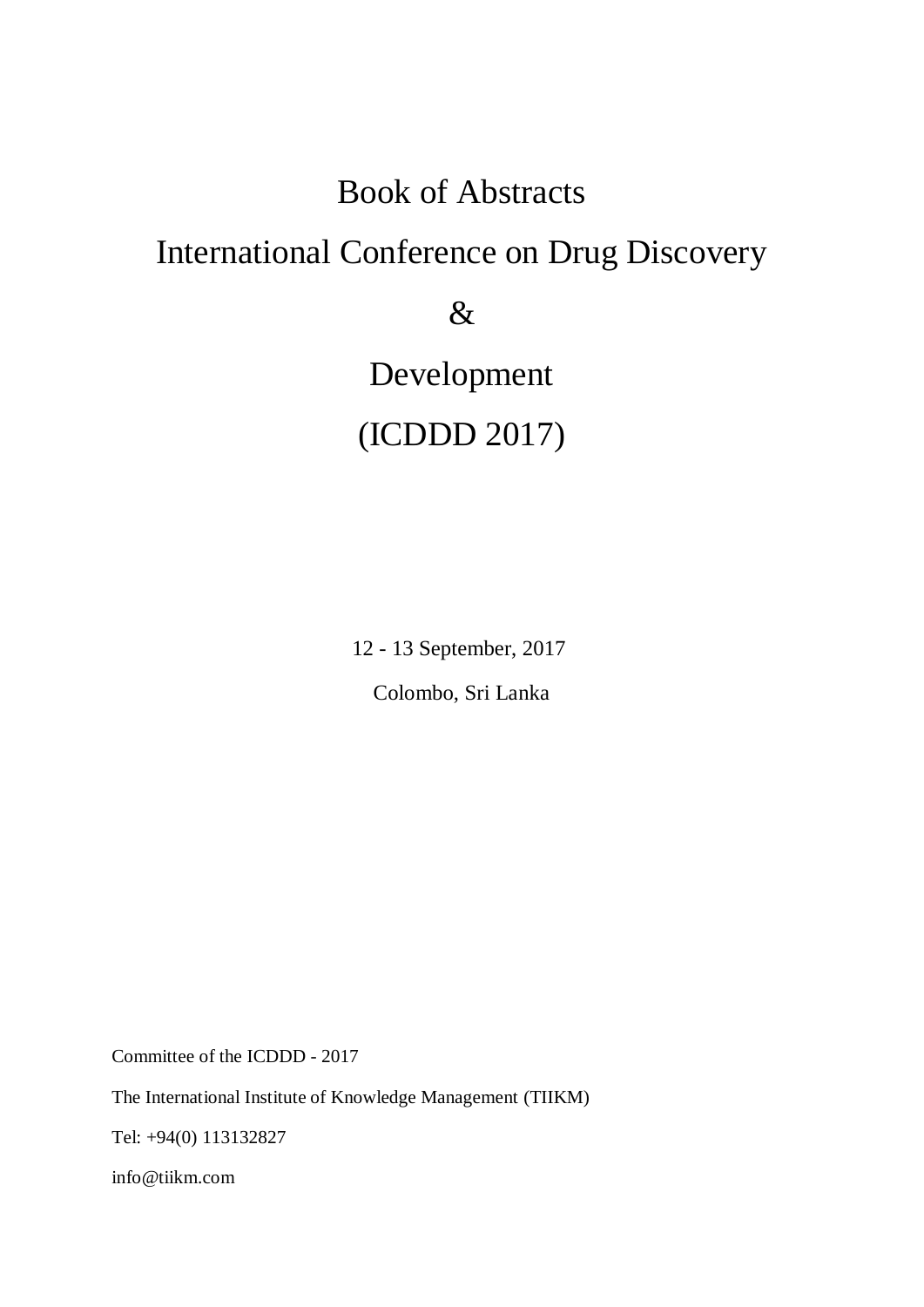# Book of Abstracts

# International Conference on Drug Discovery

&

Development

# (ICDDD 2017)

12 - 13 September, 2017

Colombo, Sri Lanka

Committee of the ICDDD - 2017

The International Institute of Knowledge Management (TIIKM)

Tel: +94(0) 113132827

info@tiikm.com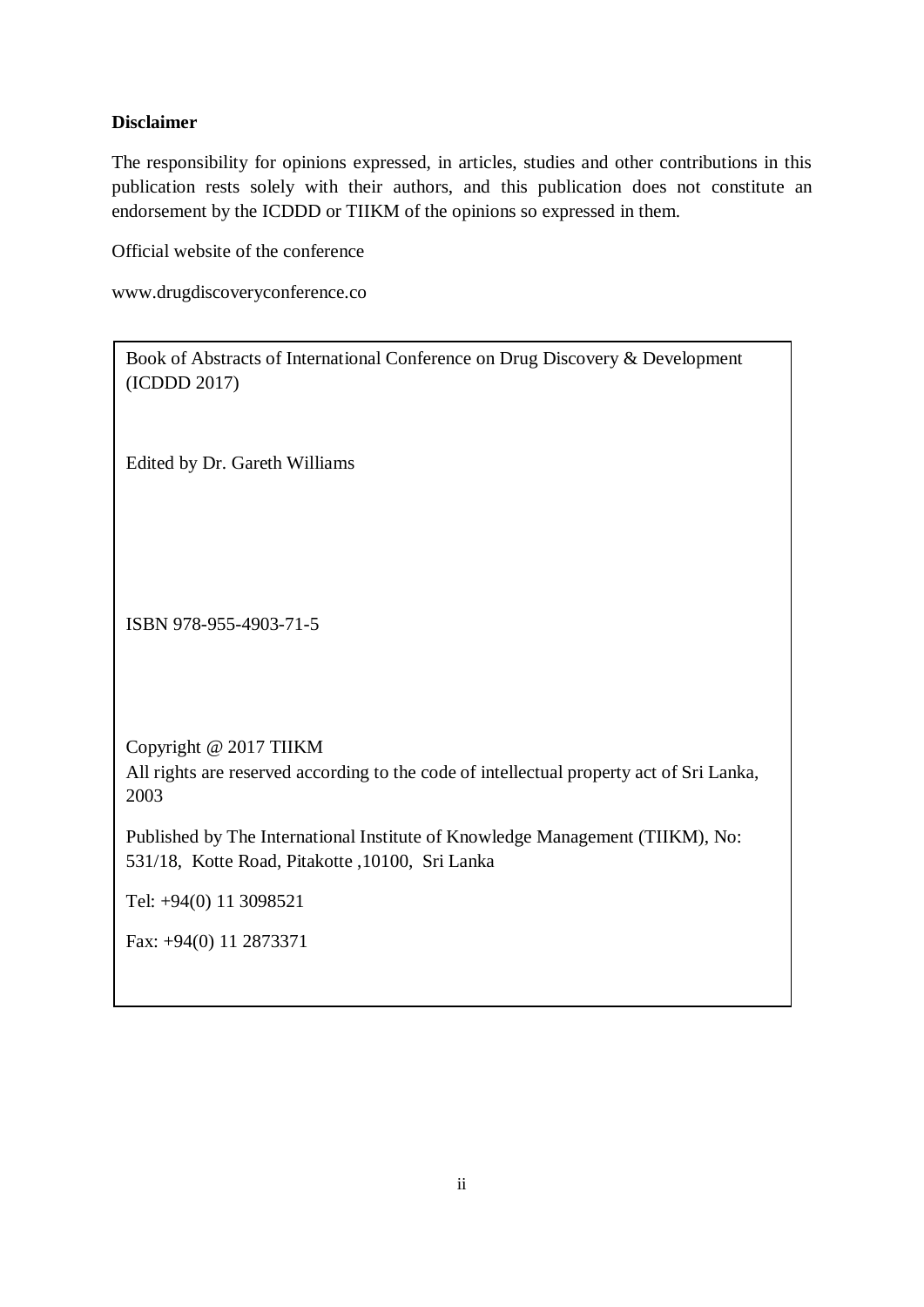# **Disclaimer**

The responsibility for opinions expressed, in articles, studies and other contributions in this publication rests solely with their authors, and this publication does not constitute an endorsement by the ICDDD or TIIKM of the opinions so expressed in them.

Official website of the conference

www.drugdiscoveryconference.co

Book of Abstracts of International Conference on Drug Discovery & Development (ICDDD 2017)

Edited by Dr. Gareth Williams

ISBN 978-955-4903-71-5

Copyright @ 2017 TIIKM

All rights are reserved according to the code of intellectual property act of Sri Lanka, 2003

Published by The International Institute of Knowledge Management (TIIKM), No: 531/18, Kotte Road, Pitakotte ,10100, Sri Lanka

Tel: +94(0) 11 3098521

Fax: +94(0) 11 2873371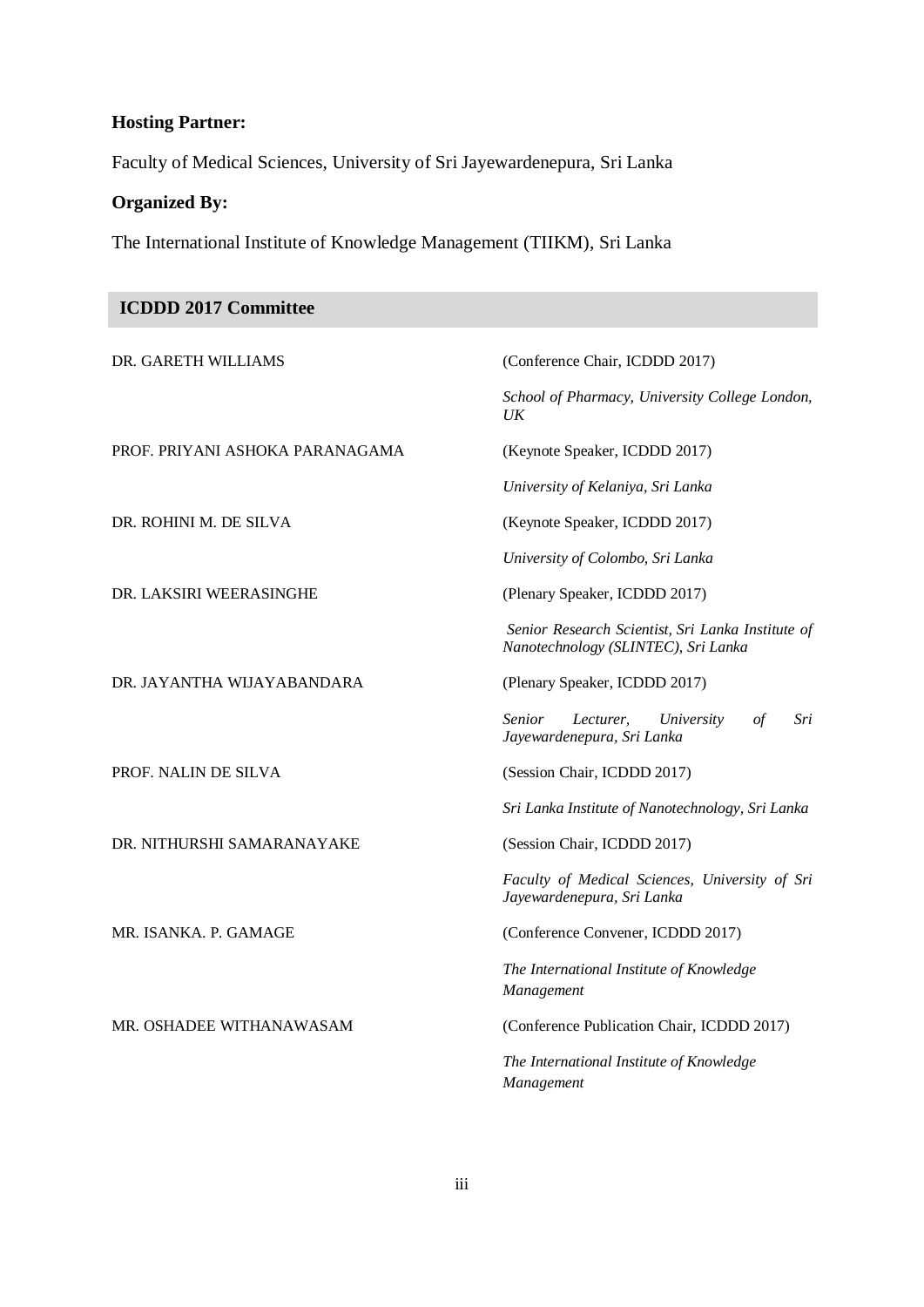# **Hosting Partner:**

Faculty of Medical Sciences, University of Sri Jayewardenepura, Sri Lanka

# **Organized By:**

The International Institute of Knowledge Management (TIIKM), Sri Lanka

| <b>ICDDD 2017 Committee</b>     |                                                                                          |
|---------------------------------|------------------------------------------------------------------------------------------|
| DR. GARETH WILLIAMS             | (Conference Chair, ICDDD 2017)                                                           |
|                                 | School of Pharmacy, University College London,<br>$U\!K$                                 |
| PROF. PRIYANI ASHOKA PARANAGAMA | (Keynote Speaker, ICDDD 2017)                                                            |
|                                 | University of Kelaniya, Sri Lanka                                                        |
| DR. ROHINI M. DE SILVA          | (Keynote Speaker, ICDDD 2017)                                                            |
|                                 | University of Colombo, Sri Lanka                                                         |
| DR. LAKSIRI WEERASINGHE         | (Plenary Speaker, ICDDD 2017)                                                            |
|                                 | Senior Research Scientist, Sri Lanka Institute of<br>Nanotechnology (SLINTEC), Sri Lanka |
| DR. JAYANTHA WIJAYABANDARA      | (Plenary Speaker, ICDDD 2017)                                                            |
|                                 | <i>Senior</i><br>Lecturer,<br>University<br>$\int$<br>Sri<br>Jayewardenepura, Sri Lanka  |
| PROF. NALIN DE SILVA            | (Session Chair, ICDDD 2017)                                                              |
|                                 | Sri Lanka Institute of Nanotechnology, Sri Lanka                                         |
| DR. NITHURSHI SAMARANAYAKE      | (Session Chair, ICDDD 2017)                                                              |
|                                 | Faculty of Medical Sciences, University of Sri<br>Jayewardenepura, Sri Lanka             |
| MR. ISANKA. P. GAMAGE           | (Conference Convener, ICDDD 2017)                                                        |
|                                 | The International Institute of Knowledge<br>Management                                   |
| MR. OSHADEE WITHANAWASAM        | (Conference Publication Chair, ICDDD 2017)                                               |
|                                 | The International Institute of Knowledge<br>Management                                   |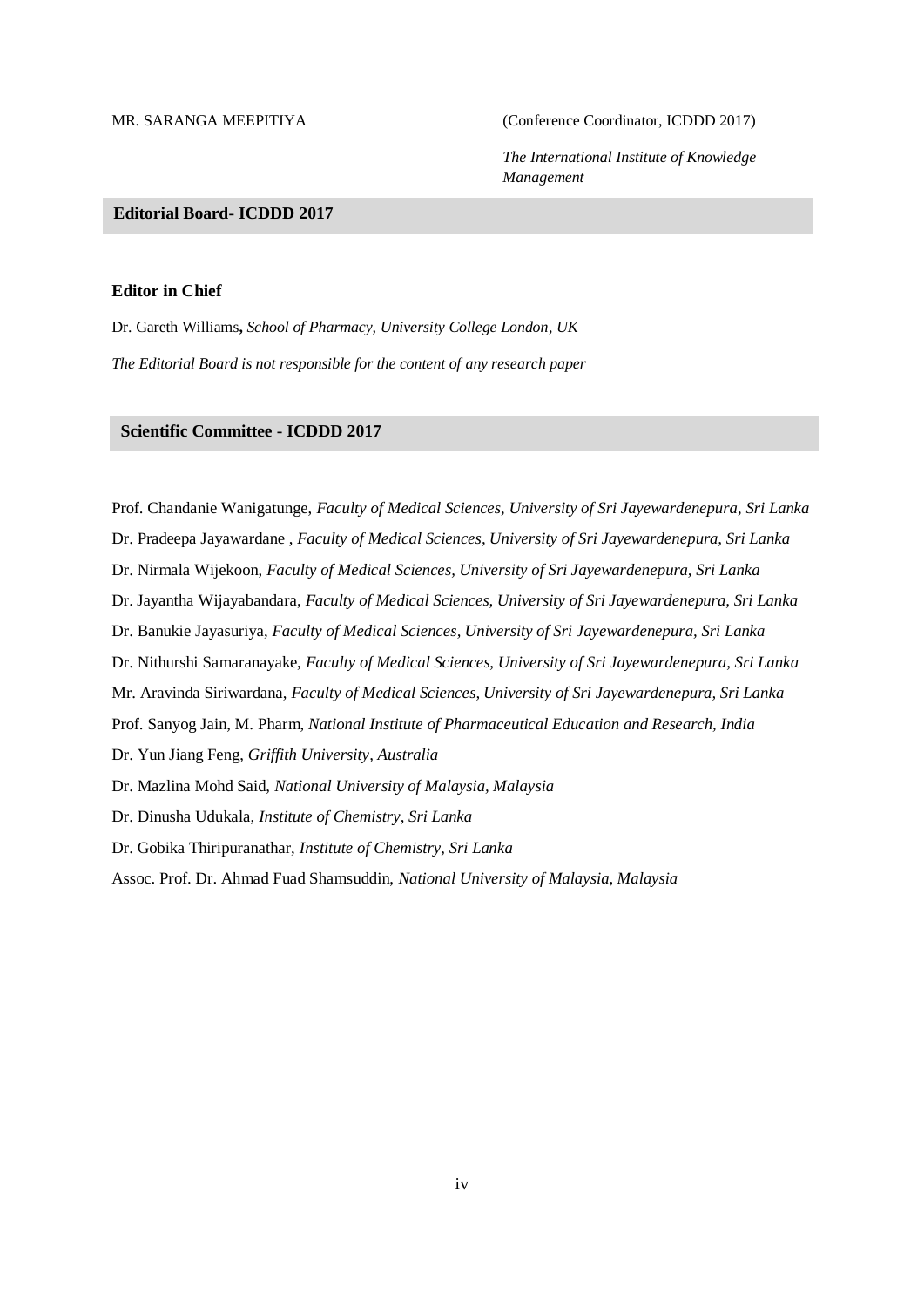MR. SARANGA MEEPITIYA (Conference Coordinator, ICDDD 2017)

*The International Institute of Knowledge Management*

### **Editorial Board-ICOM 2013 Editorial Board- ICDDD 2017**

### **Editor in Chief**

Dr. Gareth Williams**,** *School of Pharmacy, University College London, UK The Editorial Board is not responsible for the content of any research paper*

# **Prof. Oxientific Committee - ICDDD 2017 And Management, Ambrose Alli <b>***Committee -* **ICDDD 2017**

Prof. Chandanie Wanigatunge, *Faculty of Medical Sciences, University of Sri Jayewardenepura, Sri Lanka* Dr. Pradeepa Jayawardane , *Faculty of Medical Sciences, University of Sri Jayewardenepura, Sri Lanka* Dr. Nirmala Wijekoon, *Faculty of Medical Sciences, University of Sri Jayewardenepura, Sri Lanka* Dr. Jayantha Wijayabandara, *Faculty of Medical Sciences, University of Sri Jayewardenepura, Sri Lanka* Dr. Banukie Jayasuriya, *Faculty of Medical Sciences, University of Sri Jayewardenepura, Sri Lanka* Dr. Nithurshi Samaranayake, *Faculty of Medical Sciences, University of Sri Jayewardenepura, Sri Lanka* Mr. Aravinda Siriwardana, *Faculty of Medical Sciences, University of Sri Jayewardenepura, Sri Lanka* Prof. Sanyog Jain, M. Pharm, *National Institute of Pharmaceutical Education and Research, India* Dr. Yun Jiang Feng, *Griffith University, Australia* Dr. Mazlina Mohd Said, *National University of Malaysia, Malaysia* Dr. Dinusha Udukala, *Institute of Chemistry, Sri Lanka* Dr. Gobika Thiripuranathar, *Institute of Chemistry, Sri Lanka* Assoc. Prof. Dr. Ahmad Fuad Shamsuddin, *National University of Malaysia, Malaysia*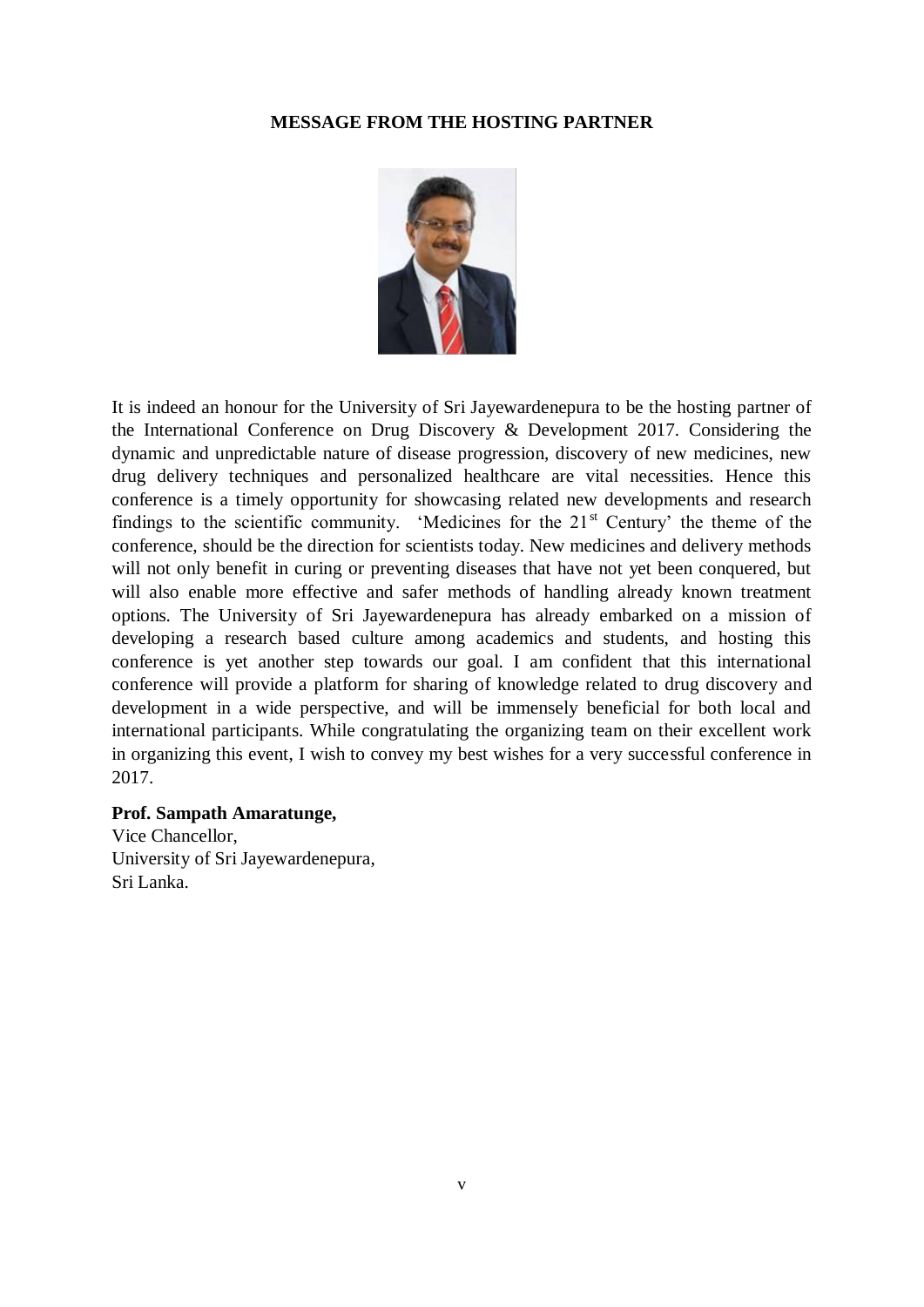### **MESSAGE FROM THE HOSTING PARTNER**



It is indeed an honour for the University of Sri Jayewardenepura to be the hosting partner of the International Conference on Drug Discovery & Development 2017. Considering the dynamic and unpredictable nature of disease progression, discovery of new medicines, new drug delivery techniques and personalized healthcare are vital necessities. Hence this conference is a timely opportunity for showcasing related new developments and research findings to the scientific community. 'Medicines for the  $21<sup>st</sup>$  Century' the theme of the conference, should be the direction for scientists today. New medicines and delivery methods will not only benefit in curing or preventing diseases that have not yet been conquered, but will also enable more effective and safer methods of handling already known treatment options. The University of Sri Jayewardenepura has already embarked on a mission of developing a research based culture among academics and students, and hosting this conference is yet another step towards our goal. I am confident that this international conference will provide a platform for sharing of knowledge related to drug discovery and development in a wide perspective, and will be immensely beneficial for both local and international participants. While congratulating the organizing team on their excellent work in organizing this event, I wish to convey my best wishes for a very successful conference in 2017.

# **Prof. Sampath Amaratunge,**

Vice Chancellor, University of Sri Jayewardenepura, Sri Lanka.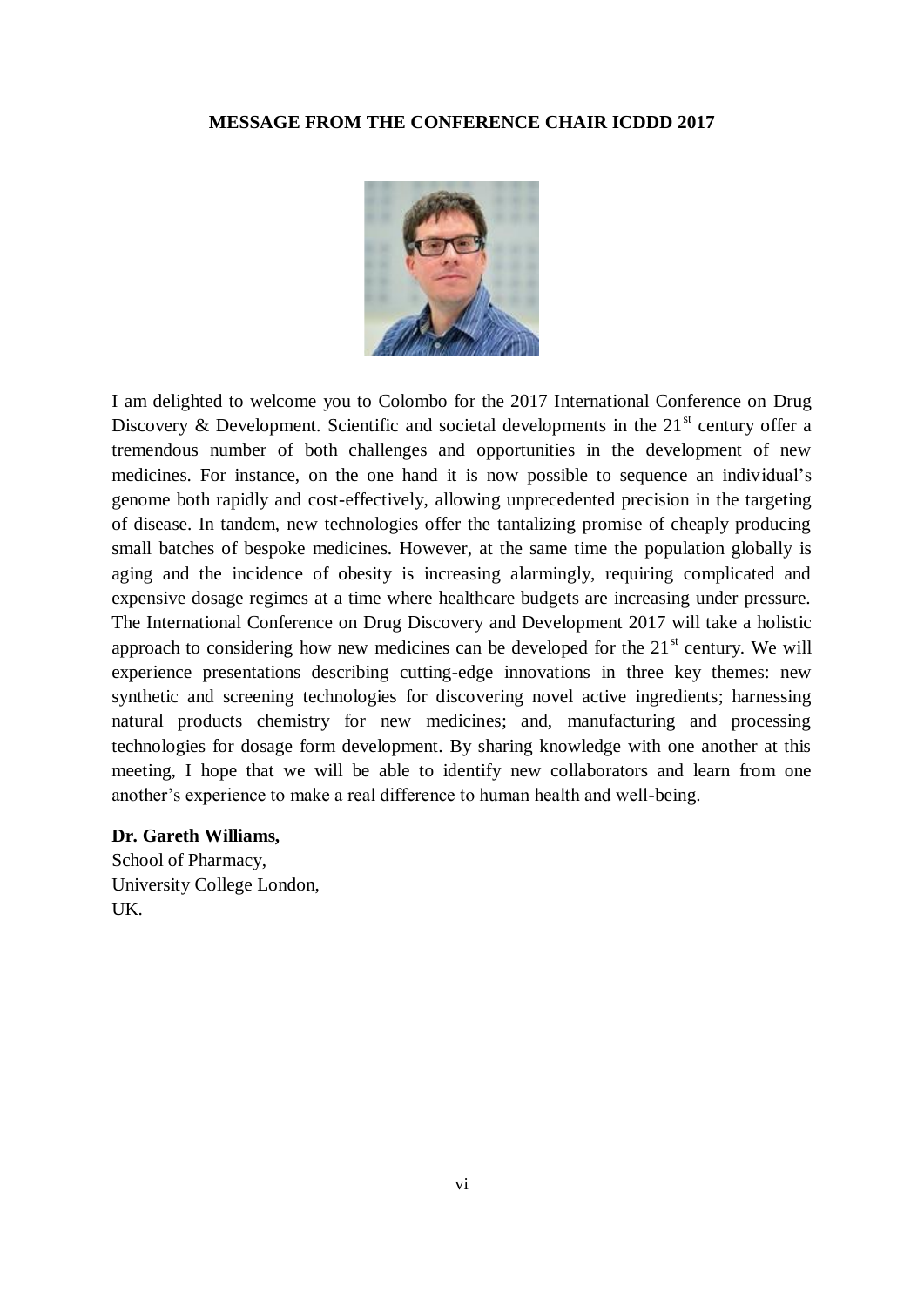### **MESSAGE FROM THE CONFERENCE CHAIR ICDDD 2017**



I am delighted to welcome you to Colombo for the 2017 International Conference on Drug Discovery & Development. Scientific and societal developments in the  $21<sup>st</sup>$  century offer a tremendous number of both challenges and opportunities in the development of new medicines. For instance, on the one hand it is now possible to sequence an individual"s genome both rapidly and cost-effectively, allowing unprecedented precision in the targeting of disease. In tandem, new technologies offer the tantalizing promise of cheaply producing small batches of bespoke medicines. However, at the same time the population globally is aging and the incidence of obesity is increasing alarmingly, requiring complicated and expensive dosage regimes at a time where healthcare budgets are increasing under pressure. The International Conference on Drug Discovery and Development 2017 will take a holistic approach to considering how new medicines can be developed for the  $21<sup>st</sup>$  century. We will experience presentations describing cutting-edge innovations in three key themes: new synthetic and screening technologies for discovering novel active ingredients; harnessing natural products chemistry for new medicines; and, manufacturing and processing technologies for dosage form development. By sharing knowledge with one another at this meeting, I hope that we will be able to identify new collaborators and learn from one another"s experience to make a real difference to human health and well-being.

### **Dr. Gareth Williams,**

School of Pharmacy, University College London, UK.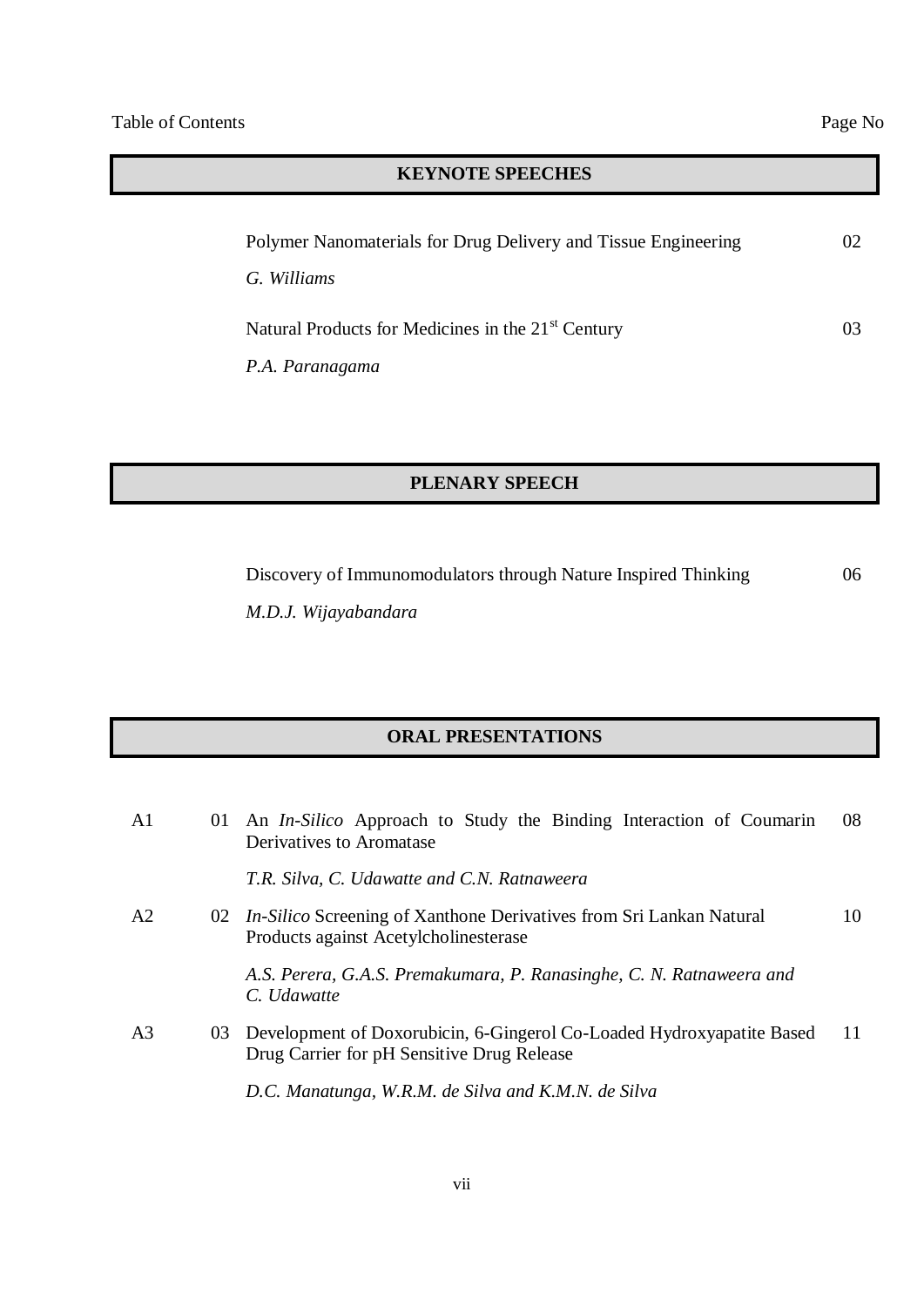# **KEYNOTE SPEECHES**

| Polymer Nanomaterials for Drug Delivery and Tissue Engineering | 02. |
|----------------------------------------------------------------|-----|
| G. Williams                                                    |     |
| Natural Products for Medicines in the 21 <sup>st</sup> Century | 03. |
| P.A. Paranagama                                                |     |

# **PLENARY SPEECH**

Discovery of Immunomodulators through Nature Inspired Thinking

*M.D.J. Wijayabandara* 

# **ORAL PRESENTATIONS**

| A <sub>1</sub> | 01 An <i>In-Silico</i> Approach to Study the Binding Interaction of Coumarin<br>Derivatives to Aromatase               | 08 |
|----------------|------------------------------------------------------------------------------------------------------------------------|----|
|                | T.R. Silva, C. Udawatte and C.N. Ratnaweera                                                                            |    |
| A2             | 02 <i>In-Silico</i> Screening of Xanthone Derivatives from Sri Lankan Natural<br>Products against Acetylcholinesterase | 10 |
|                | A.S. Perera, G.A.S. Premakumara, P. Ranasinghe, C. N. Ratnaweera and<br>C. Udawatte                                    |    |
| A <sub>3</sub> | 03 Development of Doxorubicin, 6-Gingerol Co-Loaded Hydroxyapatite Based<br>Drug Carrier for pH Sensitive Drug Release | 11 |
|                | D.C. Manatunga, W.R.M. de Silva and K.M.N. de Silva                                                                    |    |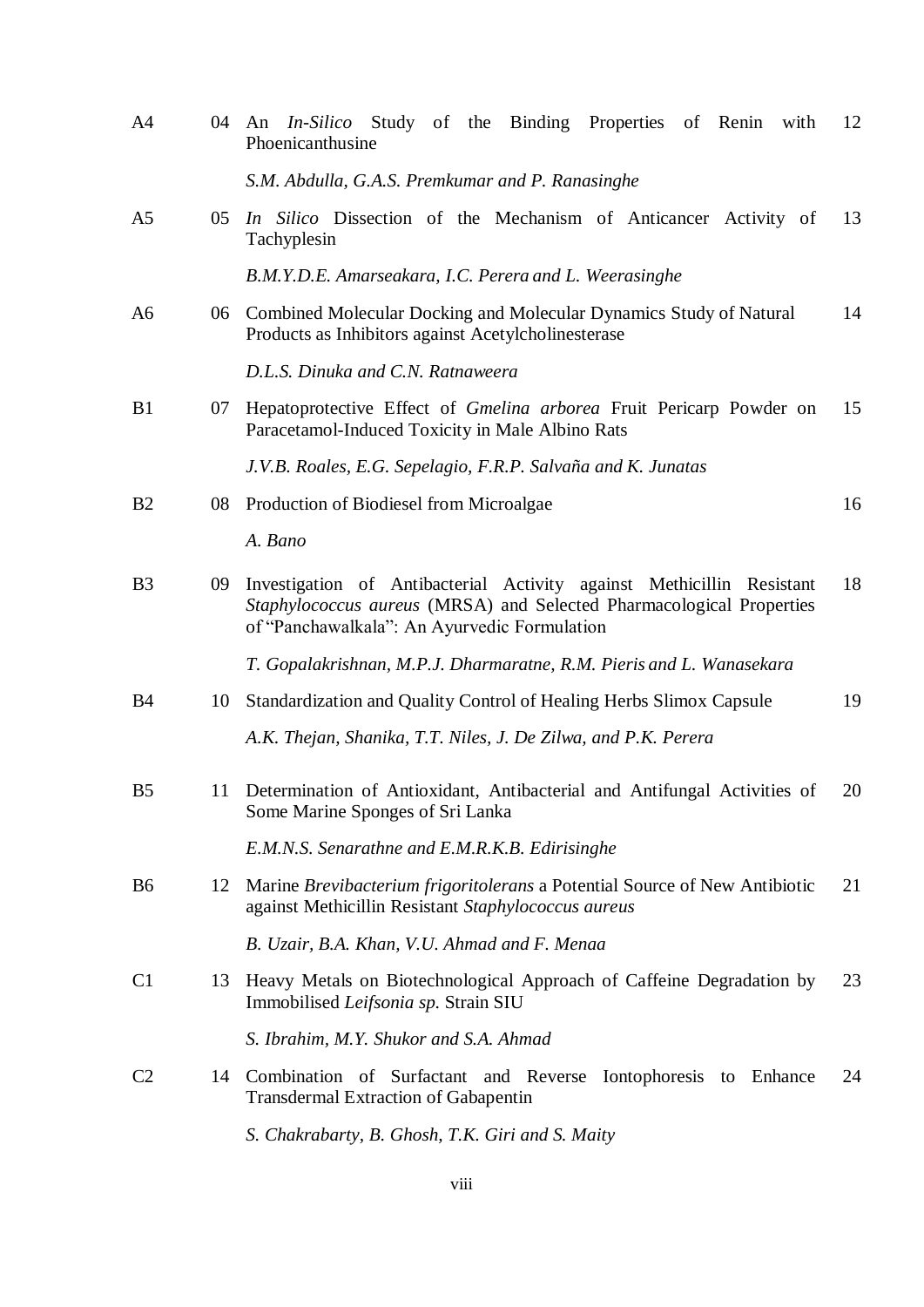| A4             |    | 04 An <i>In-Silico</i> Study of the Binding Properties of Renin with<br>Phoenicanthusine                                                                                                      | 12 |
|----------------|----|-----------------------------------------------------------------------------------------------------------------------------------------------------------------------------------------------|----|
|                |    | S.M. Abdulla, G.A.S. Premkumar and P. Ranasinghe                                                                                                                                              |    |
| A <sub>5</sub> |    | 05 In Silico Dissection of the Mechanism of Anticancer Activity of<br>Tachyplesin                                                                                                             | 13 |
|                |    | B.M.Y.D.E. Amarseakara, I.C. Perera and L. Weerasinghe                                                                                                                                        |    |
| A6             |    | 06 Combined Molecular Docking and Molecular Dynamics Study of Natural<br>Products as Inhibitors against Acetylcholinesterase                                                                  | 14 |
|                |    | D.L.S. Dinuka and C.N. Ratnaweera                                                                                                                                                             |    |
| B1             | 07 | Hepatoprotective Effect of <i>Gmelina arborea</i> Fruit Pericarp Powder on<br>Paracetamol-Induced Toxicity in Male Albino Rats                                                                | 15 |
|                |    | J.V.B. Roales, E.G. Sepelagio, F.R.P. Salvaña and K. Junatas                                                                                                                                  |    |
| B <sub>2</sub> | 08 | Production of Biodiesel from Microalgae                                                                                                                                                       | 16 |
|                |    | A. Bano                                                                                                                                                                                       |    |
| B <sub>3</sub> | 09 | Investigation of Antibacterial Activity against Methicillin Resistant<br>Staphylococcus aureus (MRSA) and Selected Pharmacological Properties<br>of "Panchawalkala": An Ayurvedic Formulation | 18 |
|                |    | T. Gopalakrishnan, M.P.J. Dharmaratne, R.M. Pieris and L. Wanasekara                                                                                                                          |    |
| <b>B4</b>      | 10 | Standardization and Quality Control of Healing Herbs Slimox Capsule                                                                                                                           | 19 |
|                |    | A.K. Thejan, Shanika, T.T. Niles, J. De Zilwa, and P.K. Perera                                                                                                                                |    |
| B <sub>5</sub> | 11 | Determination of Antioxidant, Antibacterial and Antifungal Activities of<br>Some Marine Sponges of Sri Lanka                                                                                  | 20 |
|                |    | E.M.N.S. Senarathne and E.M.R.K.B. Edirisinghe                                                                                                                                                |    |
| B <sub>6</sub> | 12 | Marine Brevibacterium frigoritolerans a Potential Source of New Antibiotic<br>against Methicillin Resistant Staphylococcus aureus                                                             | 21 |
|                |    | B. Uzair, B.A. Khan, V.U. Ahmad and F. Menaa                                                                                                                                                  |    |
| C1             | 13 | Heavy Metals on Biotechnological Approach of Caffeine Degradation by<br>Immobilised Leifsonia sp. Strain SIU                                                                                  | 23 |
|                |    | S. Ibrahim, M.Y. Shukor and S.A. Ahmad                                                                                                                                                        |    |
| C <sub>2</sub> | 14 | Combination of Surfactant and Reverse Iontophoresis to Enhance<br><b>Transdermal Extraction of Gabapentin</b>                                                                                 | 24 |
|                |    | S. Chakrabarty, B. Ghosh, T.K. Giri and S. Maity                                                                                                                                              |    |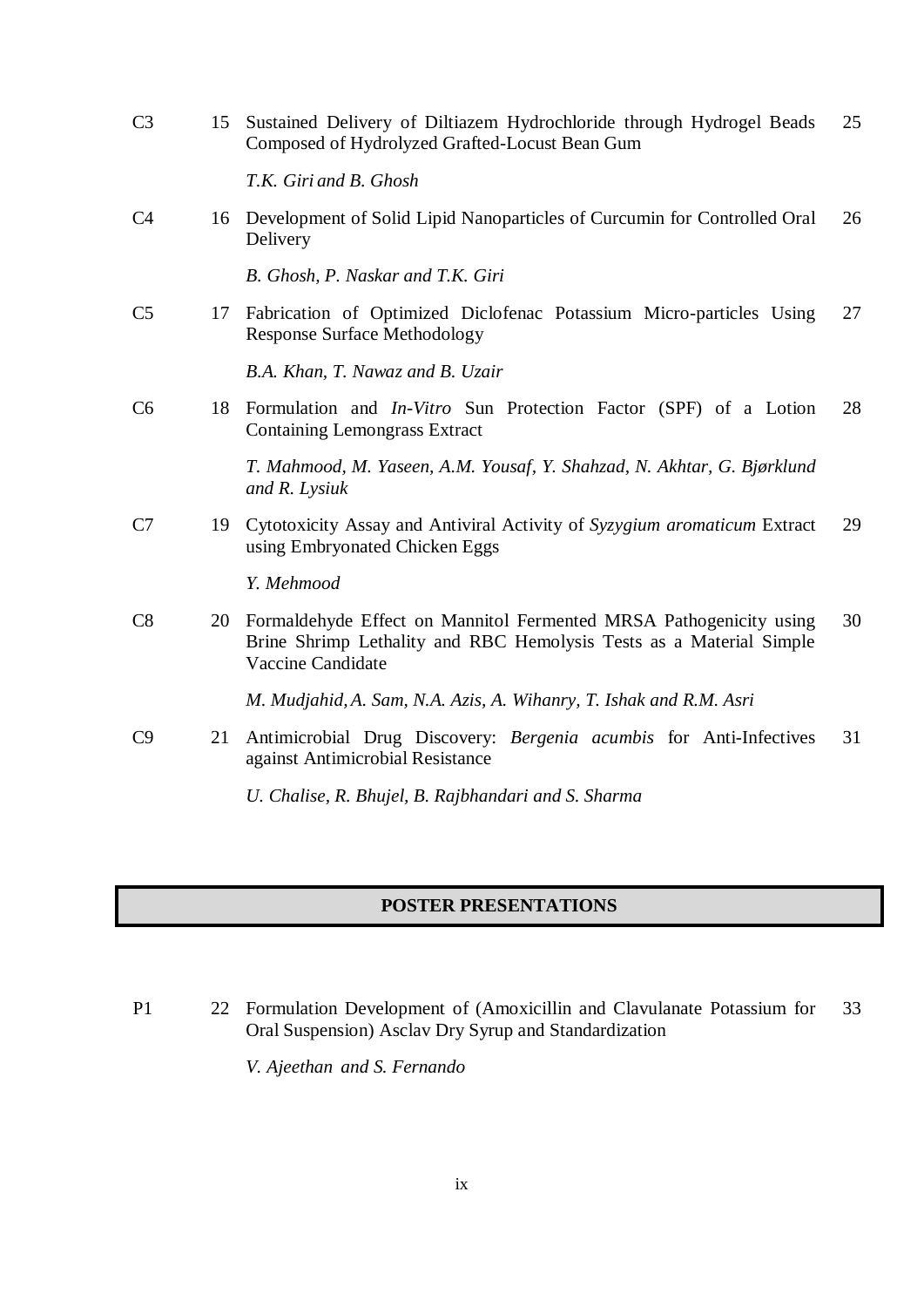| C <sub>3</sub> | 15 | Sustained Delivery of Diltiazem Hydrochloride through Hydrogel Beads<br>Composed of Hydrolyzed Grafted-Locust Bean Gum                                         | 25 |
|----------------|----|----------------------------------------------------------------------------------------------------------------------------------------------------------------|----|
|                |    | T.K. Giri and B. Ghosh                                                                                                                                         |    |
| C4             |    | 16 Development of Solid Lipid Nanoparticles of Curcumin for Controlled Oral<br>Delivery                                                                        | 26 |
|                |    | B. Ghosh, P. Naskar and T.K. Giri                                                                                                                              |    |
| C <sub>5</sub> |    | 17 Fabrication of Optimized Diclofenac Potassium Micro-particles Using<br><b>Response Surface Methodology</b>                                                  | 27 |
|                |    | B.A. Khan, T. Nawaz and B. Uzair                                                                                                                               |    |
| C6             |    | 18 Formulation and <i>In-Vitro</i> Sun Protection Factor (SPF) of a Lotion<br><b>Containing Lemongrass Extract</b>                                             | 28 |
|                |    | T. Mahmood, M. Yaseen, A.M. Yousaf, Y. Shahzad, N. Akhtar, G. Bjørklund<br>and R. Lysiuk                                                                       |    |
| C7             |    | 19 Cytotoxicity Assay and Antiviral Activity of Syzygium aromaticum Extract<br>using Embryonated Chicken Eggs                                                  | 29 |
|                |    | Y. Mehmood                                                                                                                                                     |    |
| C8             | 20 | Formaldehyde Effect on Mannitol Fermented MRSA Pathogenicity using<br>Brine Shrimp Lethality and RBC Hemolysis Tests as a Material Simple<br>Vaccine Candidate | 30 |
|                |    | M. Mudjahid, A. Sam, N.A. Azis, A. Wihanry, T. Ishak and R.M. Asri                                                                                             |    |
| C9             | 21 | Antimicrobial Drug Discovery: Bergenia acumbis for Anti-Infectives<br>against Antimicrobial Resistance                                                         | 31 |
|                |    | U. Chalise, R. Bhujel, B. Rajbhandari and S. Sharma                                                                                                            |    |

# **POSTER PRESENTATIONS**

P1 22 Formulation Development of (Amoxicillin and Clavulanate Potassium for Oral Suspension) Asclav Dry Syrup and Standardization 33

*V. Ajeethan and S. Fernando*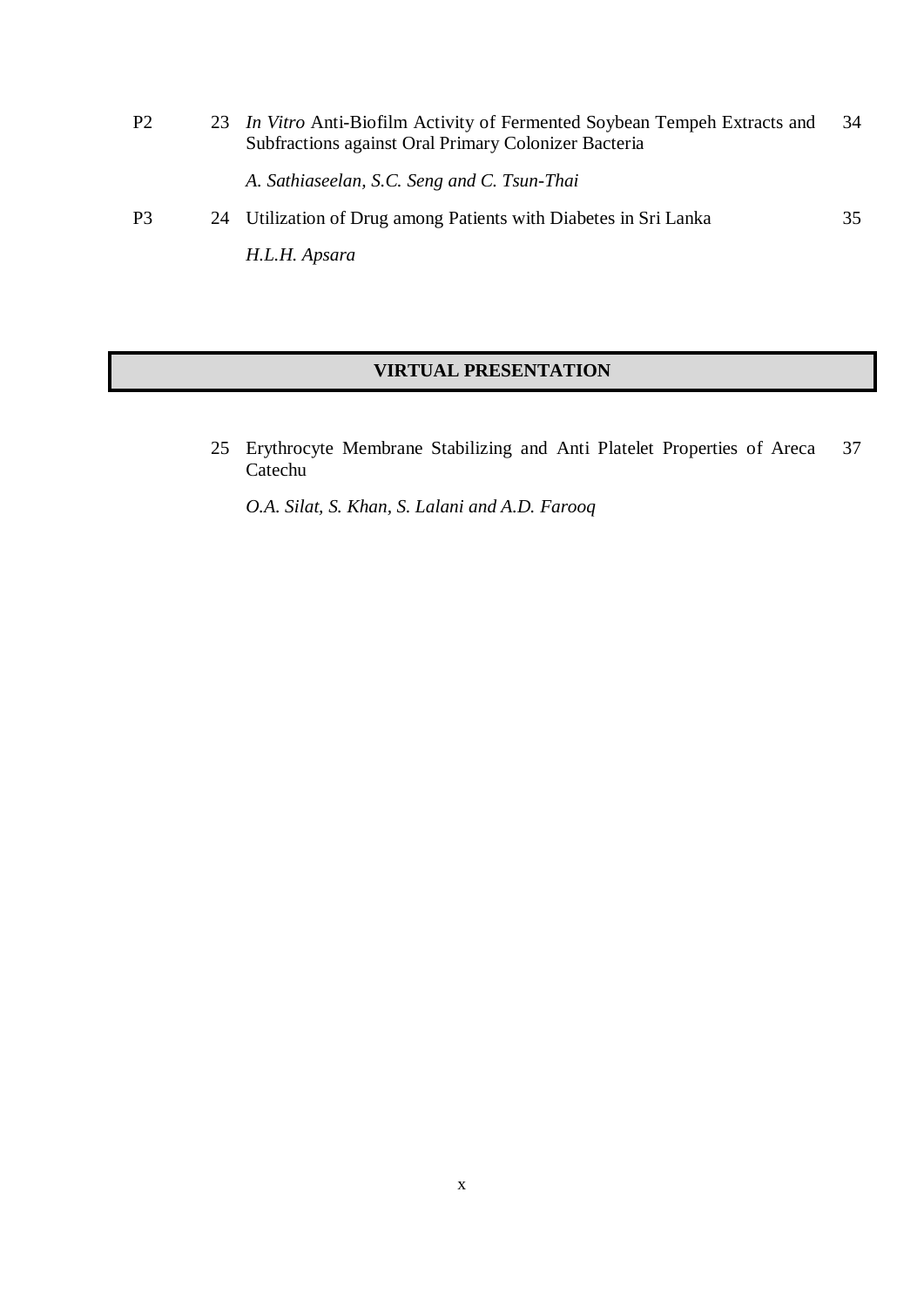P2 23 *In Vitro* Anti-Biofilm Activity of Fermented Soybean Tempeh Extracts and Subfractions against Oral Primary Colonizer Bacteria *A. Sathiaseelan, S.C. Seng and C. Tsun-Thai* 34 P3 24 Utilization of Drug among Patients with Diabetes in Sri Lanka 35

*H.L.H. Apsara*

# **VIRTUAL PRESENTATION**

25 Erythrocyte Membrane Stabilizing and Anti Platelet Properties of Areca Catechu 37

*O.A. Silat, S. Khan, S. Lalani and A.D. Farooq*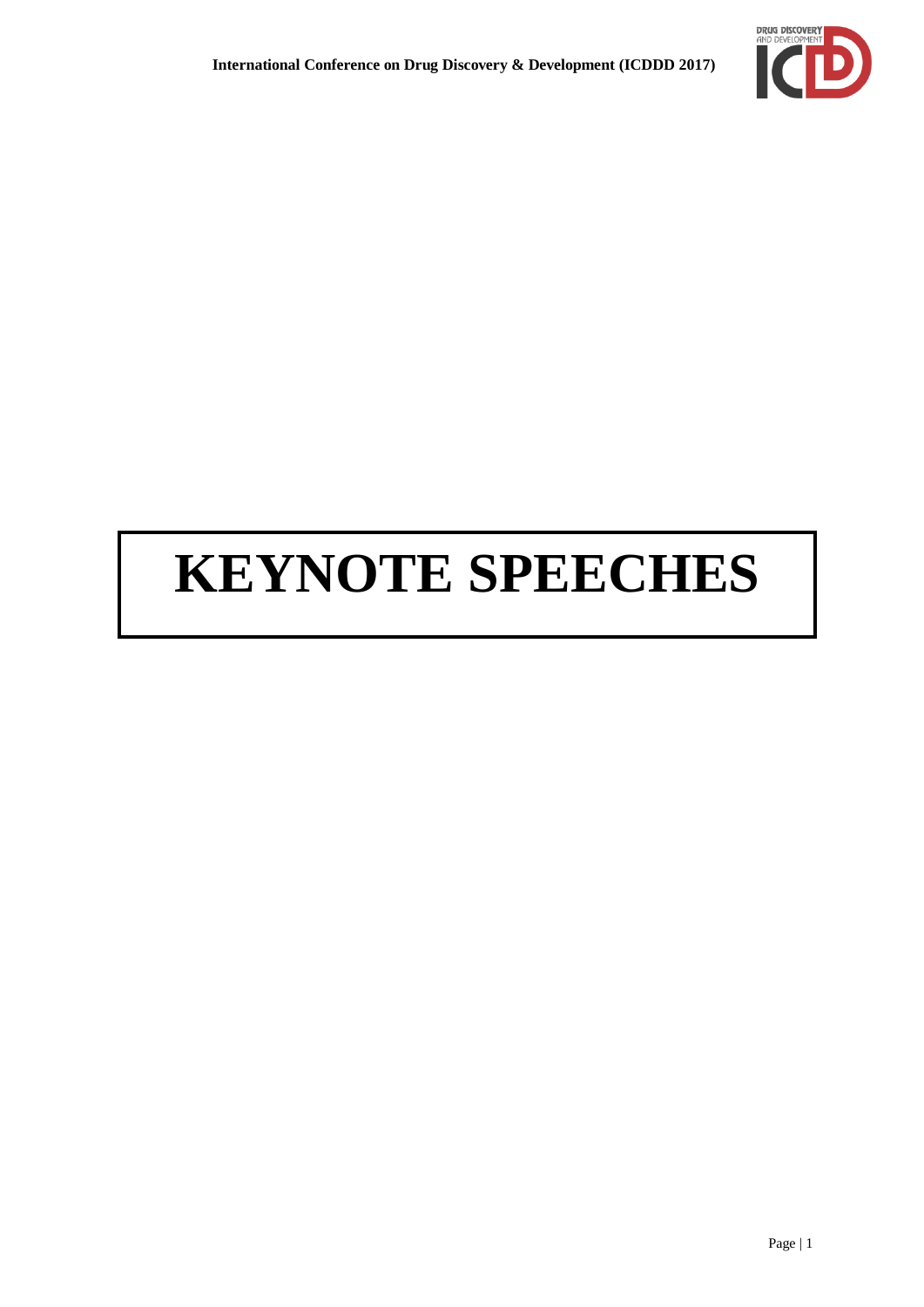

# **KEYNOTE SPEECHES**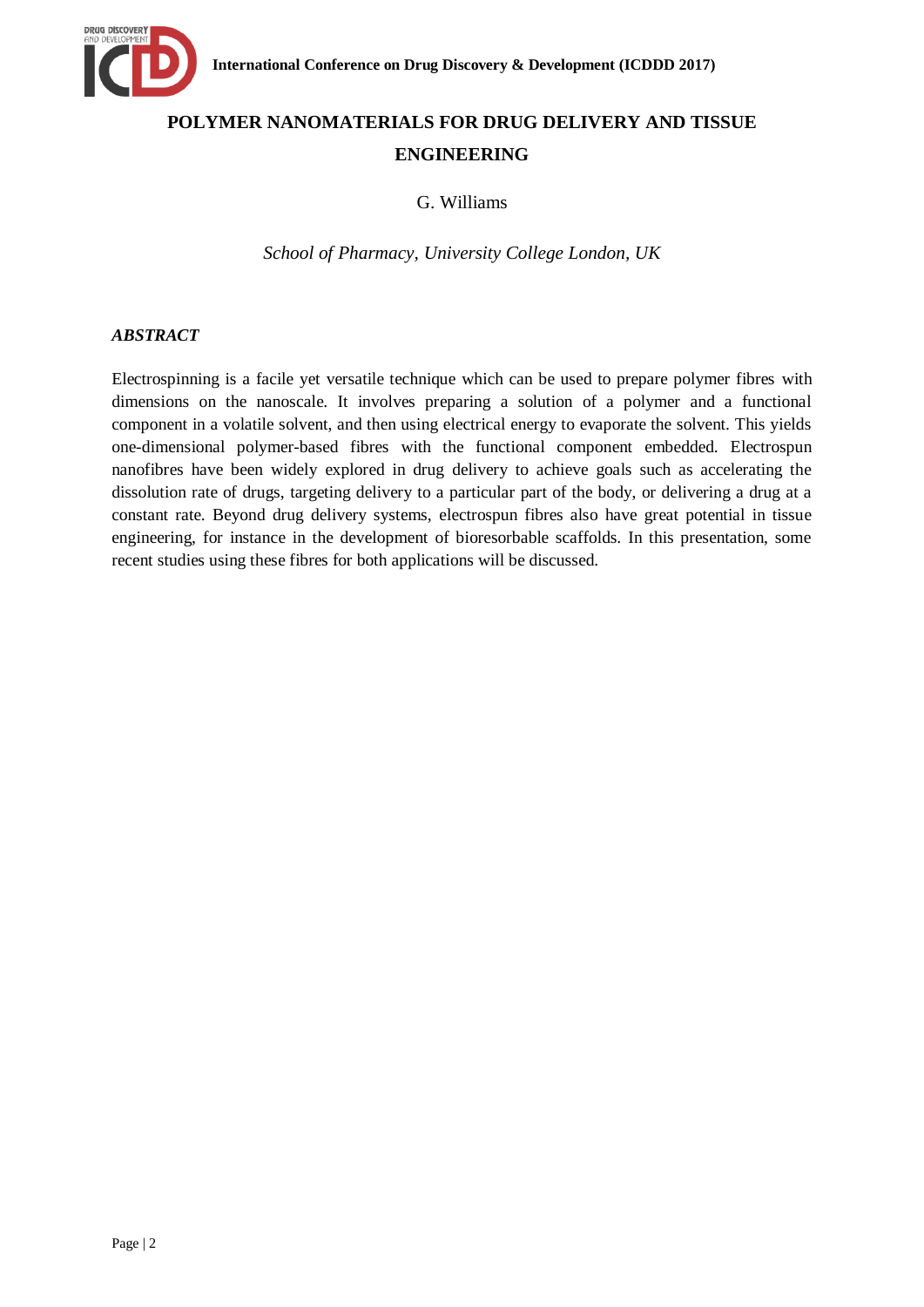

# **POLYMER NANOMATERIALS FOR DRUG DELIVERY AND TISSUE ENGINEERING**

G. Williams

*School of Pharmacy, University College London, UK*

# *ABSTRACT*

Electrospinning is a facile yet versatile technique which can be used to prepare polymer fibres with dimensions on the nanoscale. It involves preparing a solution of a polymer and a functional component in a volatile solvent, and then using electrical energy to evaporate the solvent. This yields one-dimensional polymer-based fibres with the functional component embedded. Electrospun nanofibres have been widely explored in drug delivery to achieve goals such as accelerating the dissolution rate of drugs, targeting delivery to a particular part of the body, or delivering a drug at a constant rate. Beyond drug delivery systems, electrospun fibres also have great potential in tissue engineering, for instance in the development of bioresorbable scaffolds. In this presentation, some recent studies using these fibres for both applications will be discussed.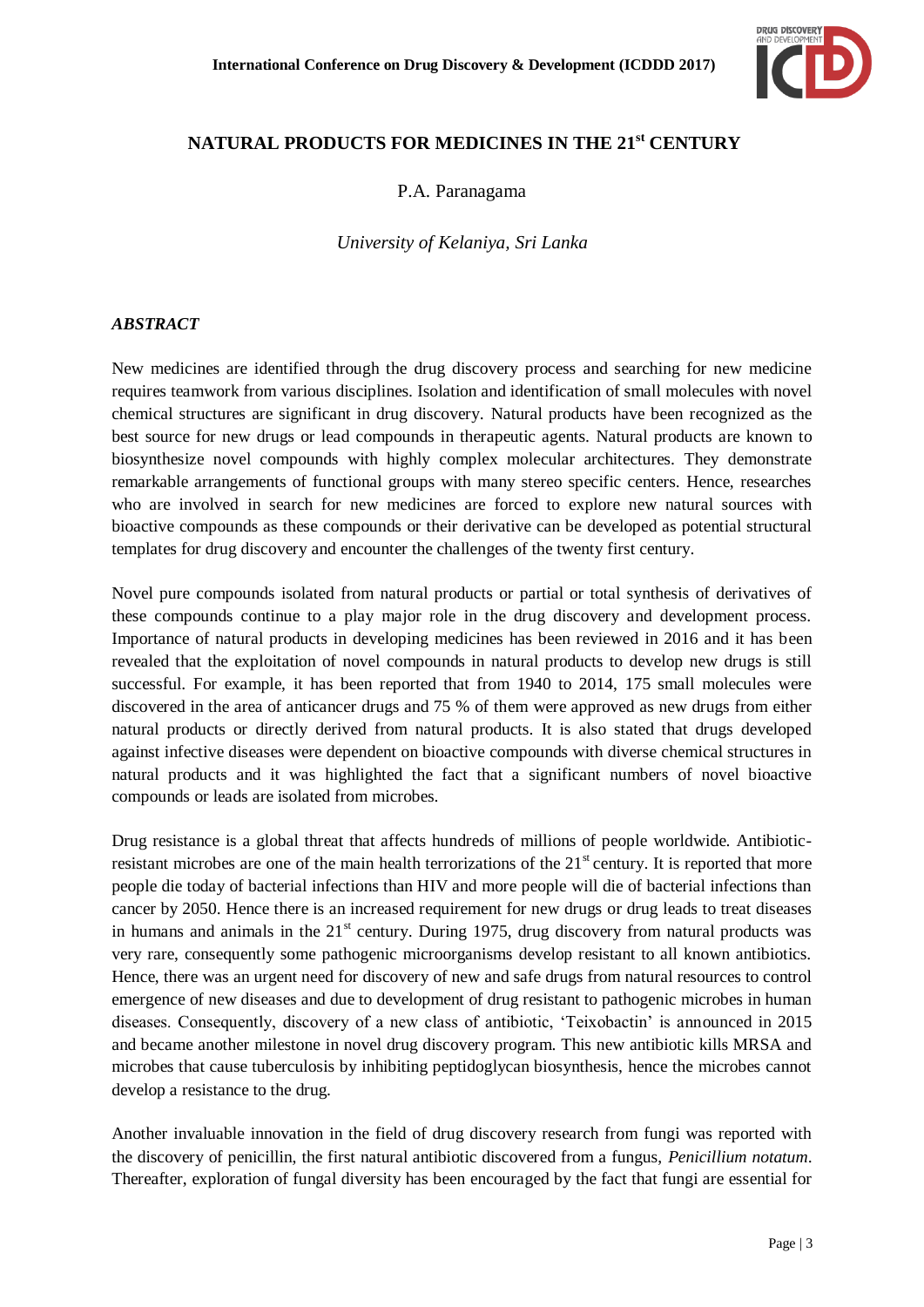

# **NATURAL PRODUCTS FOR MEDICINES IN THE 21st CENTURY**

P.A. Paranagama

*University of Kelaniya, Sri Lanka*

### *ABSTRACT*

New medicines are identified through the drug discovery process and searching for new medicine requires teamwork from various disciplines. Isolation and identification of small molecules with novel chemical structures are significant in drug discovery. Natural products have been recognized as the best source for new drugs or lead compounds in therapeutic agents. Natural products are known to biosynthesize novel compounds with highly complex molecular architectures. They demonstrate remarkable arrangements of functional groups with many stereo specific centers. Hence, researches who are involved in search for new medicines are forced to explore new natural sources with bioactive compounds as these compounds or their derivative can be developed as potential structural templates for drug discovery and encounter the challenges of the twenty first century.

Novel pure compounds isolated from natural products or partial or total synthesis of derivatives of these compounds continue to a play major role in the drug discovery and development process. Importance of natural products in developing medicines has been reviewed in 2016 and it has been revealed that the exploitation of novel compounds in natural products to develop new drugs is still successful. For example, it has been reported that from 1940 to 2014, 175 small molecules were discovered in the area of anticancer drugs and 75 % of them were approved as new drugs from either natural products or directly derived from natural products. It is also stated that drugs developed against infective diseases were dependent on bioactive compounds with diverse chemical structures in natural products and it was highlighted the fact that a significant numbers of novel bioactive compounds or leads are isolated from microbes.

Drug resistance is a global threat that affects hundreds of millions of people worldwide. Antibioticresistant microbes are one of the main health terrorizations of the  $21<sup>st</sup>$  century. It is reported that more people die today of bacterial infections than HIV and more people will die of bacterial infections than cancer by 2050. Hence there is an increased requirement for new drugs or drug leads to treat diseases in humans and animals in the  $21<sup>st</sup>$  century. During 1975, drug discovery from natural products was very rare, consequently some pathogenic microorganisms develop resistant to all known antibiotics. Hence, there was an urgent need for discovery of new and safe drugs from natural resources to control emergence of new diseases and due to development of drug resistant to pathogenic microbes in human diseases. Consequently, discovery of a new class of antibiotic, "Teixobactin" is announced in 2015 and became another milestone in novel drug discovery program. This new antibiotic kills MRSA and microbes that cause tuberculosis by inhibiting peptidoglycan biosynthesis, hence the microbes cannot develop a resistance to the drug.

Another invaluable innovation in the field of drug discovery research from fungi was reported with the discovery of penicillin, the first natural antibiotic discovered from a fungus, *Penicillium notatum*. Thereafter, exploration of fungal diversity has been encouraged by the fact that fungi are essential for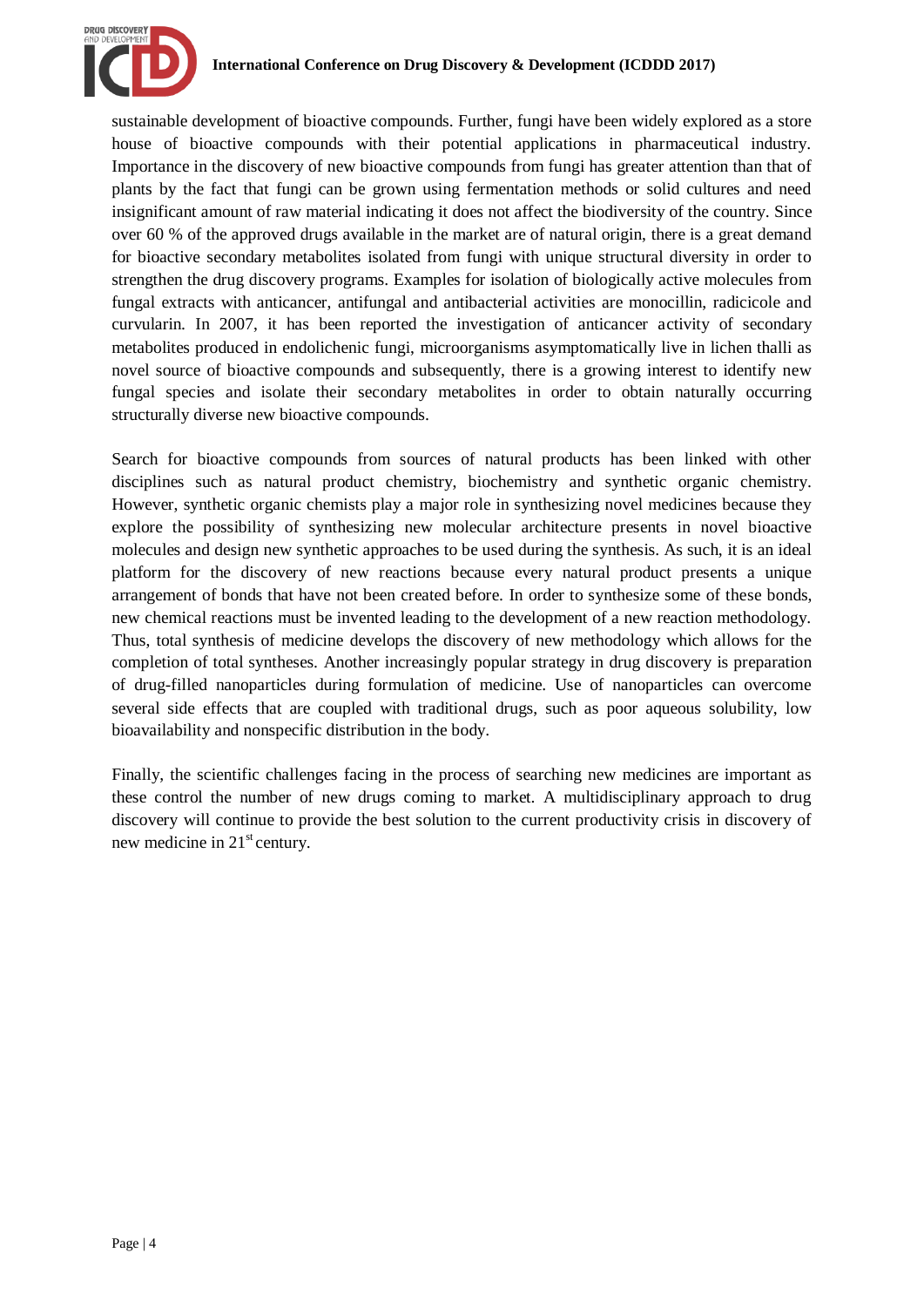

sustainable development of bioactive compounds. Further, fungi have been widely explored as a store house of bioactive compounds with their potential applications in pharmaceutical industry. Importance in the discovery of new bioactive compounds from fungi has greater attention than that of plants by the fact that fungi can be grown using fermentation methods or solid cultures and need insignificant amount of raw material indicating it does not affect the biodiversity of the country. Since over 60 % of the approved drugs available in the market are of natural origin, there is a great demand for bioactive secondary metabolites isolated from fungi with unique structural diversity in order to strengthen the drug discovery programs. Examples for isolation of biologically active molecules from fungal extracts with anticancer, antifungal and antibacterial activities are monocillin, radicicole and curvularin. In 2007, it has been reported the investigation of anticancer activity of secondary metabolites produced in endolichenic fungi, microorganisms asymptomatically live in lichen thalli as novel source of bioactive compounds and subsequently, there is a growing interest to identify new fungal species and isolate their secondary metabolites in order to obtain naturally occurring structurally diverse new bioactive compounds.

Search for bioactive compounds from sources of natural products has been linked with other disciplines such as natural product chemistry, biochemistry and synthetic organic chemistry. However, synthetic organic chemists play a major role in synthesizing novel medicines because they explore the possibility of synthesizing new molecular architecture presents in novel bioactive molecules and design new synthetic approaches to be used during the synthesis. As such, it is an ideal platform for the discovery of new reactions because every natural product presents a unique arrangement of bonds that have not been created before. In order to synthesize some of these bonds, new chemical reactions must be invented leading to the development of a new reaction methodology. Thus, total synthesis of medicine develops the discovery of new methodology which allows for the completion of total syntheses. Another increasingly popular strategy in drug discovery is preparation of drug-filled nanoparticles during formulation of medicine. Use of nanoparticles can overcome several side effects that are coupled with traditional drugs, such as poor aqueous solubility, low bioavailability and nonspecific distribution in the body.

Finally, the scientific challenges facing in the process of searching new medicines are important as these control the number of new drugs coming to market. A multidisciplinary approach to drug discovery will continue to provide the best solution to the current productivity crisis in discovery of new medicine in  $21<sup>st</sup>$  century.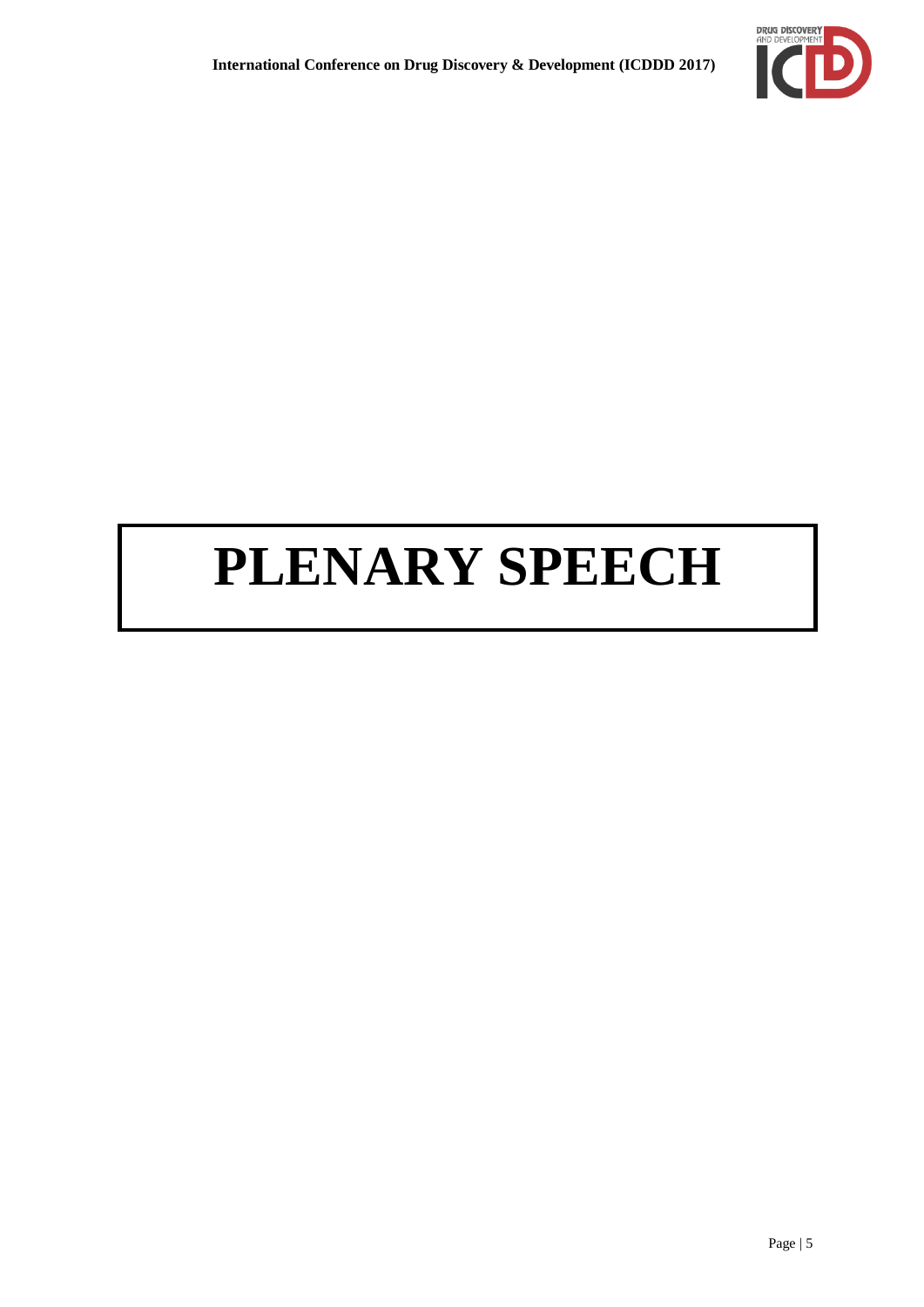

# **PLENARY SPEECH**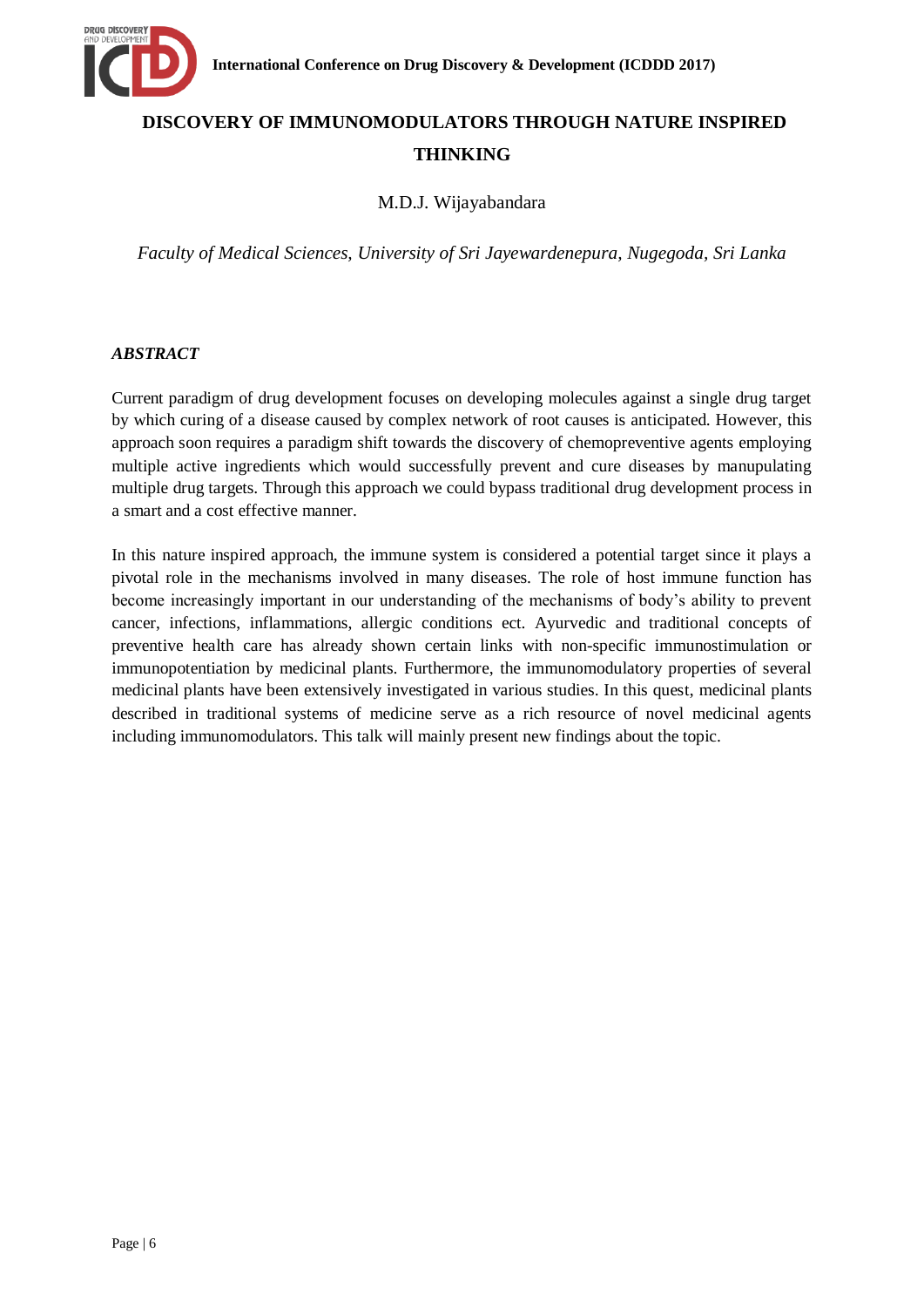

# **DISCOVERY OF IMMUNOMODULATORS THROUGH NATURE INSPIRED THINKING**

# M.D.J. Wijayabandara

*Faculty of Medical Sciences, University of Sri Jayewardenepura, Nugegoda, Sri Lanka* 

### *ABSTRACT*

Current paradigm of drug development focuses on developing molecules against a single drug target by which curing of a disease caused by complex network of root causes is anticipated. However, this approach soon requires a paradigm shift towards the discovery of chemopreventive agents employing multiple active ingredients which would successfully prevent and cure diseases by manupulating multiple drug targets. Through this approach we could bypass traditional drug development process in a smart and a cost effective manner.

In this nature inspired approach, the immune system is considered a potential target since it plays a pivotal role in the mechanisms involved in many diseases. The role of host immune function has become increasingly important in our understanding of the mechanisms of body"s ability to prevent cancer, infections, inflammations, allergic conditions ect. Ayurvedic and traditional concepts of preventive health care has already shown certain links with non-specific immunostimulation or immunopotentiation by medicinal plants. Furthermore, the immunomodulatory properties of several medicinal plants have been extensively investigated in various studies. In this quest, medicinal plants described in traditional systems of medicine serve as a rich resource of novel medicinal agents including immunomodulators. This talk will mainly present new findings about the topic.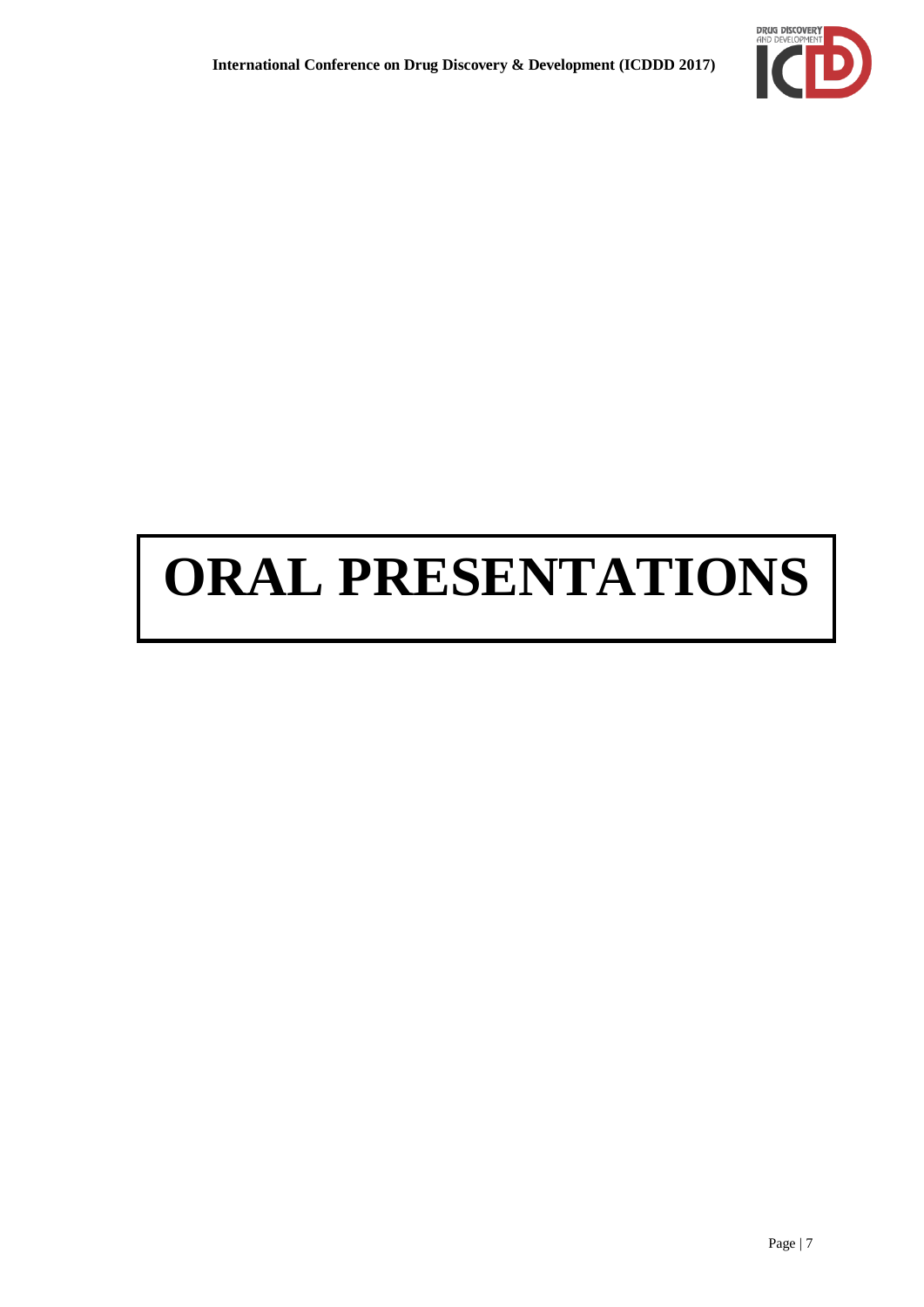

# **ORAL PRESENTATIONS**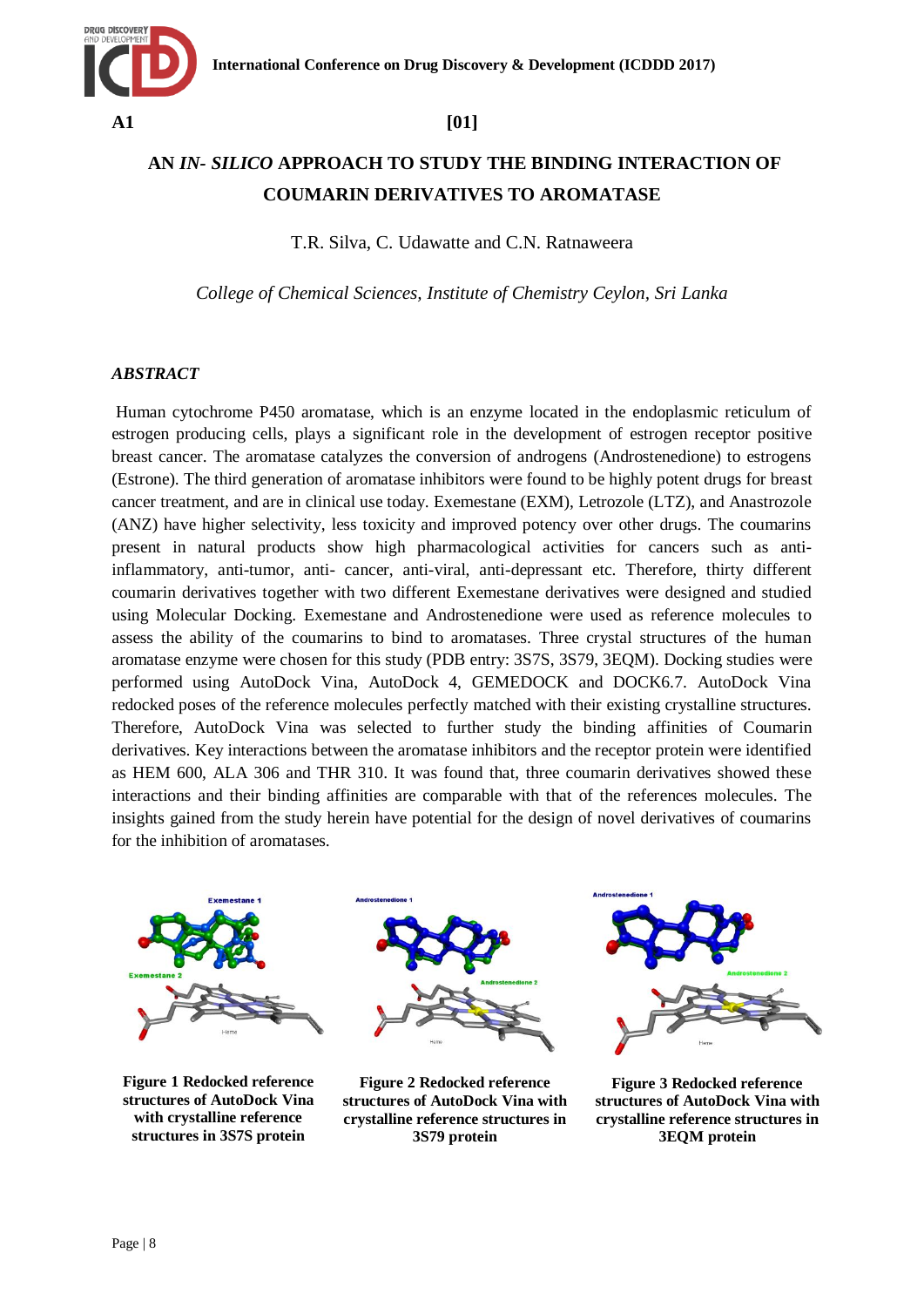

# **AN** *IN- SILICO* **APPROACH TO STUDY THE BINDING INTERACTION OF COUMARIN DERIVATIVES TO AROMATASE**

T.R. Silva, C. Udawatte and C.N. Ratnaweera

*College of Chemical Sciences, Institute of Chemistry Ceylon, Sri Lanka*

### *ABSTRACT*

Human cytochrome P450 aromatase, which is an enzyme located in the endoplasmic reticulum of estrogen producing cells, plays a significant role in the development of estrogen receptor positive breast cancer. The aromatase catalyzes the conversion of androgens (Androstenedione) to estrogens (Estrone). The third generation of aromatase inhibitors were found to be highly potent drugs for breast cancer treatment, and are in clinical use today. Exemestane (EXM), Letrozole (LTZ), and Anastrozole (ANZ) have higher selectivity, less toxicity and improved potency over other drugs. The coumarins present in natural products show high pharmacological activities for cancers such as antiinflammatory, anti-tumor, anti- cancer, anti-viral, anti-depressant etc. Therefore, thirty different coumarin derivatives together with two different Exemestane derivatives were designed and studied using Molecular Docking. Exemestane and Androstenedione were used as reference molecules to assess the ability of the coumarins to bind to aromatases. Three crystal structures of the human aromatase enzyme were chosen for this study (PDB entry: 3S7S, 3S79, 3EQM). Docking studies were performed using AutoDock Vina, AutoDock 4, GEMEDOCK and DOCK6.7. AutoDock Vina redocked poses of the reference molecules perfectly matched with their existing crystalline structures. Therefore, AutoDock Vina was selected to further study the binding affinities of Coumarin derivatives. Key interactions between the aromatase inhibitors and the receptor protein were identified as HEM 600, ALA 306 and THR 310. It was found that, three coumarin derivatives showed these interactions and their binding affinities are comparable with that of the references molecules. The insights gained from the study herein have potential for the design of novel derivatives of coumarins for the inhibition of aromatases.



**Figure 1 Redocked reference structures of AutoDock Vina with crystalline reference structures in 3S7S protein**



**Figure 2 Redocked reference structures of AutoDock Vina with crystalline reference structures in 3S79 protein**



**Figure 3 Redocked reference structures of AutoDock Vina with crystalline reference structures in 3EQM protein**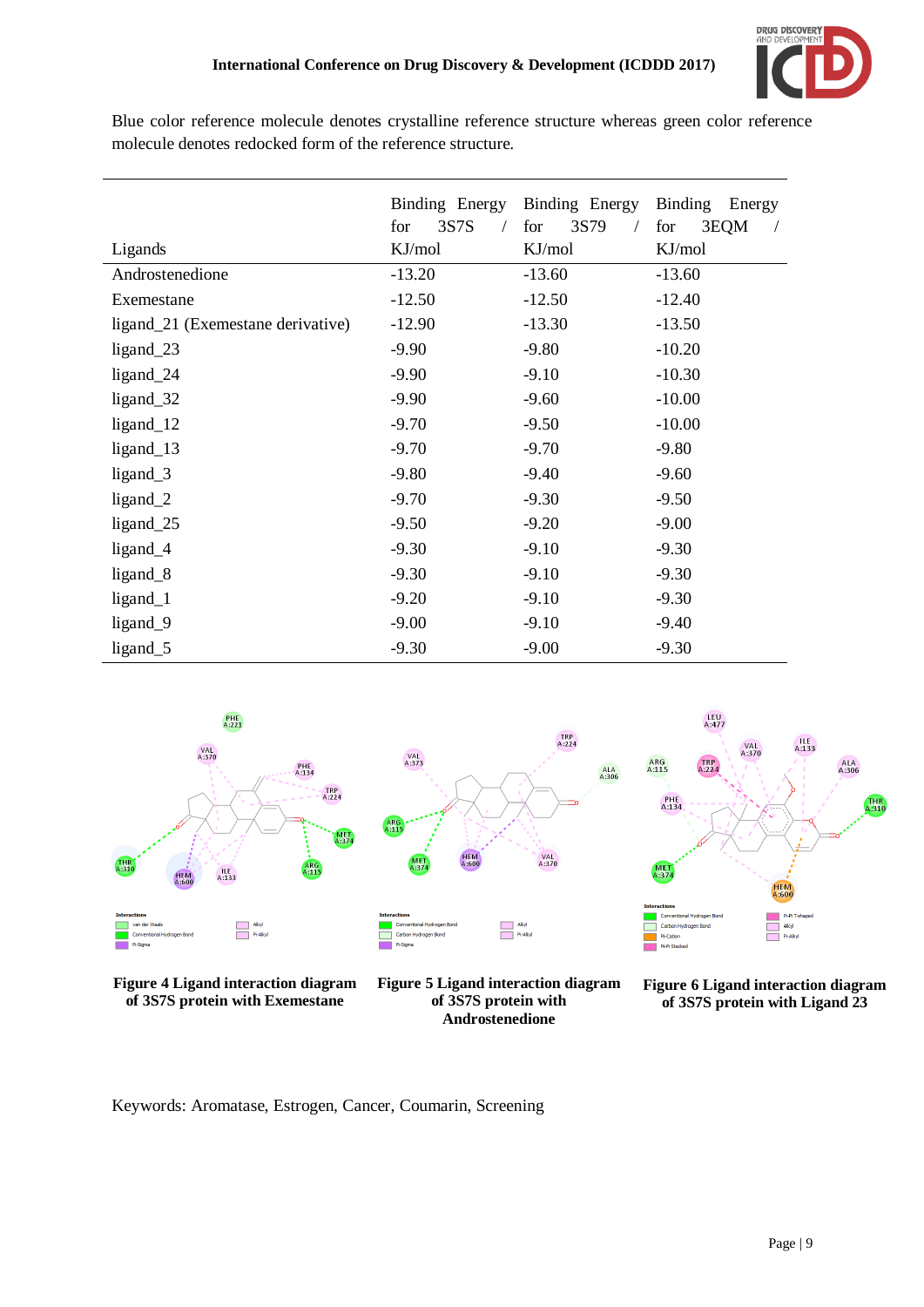

Blue color reference molecule denotes crystalline reference structure whereas green color reference molecule denotes redocked form of the reference structure.

|                                   | Binding Energy | Binding Energy | <b>Binding</b><br>Energy |
|-----------------------------------|----------------|----------------|--------------------------|
|                                   | 3S7S<br>for    | 3S79<br>for    | for<br>3EQM              |
| Ligands                           | KJ/mol         | KJ/mol         | KJ/mol                   |
| Androstenedione                   | $-13.20$       | $-13.60$       | $-13.60$                 |
| Exemestane                        | $-12.50$       | $-12.50$       | $-12.40$                 |
| ligand_21 (Exemestane derivative) | $-12.90$       | $-13.30$       | $-13.50$                 |
| ligand_23                         | $-9.90$        | $-9.80$        | $-10.20$                 |
| ligand_24                         | $-9.90$        | $-9.10$        | $-10.30$                 |
| ligand_32                         | $-9.90$        | $-9.60$        | $-10.00$                 |
| $ligand_12$                       | $-9.70$        | $-9.50$        | $-10.00$                 |
| $ligand_13$                       | $-9.70$        | $-9.70$        | $-9.80$                  |
| $ligand_3$                        | $-9.80$        | $-9.40$        | $-9.60$                  |
| $ligand_2$                        | $-9.70$        | $-9.30$        | $-9.50$                  |
| ligand_25                         | $-9.50$        | $-9.20$        | $-9.00$                  |
| ligand_4                          | $-9.30$        | $-9.10$        | $-9.30$                  |
| ligand <sub>8</sub>               | $-9.30$        | $-9.10$        | $-9.30$                  |
| ligand_1                          | $-9.20$        | $-9.10$        | $-9.30$                  |
| ligand_9                          | $-9.00$        | $-9.10$        | $-9.40$                  |
| ligand_5                          | $-9.30$        | $-9.00$        | $-9.30$                  |



**Figure 4 Ligand interaction diagram of 3S7S protein with Exemestane**



**Figure 5 Ligand interaction diagram of 3S7S protein with Androstenedione**



**Figure 6 Ligand interaction diagram of 3S7S protein with Ligand 23**

Keywords: Aromatase, Estrogen, Cancer, Coumarin, Screening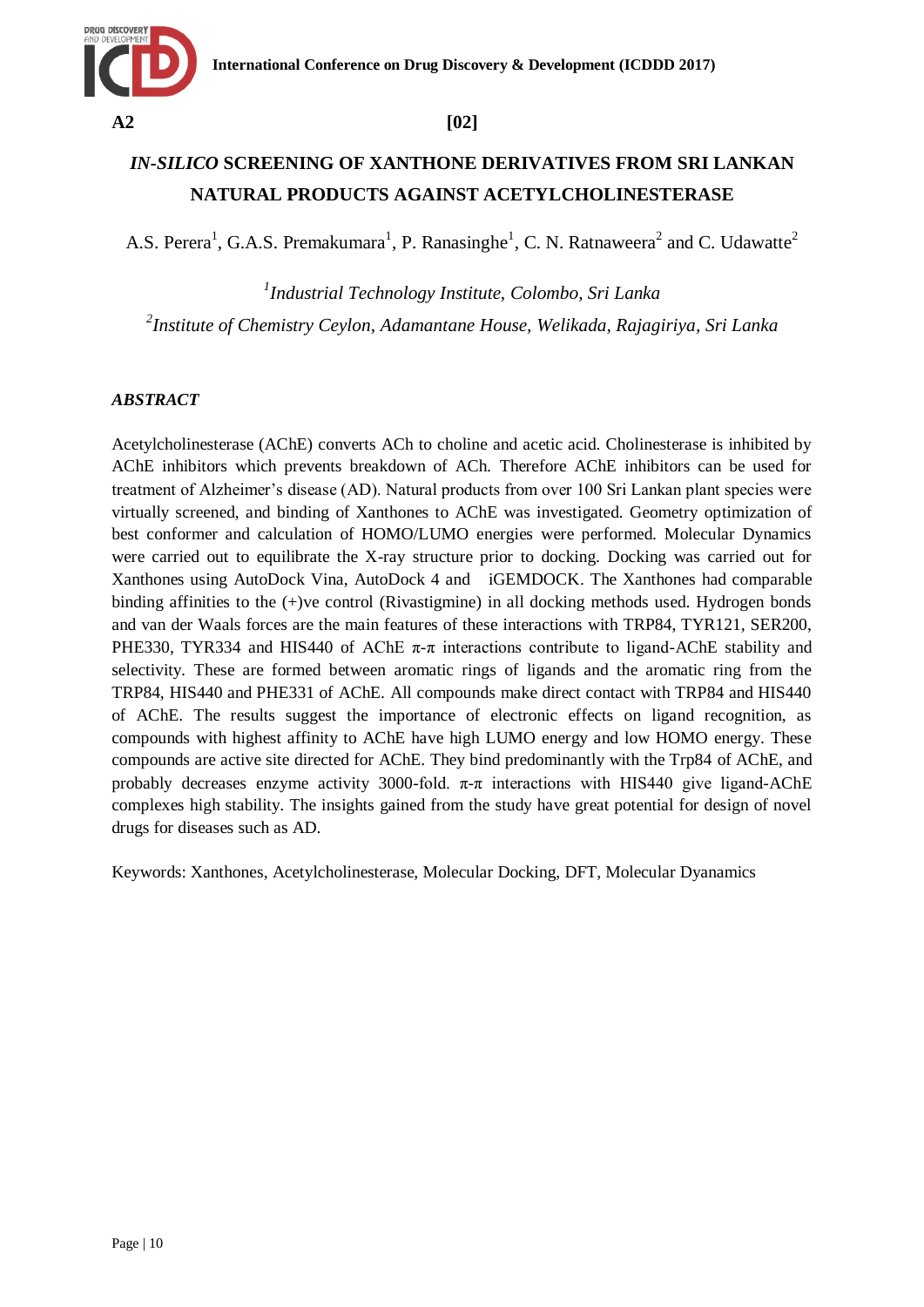

# *IN-SILICO* **SCREENING OF XANTHONE DERIVATIVES FROM SRI LANKAN NATURAL PRODUCTS AGAINST ACETYLCHOLINESTERASE**

A.S. Perera<sup>1</sup>, G.A.S. Premakumara<sup>1</sup>, P. Ranasinghe<sup>1</sup>, C. N. Ratnaweera<sup>2</sup> and C. Udawatte<sup>2</sup>

*1 Industrial Technology Institute, Colombo, Sri Lanka 2 Institute of Chemistry Ceylon, Adamantane House, Welikada, Rajagiriya, Sri Lanka*

## *ABSTRACT*

Acetylcholinesterase (AChE) converts ACh to choline and acetic acid. Cholinesterase is inhibited by AChE inhibitors which prevents breakdown of ACh. Therefore AChE inhibitors can be used for treatment of Alzheimer"s disease (AD). Natural products from over 100 Sri Lankan plant species were virtually screened, and binding of Xanthones to AChE was investigated. Geometry optimization of best conformer and calculation of HOMO/LUMO energies were performed. Molecular Dynamics were carried out to equilibrate the X-ray structure prior to docking. Docking was carried out for Xanthones using AutoDock Vina, AutoDock 4 and iGEMDOCK. The Xanthones had comparable binding affinities to the (+)ve control (Rivastigmine) in all docking methods used. Hydrogen bonds and van der Waals forces are the main features of these interactions with TRP84, TYR121, SER200, PHE330, TYR334 and HIS440 of AChE  $\pi$ - $\pi$  interactions contribute to ligand-AChE stability and selectivity. These are formed between aromatic rings of ligands and the aromatic ring from the TRP84, HIS440 and PHE331 of AChE. All compounds make direct contact with TRP84 and HIS440 of AChE. The results suggest the importance of electronic effects on ligand recognition, as compounds with highest affinity to AChE have high LUMO energy and low HOMO energy. These compounds are active site directed for AChE. They bind predominantly with the Trp84 of AChE, and probably decreases enzyme activity 3000-fold.  $\pi$ - $\pi$  interactions with HIS440 give ligand-AChE complexes high stability. The insights gained from the study have great potential for design of novel drugs for diseases such as AD.

Keywords: Xanthones, Acetylcholinesterase, Molecular Docking, DFT, Molecular Dyanamics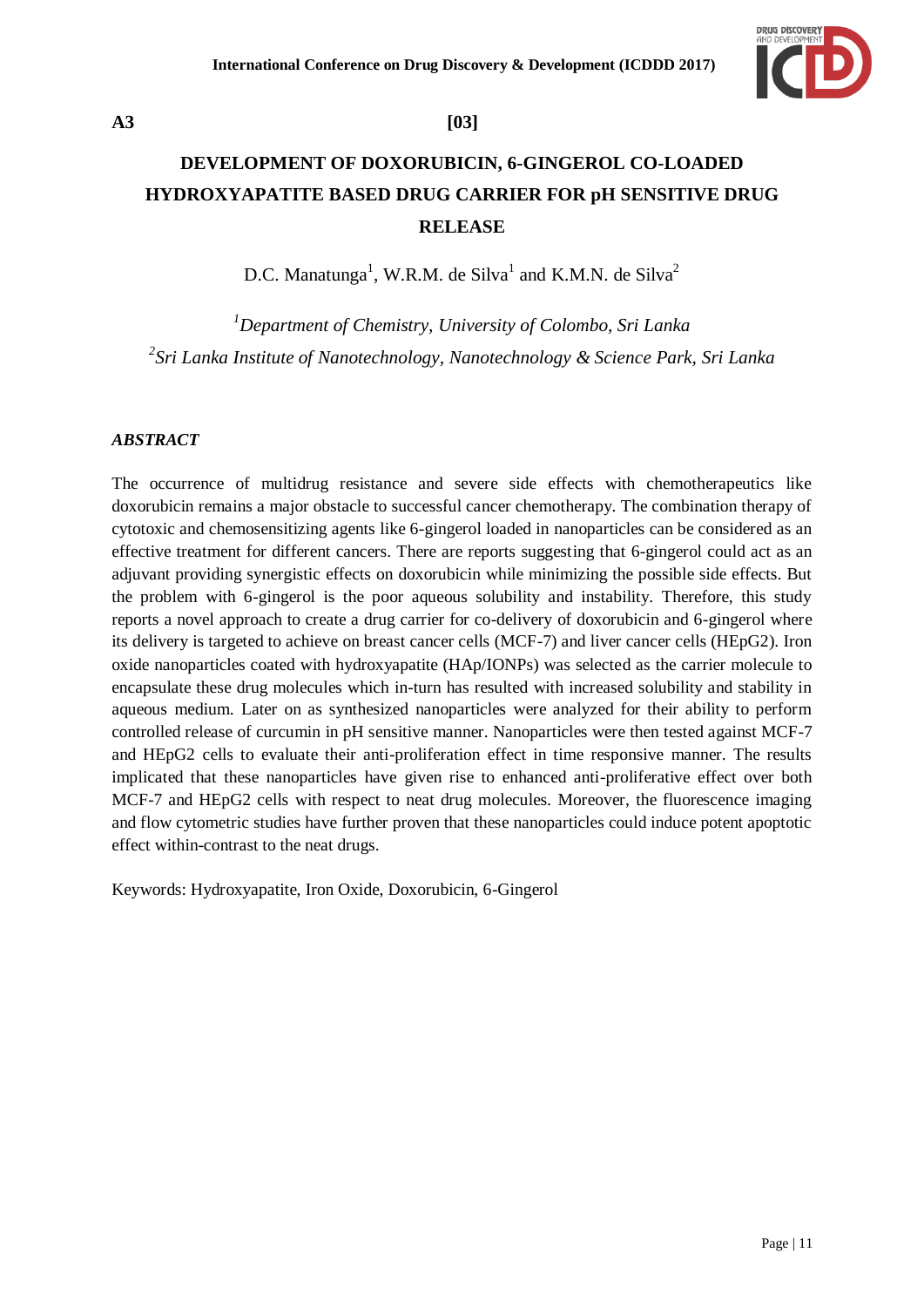

# **A3 [03]**

# **DEVELOPMENT OF DOXORUBICIN, 6-GINGEROL CO-LOADED HYDROXYAPATITE BASED DRUG CARRIER FOR pH SENSITIVE DRUG RELEASE**

D.C. Manatunga<sup>1</sup>, W.R.M. de Silva<sup>1</sup> and K.M.N. de Silva<sup>2</sup>

*<sup>1</sup>Department of Chemistry, University of Colombo, Sri Lanka 2 Sri Lanka Institute of Nanotechnology, Nanotechnology & Science Park, Sri Lanka*

### *ABSTRACT*

The occurrence of multidrug resistance and severe side effects with chemotherapeutics like doxorubicin remains a major obstacle to successful cancer chemotherapy. The combination therapy of cytotoxic and chemosensitizing agents like 6-gingerol loaded in nanoparticles can be considered as an effective treatment for different cancers. There are reports suggesting that 6-gingerol could act as an adjuvant providing synergistic effects on doxorubicin while minimizing the possible side effects. But the problem with 6-gingerol is the poor aqueous solubility and instability. Therefore, this study reports a novel approach to create a drug carrier for co-delivery of doxorubicin and 6-gingerol where its delivery is targeted to achieve on breast cancer cells (MCF-7) and liver cancer cells (HEpG2). Iron oxide nanoparticles coated with hydroxyapatite (HAp/IONPs) was selected as the carrier molecule to encapsulate these drug molecules which in-turn has resulted with increased solubility and stability in aqueous medium. Later on as synthesized nanoparticles were analyzed for their ability to perform controlled release of curcumin in pH sensitive manner. Nanoparticles were then tested against MCF-7 and HEpG2 cells to evaluate their anti-proliferation effect in time responsive manner. The results implicated that these nanoparticles have given rise to enhanced anti-proliferative effect over both MCF-7 and HEpG2 cells with respect to neat drug molecules. Moreover, the fluorescence imaging and flow cytometric studies have further proven that these nanoparticles could induce potent apoptotic effect within-contrast to the neat drugs.

Keywords: Hydroxyapatite, Iron Oxide, Doxorubicin, 6-Gingerol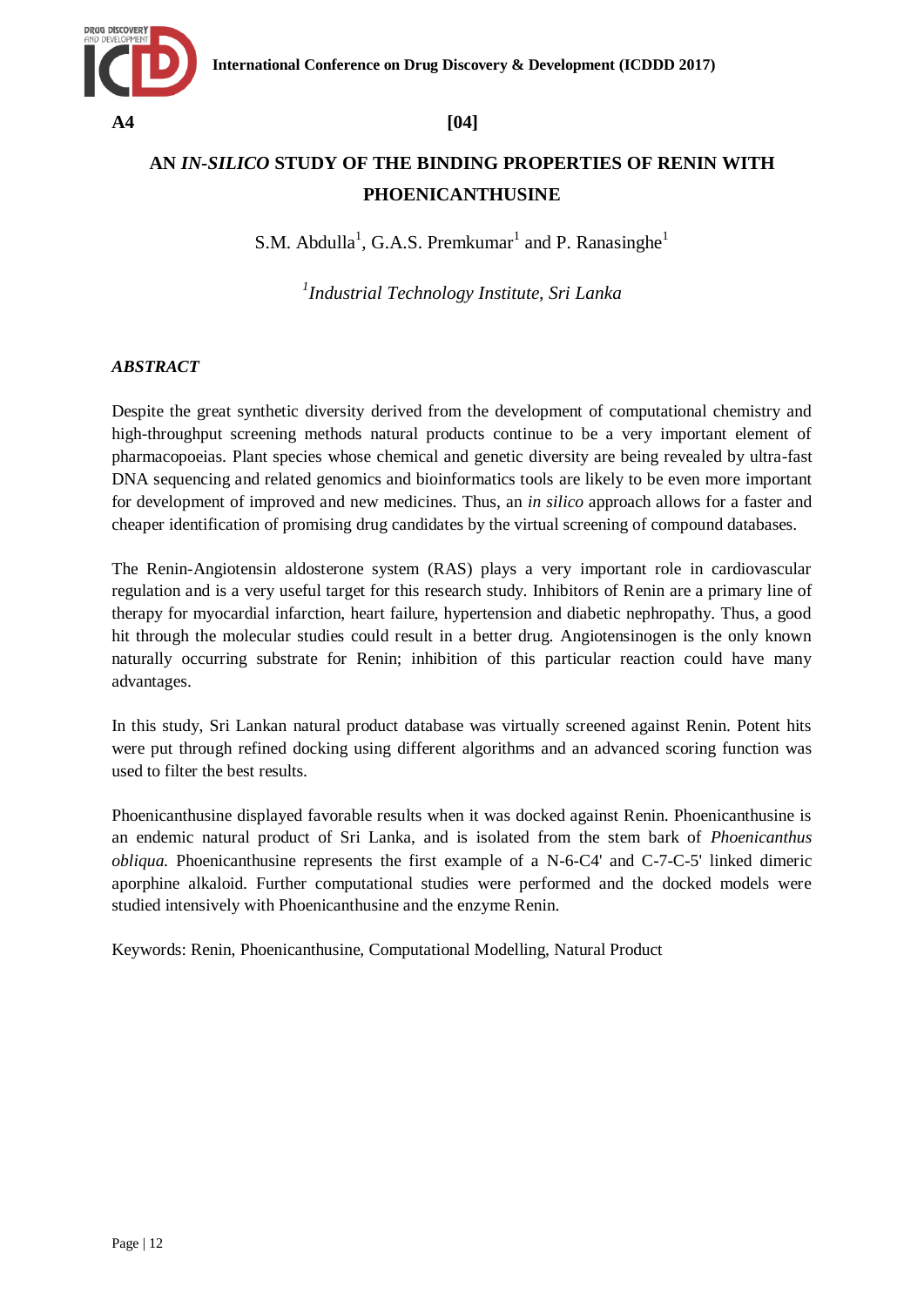

# **AN** *IN-SILICO* **STUDY OF THE BINDING PROPERTIES OF RENIN WITH PHOENICANTHUSINE**

S.M. Abdulla<sup>1</sup>, G.A.S. Premkumar<sup>1</sup> and P. Ranasinghe<sup>1</sup>

*1 Industrial Technology Institute, Sri Lanka*

## *ABSTRACT*

Despite the great synthetic diversity derived from the development of computational chemistry and high-throughput screening methods natural products continue to be a very important element of pharmacopoeias. Plant species whose chemical and genetic diversity are being revealed by ultra-fast DNA sequencing and related genomics and bioinformatics tools are likely to be even more important for development of improved and new medicines. Thus, an *in silico* approach allows for a faster and cheaper identification of promising drug candidates by the virtual screening of compound databases.

The Renin-Angiotensin aldosterone system (RAS) plays a very important role in cardiovascular regulation and is a very useful target for this research study. Inhibitors of Renin are a primary line of therapy for myocardial infarction, heart failure, hypertension and diabetic nephropathy. Thus, a good hit through the molecular studies could result in a better drug. Angiotensinogen is the only known naturally occurring substrate for Renin; inhibition of this particular reaction could have many advantages.

In this study, Sri Lankan natural product database was virtually screened against Renin. Potent hits were put through refined docking using different algorithms and an advanced scoring function was used to filter the best results.

Phoenicanthusine displayed favorable results when it was docked against Renin. Phoenicanthusine is an endemic natural product of Sri Lanka, and is isolated from the stem bark of *Phoenicanthus obliqua*. Phoenicanthusine represents the first example of a N-6-C4' and C-7-C-5' linked dimeric aporphine alkaloid. Further computational studies were performed and the docked models were studied intensively with Phoenicanthusine and the enzyme Renin.

Keywords: Renin, Phoenicanthusine, Computational Modelling, Natural Product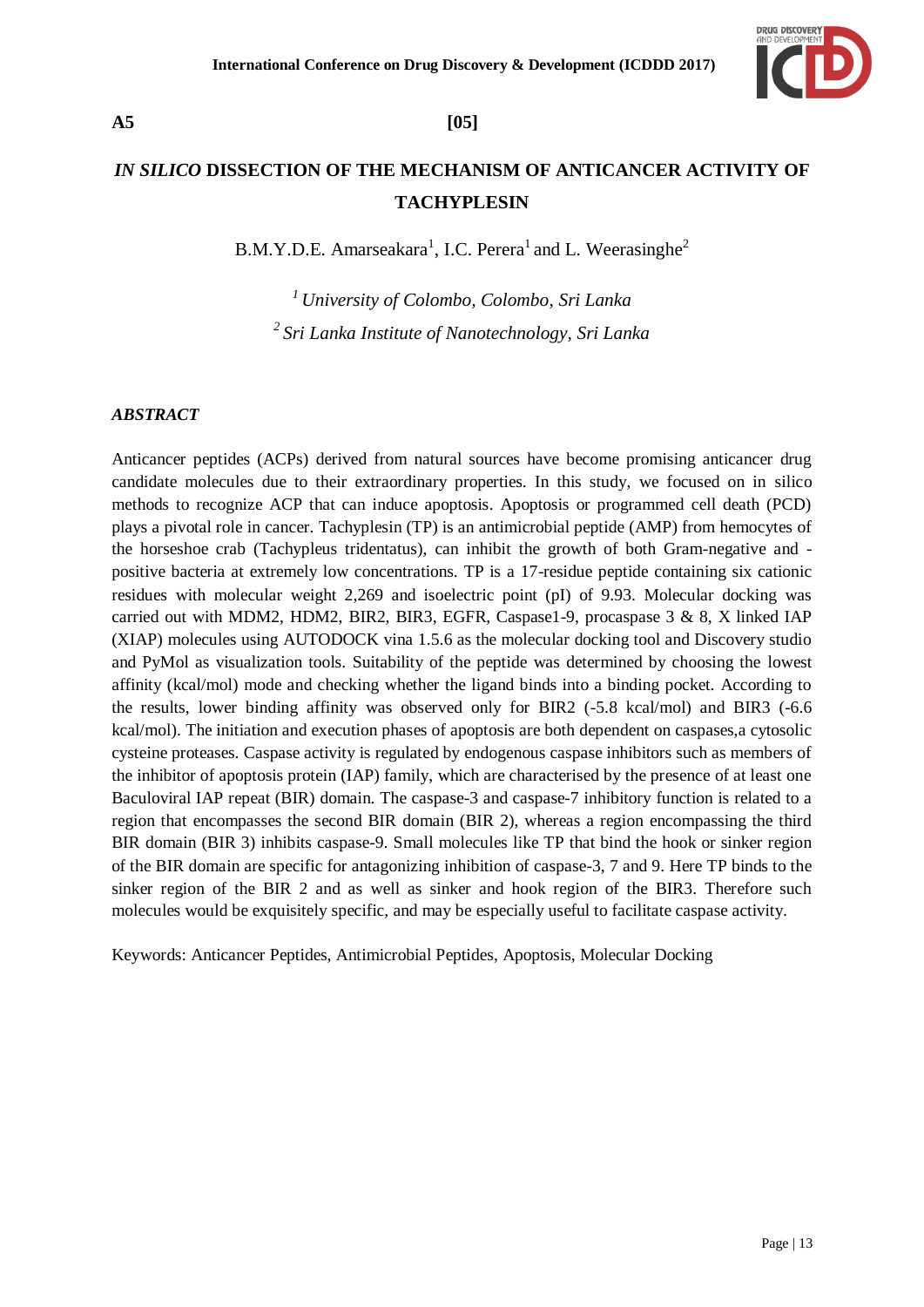

# **A5 [05]**

# *IN SILICO* **DISSECTION OF THE MECHANISM OF ANTICANCER ACTIVITY OF TACHYPLESIN**

B.M.Y.D.E. Amarseakara<sup>1</sup>, I.C. Perera<sup>1</sup> and L. Weerasinghe<sup>2</sup>

*<sup>1</sup>University of Colombo, Colombo, Sri Lanka <sup>2</sup>Sri Lanka Institute of Nanotechnology, Sri Lanka* 

### *ABSTRACT*

Anticancer peptides (ACPs) derived from natural sources have become promising anticancer drug candidate molecules due to their extraordinary properties. In this study, we focused on in silico methods to recognize ACP that can induce apoptosis. Apoptosis or programmed cell death (PCD) plays a pivotal role in cancer. Tachyplesin (TP) is an antimicrobial peptide (AMP) from hemocytes of the horseshoe crab (Tachypleus tridentatus), can inhibit the growth of both Gram-negative and positive bacteria at extremely low concentrations. TP is a 17-residue peptide containing six cationic residues with molecular weight 2,269 and isoelectric point (pI) of 9.93. Molecular docking was carried out with MDM2, HDM2, BIR2, BIR3, EGFR, Caspase1-9, procaspase 3 & 8, X linked IAP (XIAP) molecules using AUTODOCK vina 1.5.6 as the molecular docking tool and Discovery studio and PyMol as visualization tools. Suitability of the peptide was determined by choosing the lowest affinity (kcal/mol) mode and checking whether the ligand binds into a binding pocket. According to the results, lower binding affinity was observed only for BIR2 (-5.8 kcal/mol) and BIR3 (-6.6 kcal/mol). The initiation and execution phases of apoptosis are both dependent on caspases,a cytosolic cysteine proteases. Caspase activity is regulated by endogenous caspase inhibitors such as members of the inhibitor of apoptosis protein (IAP) family, which are characterised by the presence of at least one Baculoviral IAP repeat (BIR) domain. The caspase-3 and caspase-7 inhibitory function is related to a region that encompasses the second BIR domain (BIR 2), whereas a region encompassing the third BIR domain (BIR 3) inhibits caspase-9. Small molecules like TP that bind the hook or sinker region of the BIR domain are specific for antagonizing inhibition of caspase-3, 7 and 9. Here TP binds to the sinker region of the BIR 2 and as well as sinker and hook region of the BIR3. Therefore such molecules would be exquisitely specific, and may be especially useful to facilitate caspase activity.

Keywords: Anticancer Peptides, Antimicrobial Peptides, Apoptosis, Molecular Docking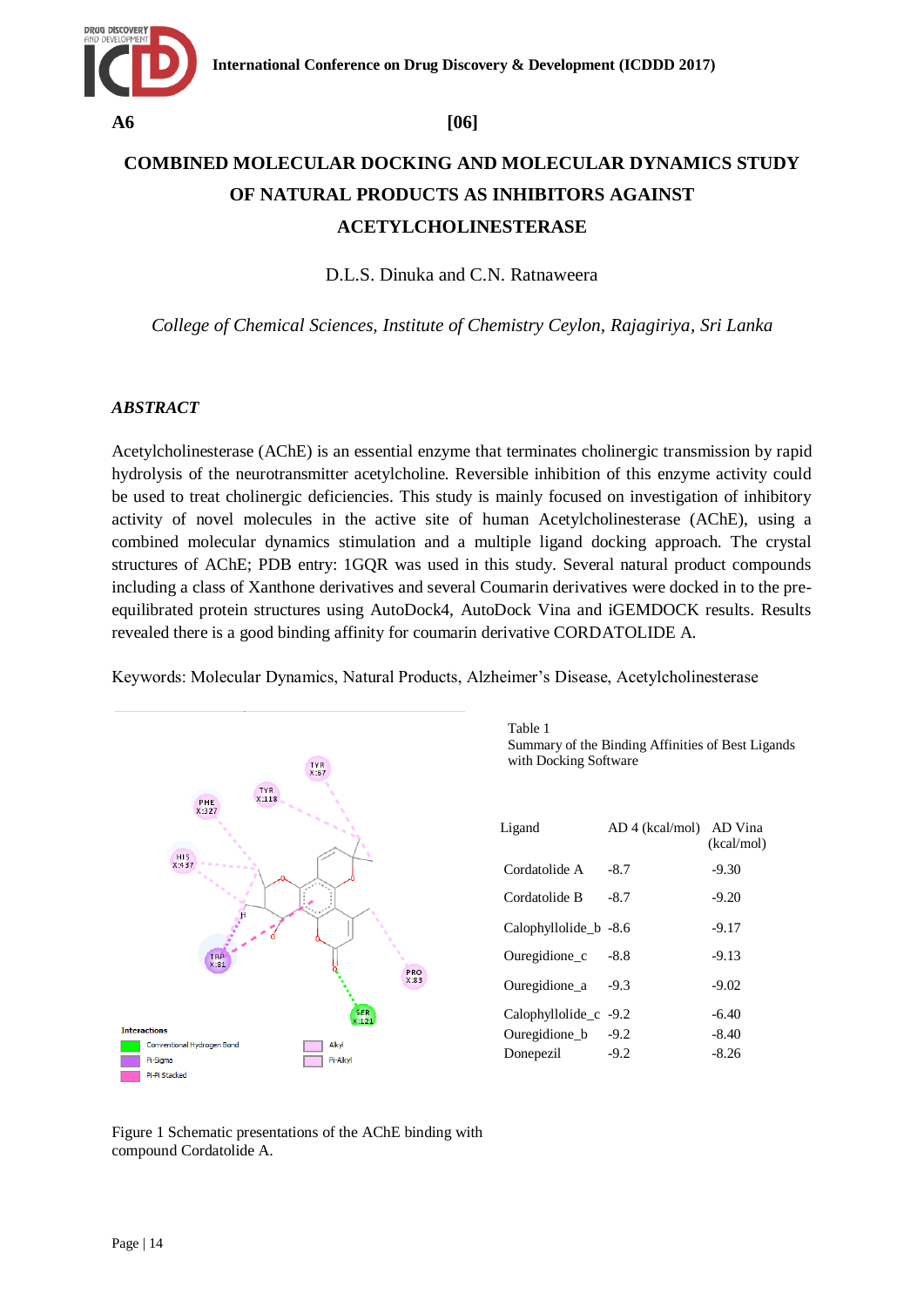

# **COMBINED MOLECULAR DOCKING AND MOLECULAR DYNAMICS STUDY OF NATURAL PRODUCTS AS INHIBITORS AGAINST ACETYLCHOLINESTERASE**

D.L.S. Dinuka and C.N. Ratnaweera

*College of Chemical Sciences, Institute of Chemistry Ceylon, Rajagiriya, Sri Lanka*

### *ABSTRACT*

Acetylcholinesterase (AChE) is an essential enzyme that terminates cholinergic transmission by rapid hydrolysis of the neurotransmitter acetylcholine. Reversible inhibition of this enzyme activity could be used to treat cholinergic deficiencies. This study is mainly focused on investigation of inhibitory activity of novel molecules in the active site of human Acetylcholinesterase (AChE), using a combined molecular dynamics stimulation and a multiple ligand docking approach. The crystal structures of AChE; PDB entry: 1GQR was used in this study. Several natural product compounds including a class of Xanthone derivatives and several Coumarin derivatives were docked in to the preequilibrated protein structures using AutoDock4, AutoDock Vina and iGEMDOCK results. Results revealed there is a good binding affinity for coumarin derivative CORDATOLIDE A.

Keywords: Molecular Dynamics, Natural Products, Alzheimer"s Disease, Acetylcholinesterase



Table 1 Summary of the Binding Affinities of Best Ligands with Docking Software

| Ligand                  | AD 4 (kcal/mol) | AD Vina<br>(kcal/mol) |
|-------------------------|-----------------|-----------------------|
| Cordatolide A           | $-8.7$          | $-9.30$               |
| Cordatolide B           | $-8.7$          | $-9.20$               |
| Calophyllolide b -8.6   |                 | $-9.17$               |
| Ouregidione c           | -8.8            | $-9.13$               |
| Ouregidione a           | $-9.3$          | $-9.02$               |
| Calophyllolide $c$ -9.2 |                 | $-6.40$               |
| Ouregidione b           | $-9.2$          | $-8.40$               |
| Donepezil               | $-9.2$          | $-8.26$               |

Figure 1 Schematic presentations of the AChE binding with compound Cordatolide A.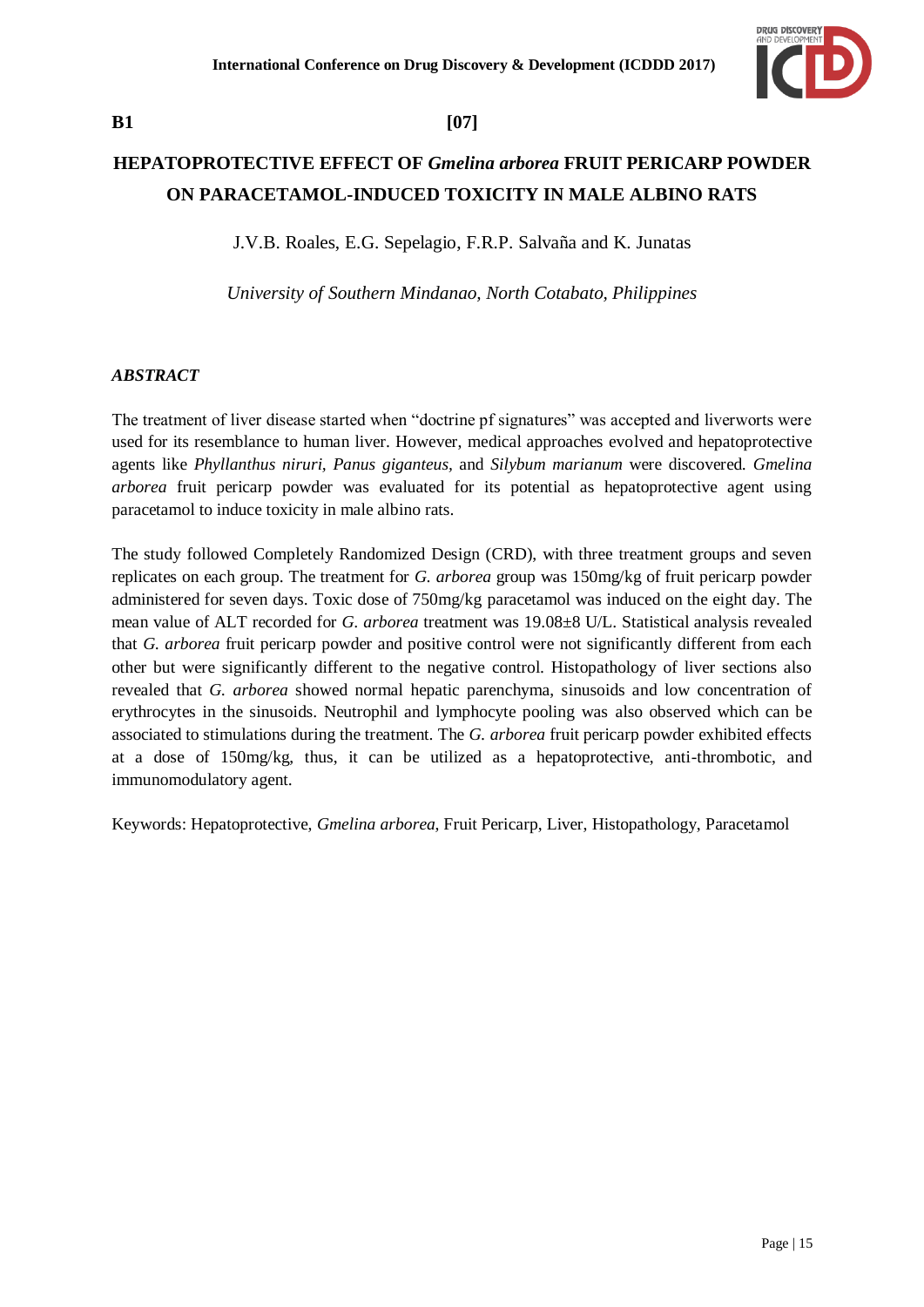

# **B1 [07]**

# **HEPATOPROTECTIVE EFFECT OF** *Gmelina arborea* **FRUIT PERICARP POWDER ON PARACETAMOL-INDUCED TOXICITY IN MALE ALBINO RATS**

J.V.B. Roales, E.G. Sepelagio, F.R.P. Salvaña and K. Junatas

*University of Southern Mindanao, North Cotabato, Philippines* 

### *ABSTRACT*

The treatment of liver disease started when "doctrine pf signatures" was accepted and liverworts were used for its resemblance to human liver. However, medical approaches evolved and hepatoprotective agents like *Phyllanthus niruri, Panus giganteus,* and *Silybum marianum* were discovered. *Gmelina arborea* fruit pericarp powder was evaluated for its potential as hepatoprotective agent using paracetamol to induce toxicity in male albino rats.

The study followed Completely Randomized Design (CRD), with three treatment groups and seven replicates on each group. The treatment for *G. arborea* group was 150mg/kg of fruit pericarp powder administered for seven days. Toxic dose of 750mg/kg paracetamol was induced on the eight day. The mean value of ALT recorded for *G. arborea* treatment was 19.08±8 U/L. Statistical analysis revealed that *G. arborea* fruit pericarp powder and positive control were not significantly different from each other but were significantly different to the negative control. Histopathology of liver sections also revealed that *G. arborea* showed normal hepatic parenchyma, sinusoids and low concentration of erythrocytes in the sinusoids. Neutrophil and lymphocyte pooling was also observed which can be associated to stimulations during the treatment. The *G. arborea* fruit pericarp powder exhibited effects at a dose of 150mg/kg, thus, it can be utilized as a hepatoprotective, anti-thrombotic, and immunomodulatory agent.

Keywords: Hepatoprotective, *Gmelina arborea*, Fruit Pericarp, Liver, Histopathology, Paracetamol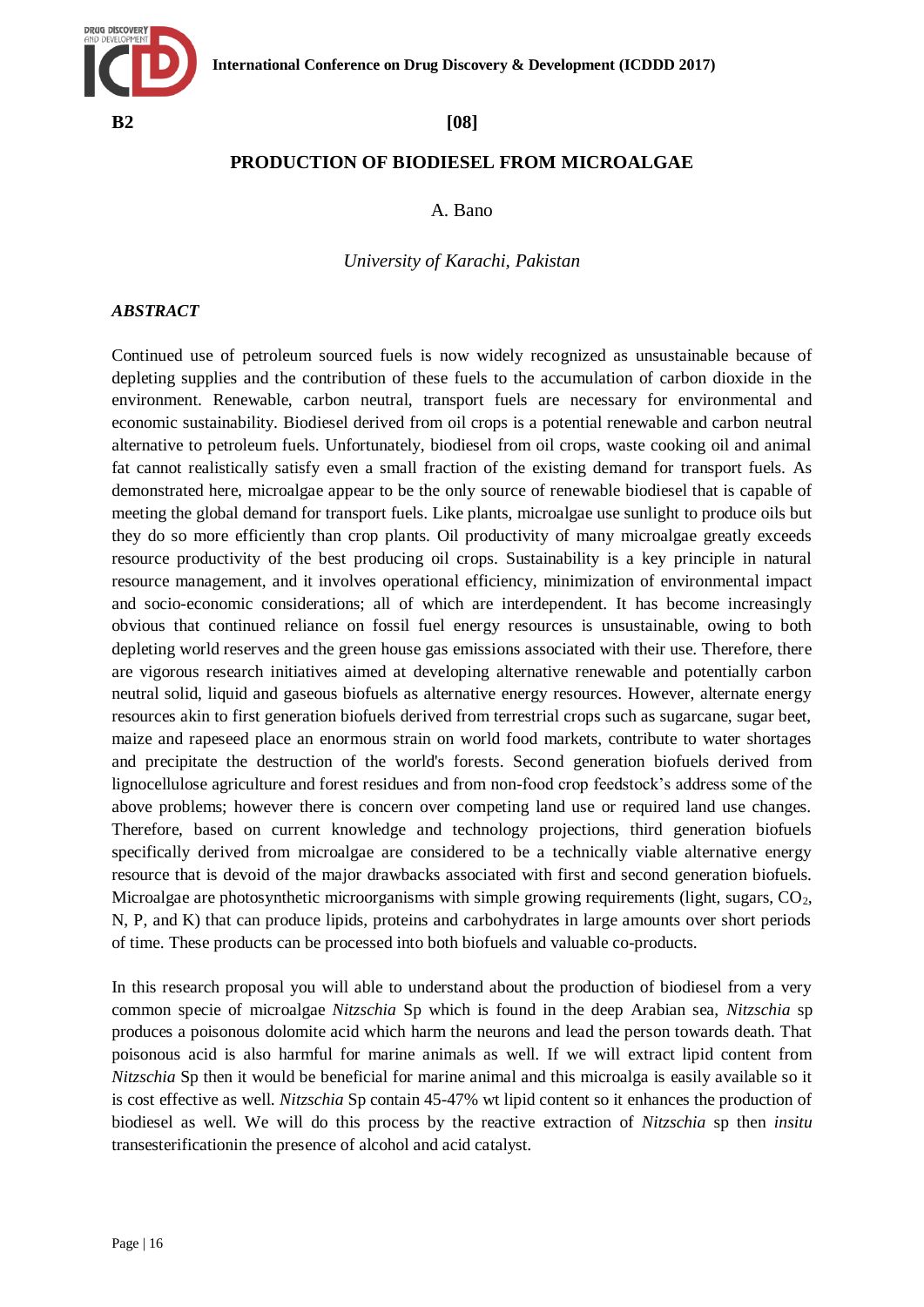

## **PRODUCTION OF BIODIESEL FROM MICROALGAE**

### A. Bano

### *University of Karachi, Pakistan*

### *ABSTRACT*

Continued use of petroleum sourced fuels is now widely recognized as unsustainable because of depleting supplies and the contribution of these fuels to the accumulation of carbon dioxide in the environment. Renewable, carbon neutral, transport fuels are necessary for environmental and economic sustainability. Biodiesel derived from oil crops is a potential renewable and carbon neutral alternative to petroleum fuels. Unfortunately, biodiesel from oil crops, waste cooking oil and animal fat cannot realistically satisfy even a small fraction of the existing demand for transport fuels. As demonstrated here, microalgae appear to be the only source of renewable biodiesel that is capable of meeting the global demand for transport fuels. Like plants, microalgae use sunlight to produce oils but they do so more efficiently than crop plants. Oil productivity of many microalgae greatly exceeds resource productivity of the best producing oil crops. Sustainability is a key principle in natural resource management, and it involves operational efficiency, minimization of environmental impact and socio-economic considerations; all of which are interdependent. It has become increasingly obvious that continued reliance on fossil fuel energy resources is unsustainable, owing to both depleting world reserves and the green house gas emissions associated with their use. Therefore, there are vigorous research initiatives aimed at developing alternative renewable and potentially carbon neutral solid, liquid and gaseous biofuels as alternative energy resources. However, alternate energy resources akin to first generation biofuels derived from terrestrial crops such as sugarcane, sugar beet, maize and rapeseed place an enormous strain on world food markets, contribute to water shortages and precipitate the destruction of the world's forests. Second generation biofuels derived from lignocellulose agriculture and forest residues and from non-food crop feedstock"s address some of the above problems; however there is concern over competing land use or required land use changes. Therefore, based on current knowledge and technology projections, third generation biofuels specifically derived from microalgae are considered to be a technically viable alternative energy resource that is devoid of the major drawbacks associated with first and second generation biofuels. Microalgae are photosynthetic microorganisms with simple growing requirements (light, sugars,  $CO<sub>2</sub>$ , N, P, and K) that can produce lipids, proteins and carbohydrates in large amounts over short periods of time. These products can be processed into both biofuels and valuable co-products.

In this research proposal you will able to understand about the production of biodiesel from a very common specie of microalgae *Nitzschia* Sp which is found in the deep Arabian sea, *Nitzschia* sp produces a poisonous dolomite acid which harm the neurons and lead the person towards death. That poisonous acid is also harmful for marine animals as well. If we will extract lipid content from *Nitzschia* Sp then it would be beneficial for marine animal and this microalga is easily available so it is cost effective as well. *Nitzschia* Sp contain 45-47% wt lipid content so it enhances the production of biodiesel as well. We will do this process by the reactive extraction of *Nitzschia* sp then *insitu* transesterificationin the presence of alcohol and acid catalyst.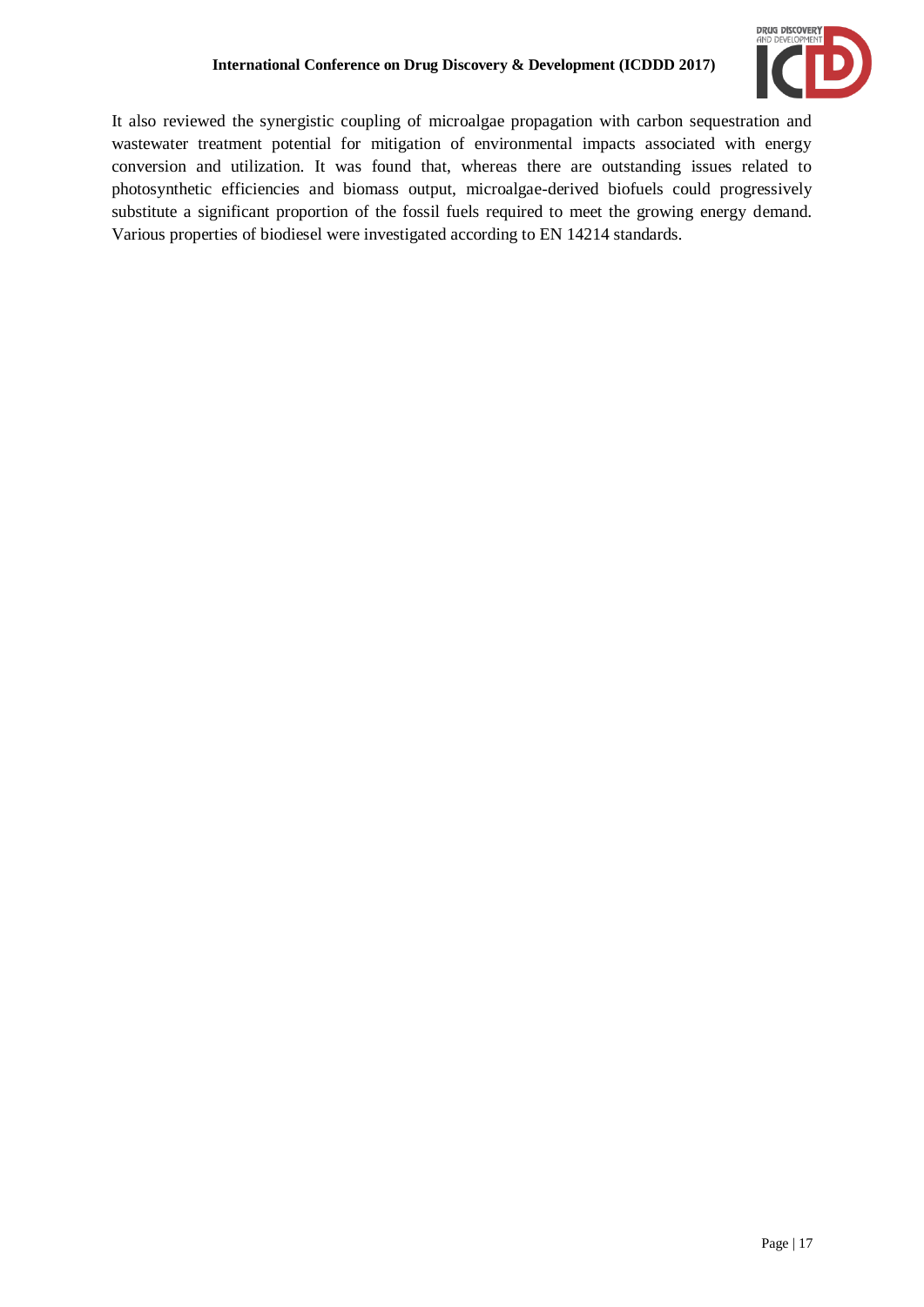

It also reviewed the synergistic coupling of microalgae propagation with carbon sequestration and wastewater treatment potential for mitigation of environmental impacts associated with energy conversion and utilization. It was found that, whereas there are outstanding issues related to photosynthetic efficiencies and biomass output, microalgae-derived biofuels could progressively substitute a significant proportion of the fossil fuels required to meet the growing energy demand. Various properties of biodiesel were investigated according to EN 14214 standards.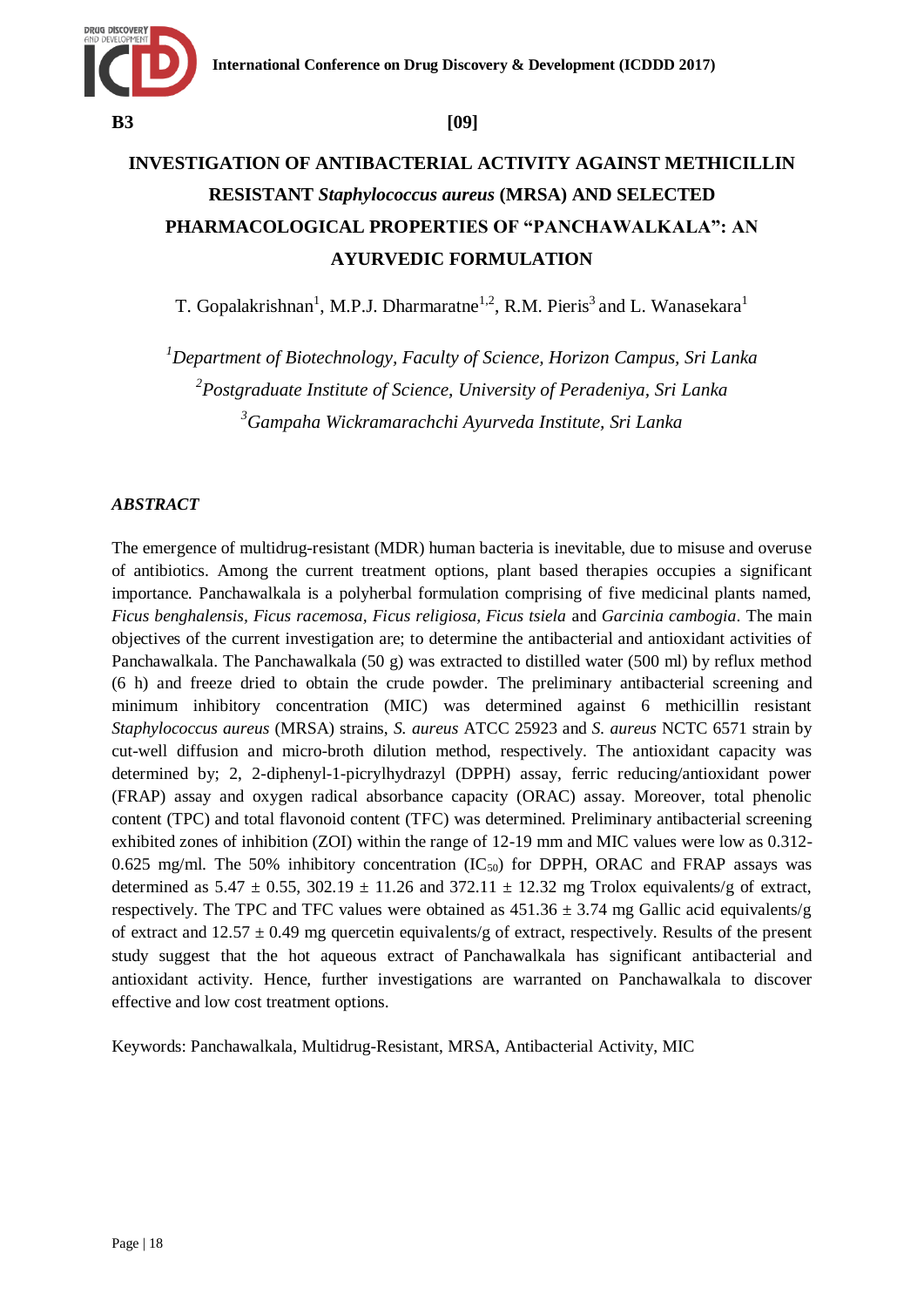

# **INVESTIGATION OF ANTIBACTERIAL ACTIVITY AGAINST METHICILLIN RESISTANT** *Staphylococcus aureus* **(MRSA) AND SELECTED PHARMACOLOGICAL PROPERTIES OF "PANCHAWALKALA": AN AYURVEDIC FORMULATION**

T. Gopalakrishnan<sup>1</sup>, M.P.J. Dharmaratne<sup>1,2</sup>, R.M. Pieris<sup>3</sup> and L. Wanasekara<sup>1</sup>

*<sup>1</sup>Department of Biotechnology, Faculty of Science, Horizon Campus, Sri Lanka 2 Postgraduate Institute of Science, University of Peradeniya, Sri Lanka <sup>3</sup>Gampaha Wickramarachchi Ayurveda Institute, Sri Lanka*

# *ABSTRACT*

The emergence of multidrug-resistant (MDR) human bacteria is inevitable, due to misuse and overuse of antibiotics. Among the current treatment options, plant based therapies occupies a significant importance. Panchawalkala is a polyherbal formulation comprising of five medicinal plants named, *Ficus benghalensis, Ficus racemosa, Ficus religiosa, Ficus tsiela* and *Garcinia cambogia*. The main objectives of the current investigation are; to determine the antibacterial and antioxidant activities of Panchawalkala. The Panchawalkala (50 g) was extracted to distilled water (500 ml) by reflux method (6 h) and freeze dried to obtain the crude powder. The preliminary antibacterial screening and minimum inhibitory concentration (MIC) was determined against 6 methicillin resistant *Staphylococcus aureus* (MRSA) strains, *S. aureus* ATCC 25923 and *S. aureus* NCTC 6571 strain by cut-well diffusion and micro-broth dilution method, respectively. The antioxidant capacity was determined by; 2, 2-diphenyl-1-picrylhydrazyl (DPPH) assay, ferric reducing/antioxidant power (FRAP) assay and oxygen radical absorbance capacity (ORAC) assay. Moreover, total phenolic content (TPC) and total flavonoid content (TFC) was determined. Preliminary antibacterial screening exhibited zones of inhibition (ZOI) within the range of 12-19 mm and MIC values were low as 0.312- 0.625 mg/ml. The 50% inhibitory concentration  $(IC_{50})$  for DPPH, ORAC and FRAP assays was determined as  $5.47 \pm 0.55$ ,  $302.19 \pm 11.26$  and  $372.11 \pm 12.32$  mg Trolox equivalents/g of extract, respectively. The TPC and TFC values were obtained as  $451.36 \pm 3.74$  mg Gallic acid equivalents/g of extract and  $12.57 \pm 0.49$  mg quercetin equivalents/g of extract, respectively. Results of the present study suggest that the hot aqueous extract of Panchawalkala has significant antibacterial and antioxidant activity. Hence, further investigations are warranted on Panchawalkala to discover effective and low cost treatment options.

Keywords: Panchawalkala, Multidrug-Resistant, MRSA, Antibacterial Activity, MIC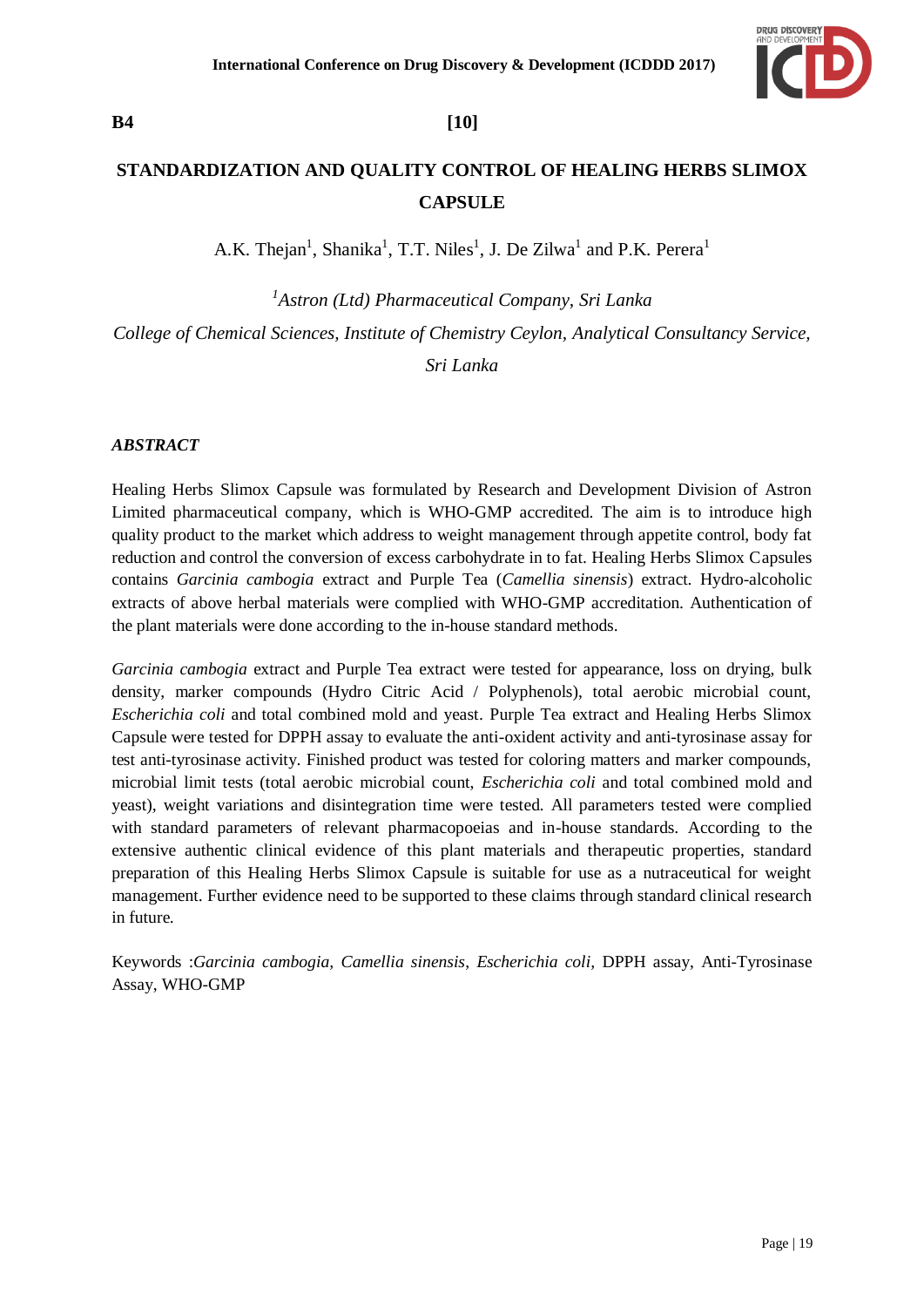

# **B4 [10]**

# **STANDARDIZATION AND QUALITY CONTROL OF HEALING HERBS SLIMOX CAPSULE**

A.K. Thejan<sup>1</sup>, Shanika<sup>1</sup>, T.T. Niles<sup>1</sup>, J. De Zilwa<sup>1</sup> and P.K. Perera<sup>1</sup>

*1 Astron (Ltd) Pharmaceutical Company, Sri Lanka College of Chemical Sciences, Institute of Chemistry Ceylon, Analytical Consultancy Service,* 

*Sri Lanka*

### *ABSTRACT*

Healing Herbs Slimox Capsule was formulated by Research and Development Division of Astron Limited pharmaceutical company, which is WHO-GMP accredited. The aim is to introduce high quality product to the market which address to weight management through appetite control, body fat reduction and control the conversion of excess carbohydrate in to fat. Healing Herbs Slimox Capsules contains *Garcinia cambogia* extract and Purple Tea (*Camellia sinensis*) extract. Hydro-alcoholic extracts of above herbal materials were complied with WHO-GMP accreditation. Authentication of the plant materials were done according to the in-house standard methods.

*Garcinia cambogia* extract and Purple Tea extract were tested for appearance, loss on drying, bulk density, marker compounds (Hydro Citric Acid / Polyphenols), total aerobic microbial count, *Escherichia coli* and total combined mold and yeast. Purple Tea extract and Healing Herbs Slimox Capsule were tested for DPPH assay to evaluate the anti-oxident activity and anti-tyrosinase assay for test anti-tyrosinase activity. Finished product was tested for coloring matters and marker compounds, microbial limit tests (total aerobic microbial count, *Escherichia coli* and total combined mold and yeast)*,* weight variations and disintegration time were tested. All parameters tested were complied with standard parameters of relevant pharmacopoeias and in-house standards. According to the extensive authentic clinical evidence of this plant materials and therapeutic properties, standard preparation of this Healing Herbs Slimox Capsule is suitable for use as a nutraceutical for weight management. Further evidence need to be supported to these claims through standard clinical research in future.

Keywords :*Garcinia cambogia, Camellia sinensis*, *Escherichia coli,* DPPH assay, Anti-Tyrosinase Assay, WHO-GMP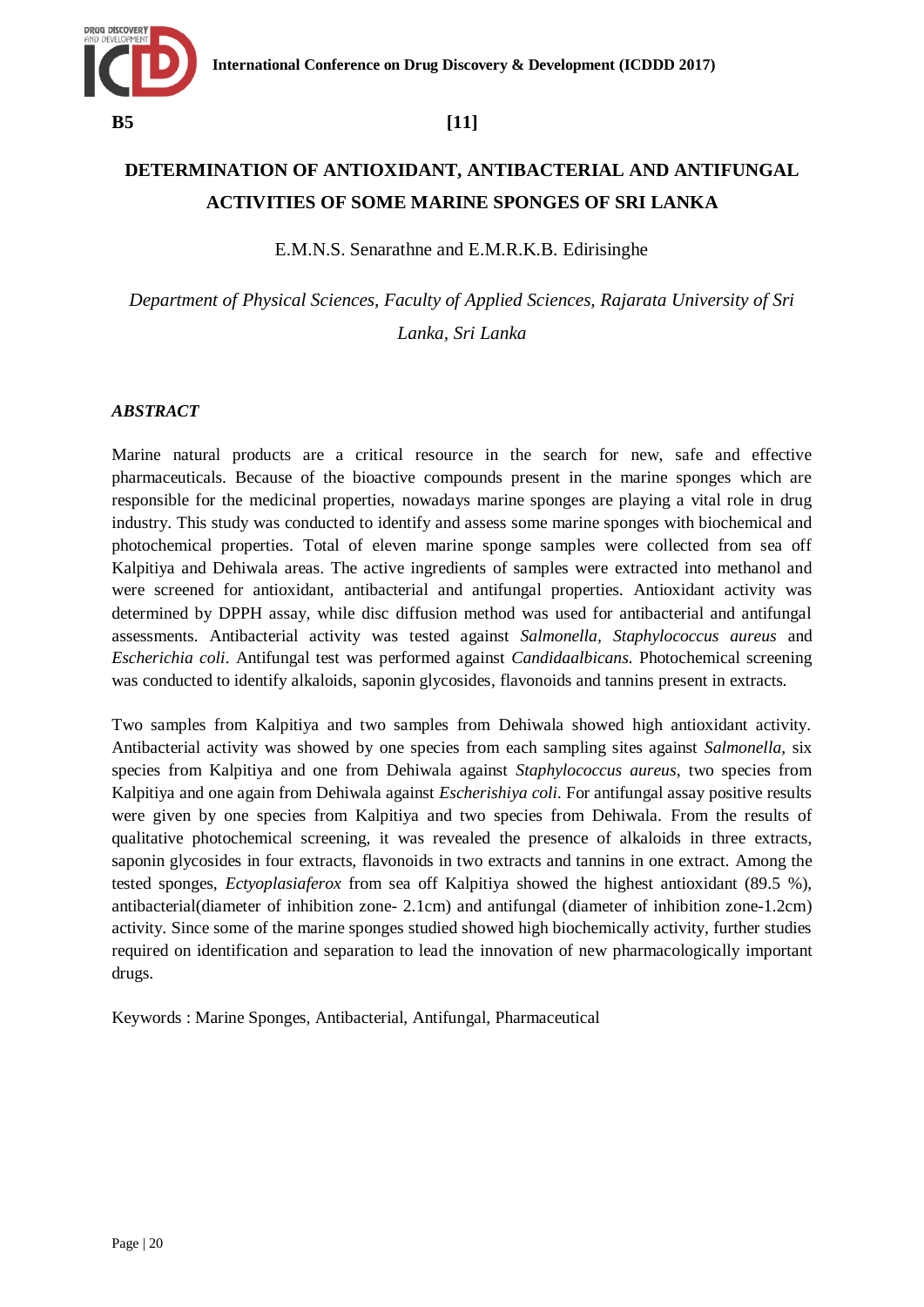

# **DETERMINATION OF ANTIOXIDANT, ANTIBACTERIAL AND ANTIFUNGAL ACTIVITIES OF SOME MARINE SPONGES OF SRI LANKA**

E.M.N.S. Senarathne and E.M.R.K.B. Edirisinghe

*Department of Physical Sciences, Faculty of Applied Sciences, Rajarata University of Sri Lanka, Sri Lanka* 

### *ABSTRACT*

Marine natural products are a critical resource in the search for new, safe and effective pharmaceuticals. Because of the bioactive compounds present in the marine sponges which are responsible for the medicinal properties, nowadays marine sponges are playing a vital role in drug industry. This study was conducted to identify and assess some marine sponges with biochemical and photochemical properties. Total of eleven marine sponge samples were collected from sea off Kalpitiya and Dehiwala areas. The active ingredients of samples were extracted into methanol and were screened for antioxidant, antibacterial and antifungal properties. Antioxidant activity was determined by DPPH assay, while disc diffusion method was used for antibacterial and antifungal assessments. Antibacterial activity was tested against *Salmonella, Staphylococcus aureus* and *Escherichia coli*. Antifungal test was performed against *Candidaalbicans*. Photochemical screening was conducted to identify alkaloids, saponin glycosides, flavonoids and tannins present in extracts.

Two samples from Kalpitiya and two samples from Dehiwala showed high antioxidant activity. Antibacterial activity was showed by one species from each sampling sites against *Salmonella*, six species from Kalpitiya and one from Dehiwala against *Staphylococcus aureus*, two species from Kalpitiya and one again from Dehiwala against *Escherishiya coli.* For antifungal assay positive results were given by one species from Kalpitiya and two species from Dehiwala. From the results of qualitative photochemical screening, it was revealed the presence of alkaloids in three extracts, saponin glycosides in four extracts, flavonoids in two extracts and tannins in one extract. Among the tested sponges, *Ectyoplasiaferox* from sea off Kalpitiya showed the highest antioxidant (89.5 %), antibacterial(diameter of inhibition zone- 2.1cm) and antifungal (diameter of inhibition zone-1.2cm) activity. Since some of the marine sponges studied showed high biochemically activity, further studies required on identification and separation to lead the innovation of new pharmacologically important drugs.

Keywords : Marine Sponges, Antibacterial, Antifungal, Pharmaceutical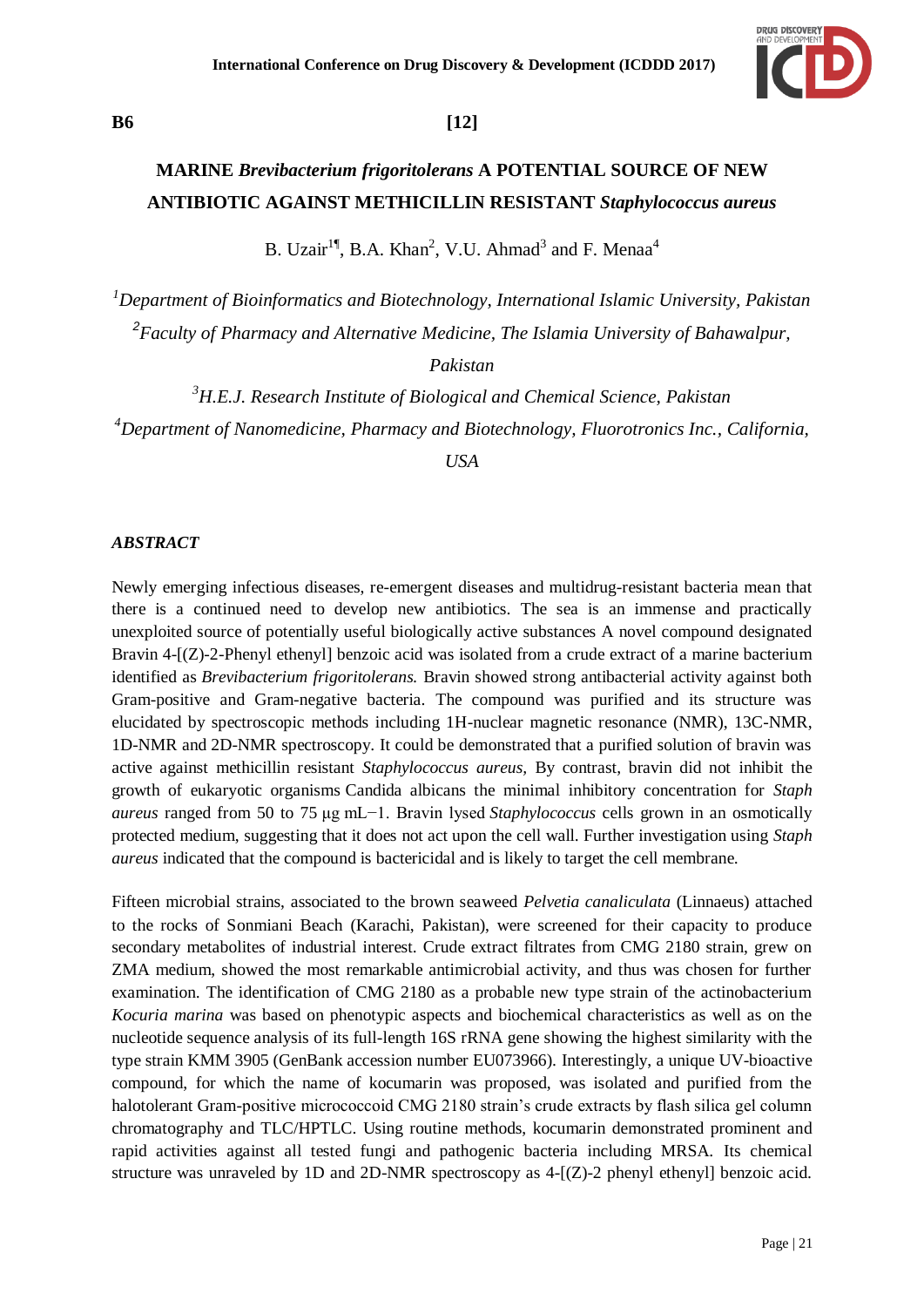

# **B6 [12]**

# **MARINE** *Brevibacterium frigoritolerans* **A POTENTIAL SOURCE OF NEW ANTIBIOTIC AGAINST METHICILLIN RESISTANT** *Staphylococcus aureus*

B. Uzair<sup>1¶</sup>, B.A. Khan<sup>2</sup>, V.U. Ahmad<sup>3</sup> and F. Menaa<sup>4</sup>

*<sup>1</sup>Department of Bioinformatics and Biotechnology, International Islamic University, Pakistan 2 Faculty of Pharmacy and Alternative Medicine, The Islamia University of Bahawalpur,* 

*Pakistan*

*<sup>3</sup>H.E.J. Research Institute of Biological and Chemical Science, Pakistan <sup>4</sup>Department of Nanomedicine, Pharmacy and Biotechnology, Fluorotronics Inc., California,* 

*USA* 

### *ABSTRACT*

Newly emerging infectious diseases, re-emergent diseases and multidrug-resistant bacteria mean that there is a continued need to develop new antibiotics. The sea is an immense and practically unexploited source of potentially useful biologically active substances A novel compound designated Bravin 4-[(Z)-2-Phenyl ethenyl] benzoic acid was isolated from a crude extract of a marine bacterium identified as *Brevibacterium frigoritolerans.* Bravin showed strong antibacterial activity against both Gram-positive and Gram-negative bacteria. The compound was purified and its structure was elucidated by spectroscopic methods including 1H-nuclear magnetic resonance (NMR), 13C-NMR, 1D-NMR and 2D-NMR spectroscopy. It could be demonstrated that a purified solution of bravin was active against methicillin resistant *Staphylococcus aureus,* By contrast, bravin did not inhibit the growth of eukaryotic organisms Candida albicans the minimal inhibitory concentration for *Staph aureus* ranged from 50 to 75 μg mL−1. Bravin lysed *Staphylococcus* cells grown in an osmotically protected medium, suggesting that it does not act upon the cell wall. Further investigation using *Staph aureus* indicated that the compound is bactericidal and is likely to target the cell membrane.

Fifteen microbial strains, associated to the brown seaweed *Pelvetia canaliculata* (Linnaeus) attached to the rocks of Sonmiani Beach (Karachi, Pakistan), were screened for their capacity to produce secondary metabolites of industrial interest. Crude extract filtrates from CMG 2180 strain, grew on ZMA medium, showed the most remarkable antimicrobial activity, and thus was chosen for further examination. The identification of CMG 2180 as a probable new type strain of the actinobacterium *Kocuria marina* was based on phenotypic aspects and biochemical characteristics as well as on the nucleotide sequence analysis of its full-length 16S rRNA gene showing the highest similarity with the type strain KMM 3905 (GenBank accession number EU073966). Interestingly, a unique UV-bioactive compound, for which the name of kocumarin was proposed, was isolated and purified from the halotolerant Gram-positive micrococcoid CMG 2180 strain's crude extracts by flash silica gel column chromatography and TLC/HPTLC. Using routine methods, kocumarin demonstrated prominent and rapid activities against all tested fungi and pathogenic bacteria including MRSA. Its chemical structure was unraveled by 1D and 2D-NMR spectroscopy as  $4-[Z]-2$  phenyl ethenyl benzoic acid.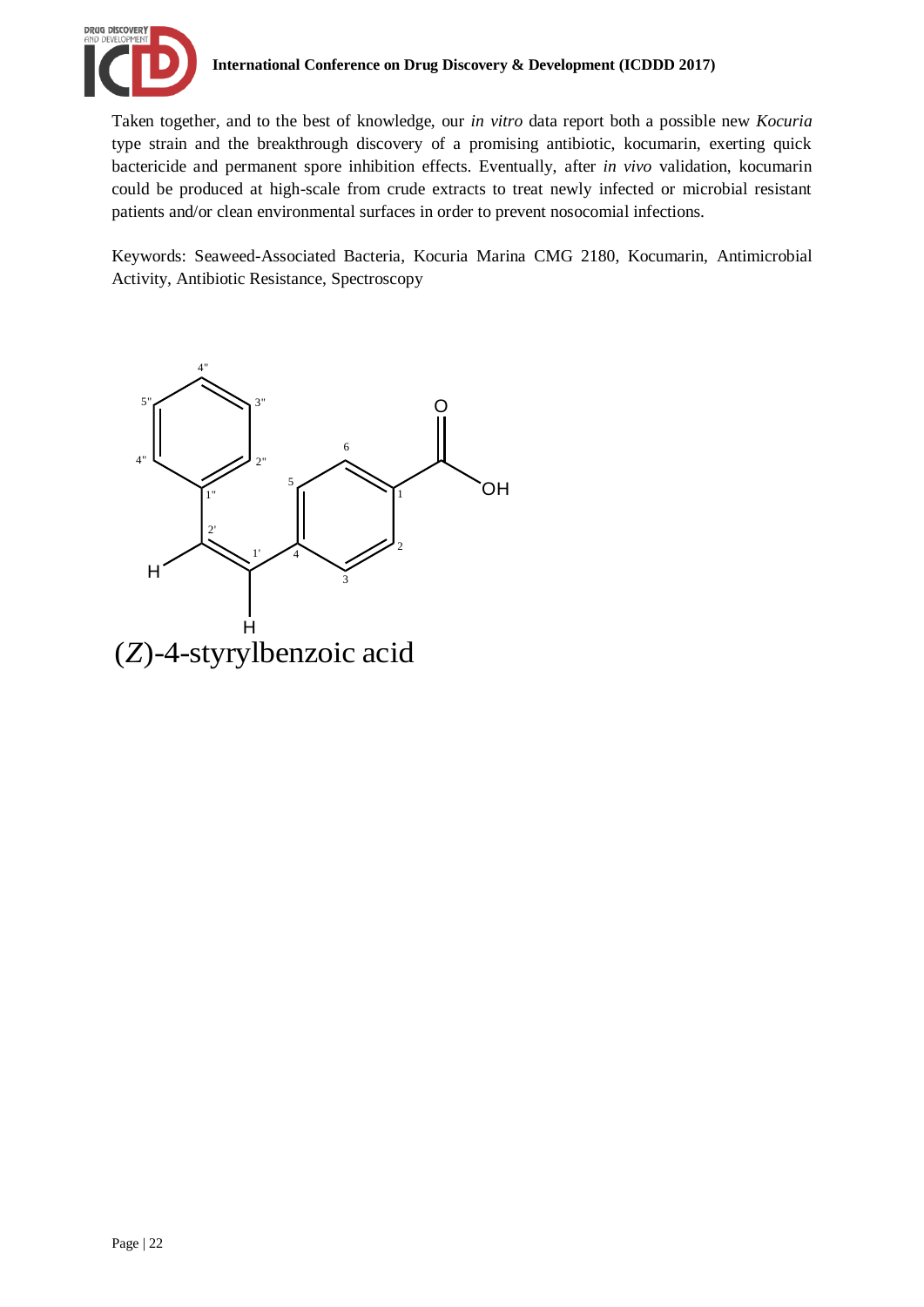

Taken together, and to the best of knowledge, our *in vitro* data report both a possible new *Kocuria* type strain and the breakthrough discovery of a promising antibiotic, kocumarin, exerting quick bactericide and permanent spore inhibition effects. Eventually, after *in vivo* validation, kocumarin could be produced at high-scale from crude extracts to treat newly infected or microbial resistant patients and/or clean environmental surfaces in order to prevent nosocomial infections.

Keywords: Seaweed-Associated Bacteria, Kocuria Marina CMG 2180, Kocumarin, Antimicrobial Activity, Antibiotic Resistance, Spectroscopy

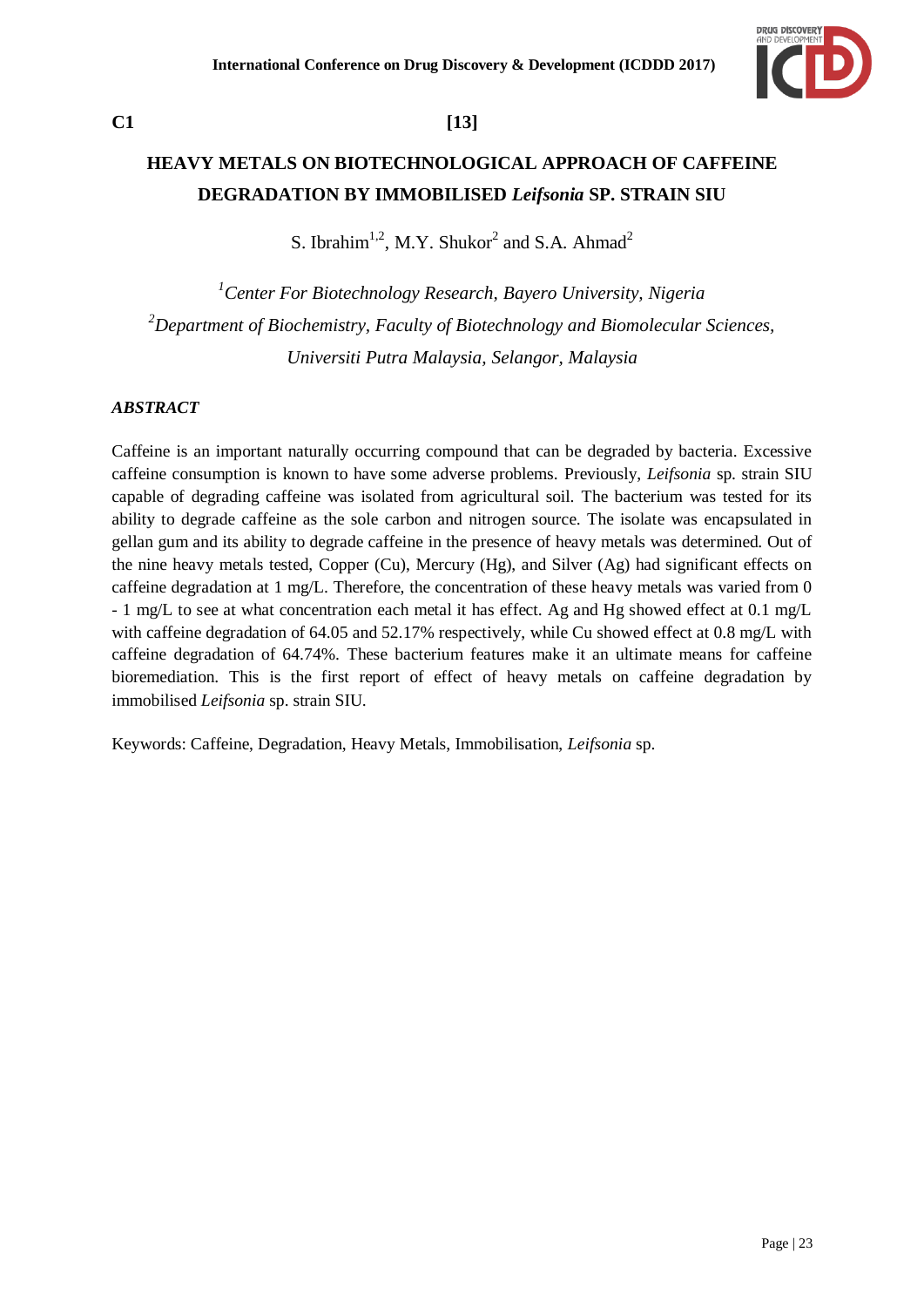

# **C1 [13]**

# **HEAVY METALS ON BIOTECHNOLOGICAL APPROACH OF CAFFEINE DEGRADATION BY IMMOBILISED** *Leifsonia* **SP. STRAIN SIU**

S. Ibrahim<sup>1,2</sup>, M.Y. Shukor<sup>2</sup> and S.A. Ahmad<sup>2</sup>

*<sup>1</sup>Center For Biotechnology Research, Bayero University, Nigeria <sup>2</sup>Department of Biochemistry, Faculty of Biotechnology and Biomolecular Sciences, Universiti Putra Malaysia, Selangor, Malaysia*

### *ABSTRACT*

Caffeine is an important naturally occurring compound that can be degraded by bacteria. Excessive caffeine consumption is known to have some adverse problems. Previously, *Leifsonia* sp. strain SIU capable of degrading caffeine was isolated from agricultural soil. The bacterium was tested for its ability to degrade caffeine as the sole carbon and nitrogen source. The isolate was encapsulated in gellan gum and its ability to degrade caffeine in the presence of heavy metals was determined. Out of the nine heavy metals tested, Copper (Cu), Mercury (Hg), and Silver (Ag) had significant effects on caffeine degradation at 1 mg/L. Therefore, the concentration of these heavy metals was varied from 0 - 1 mg/L to see at what concentration each metal it has effect. Ag and Hg showed effect at 0.1 mg/L with caffeine degradation of 64.05 and 52.17% respectively, while Cu showed effect at 0.8 mg/L with caffeine degradation of 64.74%. These bacterium features make it an ultimate means for caffeine bioremediation. This is the first report of effect of heavy metals on caffeine degradation by immobilised *Leifsonia* sp. strain SIU.

Keywords: Caffeine, Degradation, Heavy Metals, Immobilisation, *Leifsonia* sp.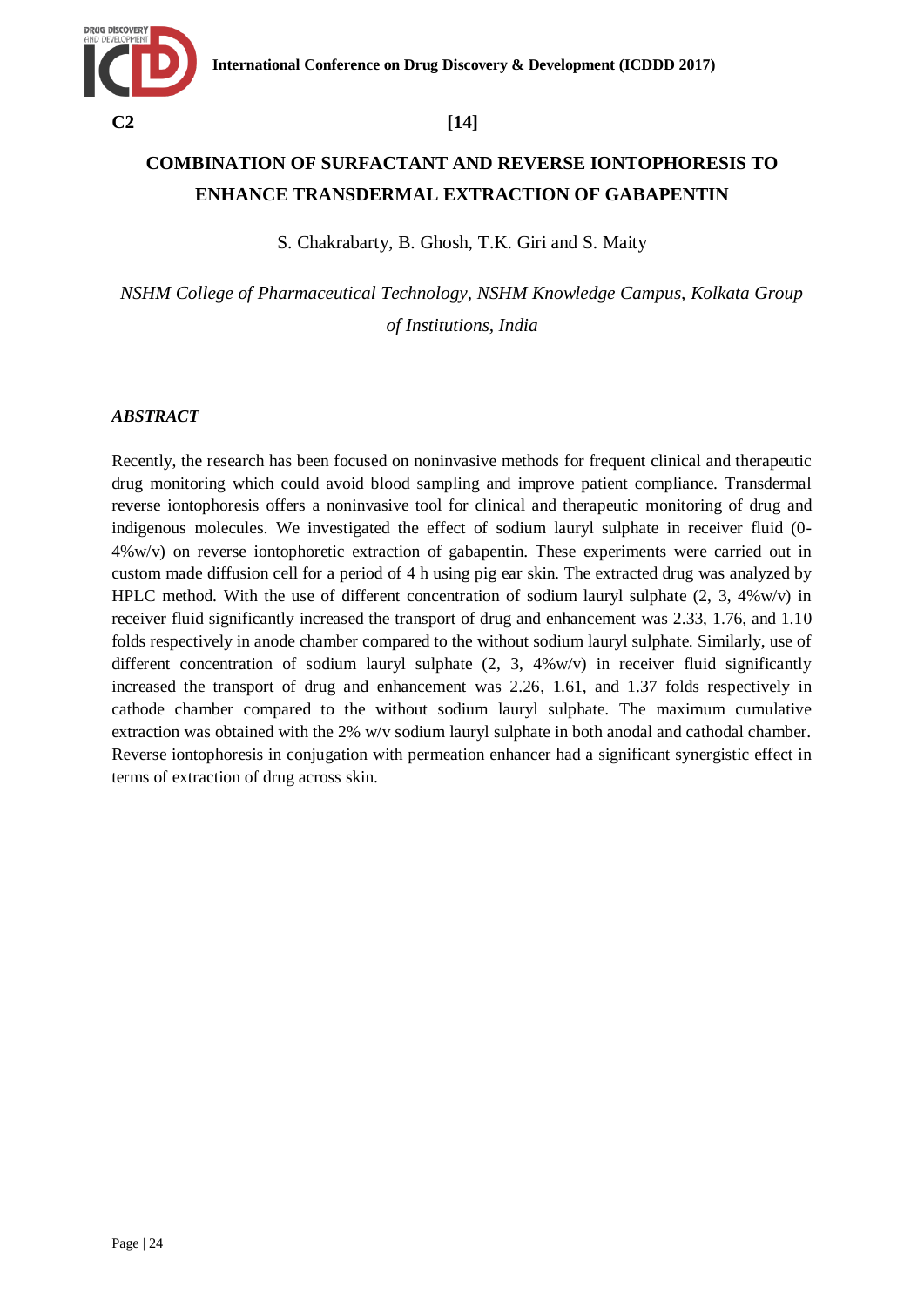

# **COMBINATION OF SURFACTANT AND REVERSE IONTOPHORESIS TO ENHANCE TRANSDERMAL EXTRACTION OF GABAPENTIN**

S. Chakrabarty, B. Ghosh, T.K. Giri and S. Maity

*NSHM College of Pharmaceutical Technology, NSHM Knowledge Campus, Kolkata Group of Institutions, India*

### *ABSTRACT*

Recently, the research has been focused on noninvasive methods for frequent clinical and therapeutic drug monitoring which could avoid blood sampling and improve patient compliance. Transdermal reverse iontophoresis offers a noninvasive tool for clinical and therapeutic monitoring of drug and indigenous molecules. We investigated the effect of sodium lauryl sulphate in receiver fluid (0- 4%w/v) on reverse iontophoretic extraction of gabapentin. These experiments were carried out in custom made diffusion cell for a period of 4 h using pig ear skin. The extracted drug was analyzed by HPLC method. With the use of different concentration of sodium lauryl sulphate  $(2, 3, 4\% \text{w/v})$  in receiver fluid significantly increased the transport of drug and enhancement was 2.33, 1.76, and 1.10 folds respectively in anode chamber compared to the without sodium lauryl sulphate. Similarly, use of different concentration of sodium lauryl sulphate  $(2, 3, 4\% \text{w/v})$  in receiver fluid significantly increased the transport of drug and enhancement was 2.26, 1.61, and 1.37 folds respectively in cathode chamber compared to the without sodium lauryl sulphate. The maximum cumulative extraction was obtained with the 2% w/v sodium lauryl sulphate in both anodal and cathodal chamber. Reverse iontophoresis in conjugation with permeation enhancer had a significant synergistic effect in terms of extraction of drug across skin.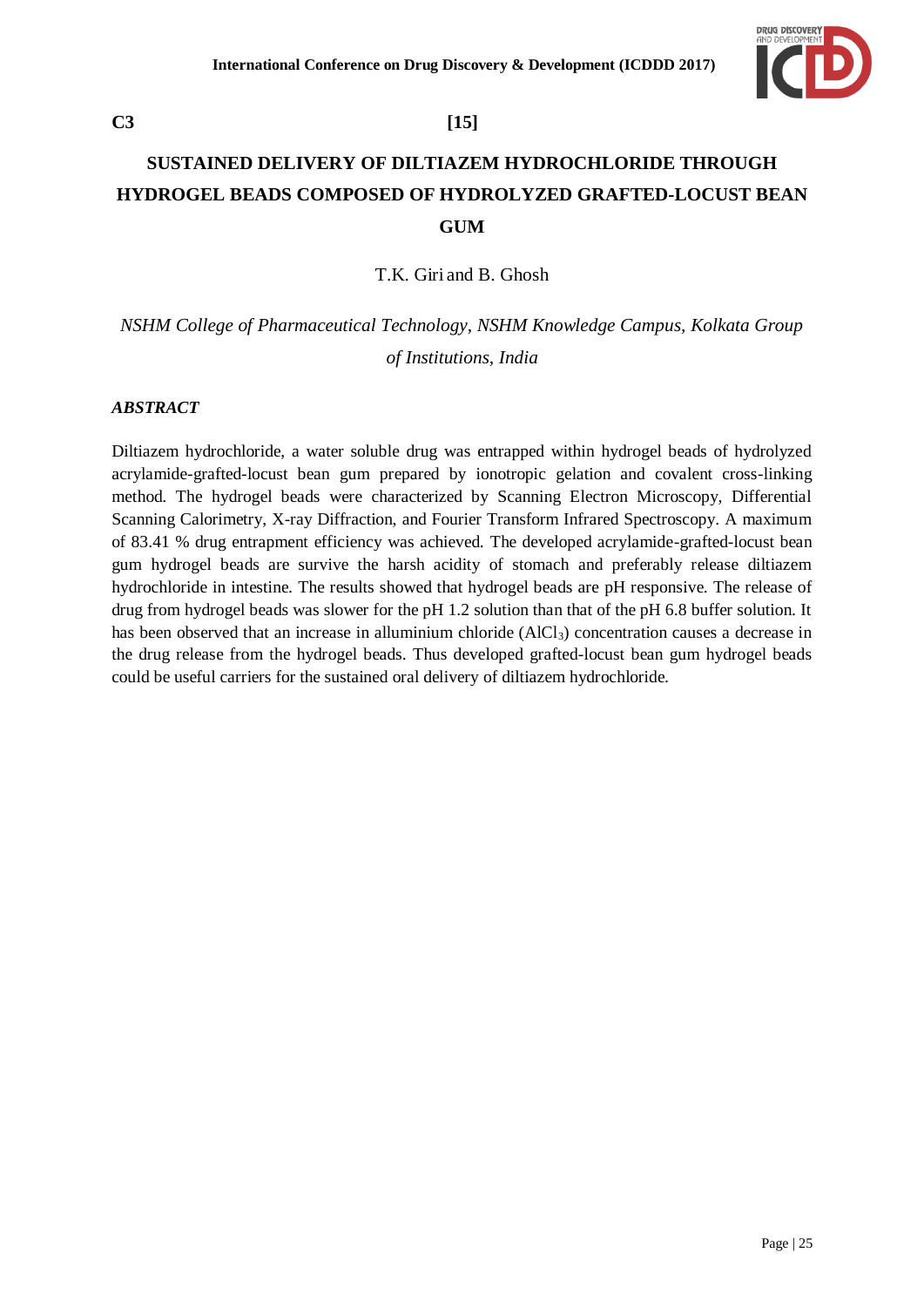

# **SUSTAINED DELIVERY OF DILTIAZEM HYDROCHLORIDE THROUGH HYDROGEL BEADS COMPOSED OF HYDROLYZED GRAFTED-LOCUST BEAN GUM**

T.K. Giri and B. Ghosh

*NSHM College of Pharmaceutical Technology, NSHM Knowledge Campus, Kolkata Group of Institutions, India*

### *ABSTRACT*

Diltiazem hydrochloride, a water soluble drug was entrapped within hydrogel beads of hydrolyzed acrylamide-grafted-locust bean gum prepared by ionotropic gelation and covalent cross-linking method. The hydrogel beads were characterized by Scanning Electron Microscopy, Differential Scanning Calorimetry, X-ray Diffraction, and Fourier Transform Infrared Spectroscopy. A maximum of 83.41 % drug entrapment efficiency was achieved. The developed acrylamide-grafted-locust bean gum hydrogel beads are survive the harsh acidity of stomach and preferably release diltiazem hydrochloride in intestine. The results showed that hydrogel beads are pH responsive. The release of drug from hydrogel beads was slower for the pH 1.2 solution than that of the pH 6.8 buffer solution. It has been observed that an increase in alluminium chloride  $(AICI<sub>3</sub>)$  concentration causes a decrease in the drug release from the hydrogel beads. Thus developed grafted-locust bean gum hydrogel beads could be useful carriers for the sustained oral delivery of diltiazem hydrochloride.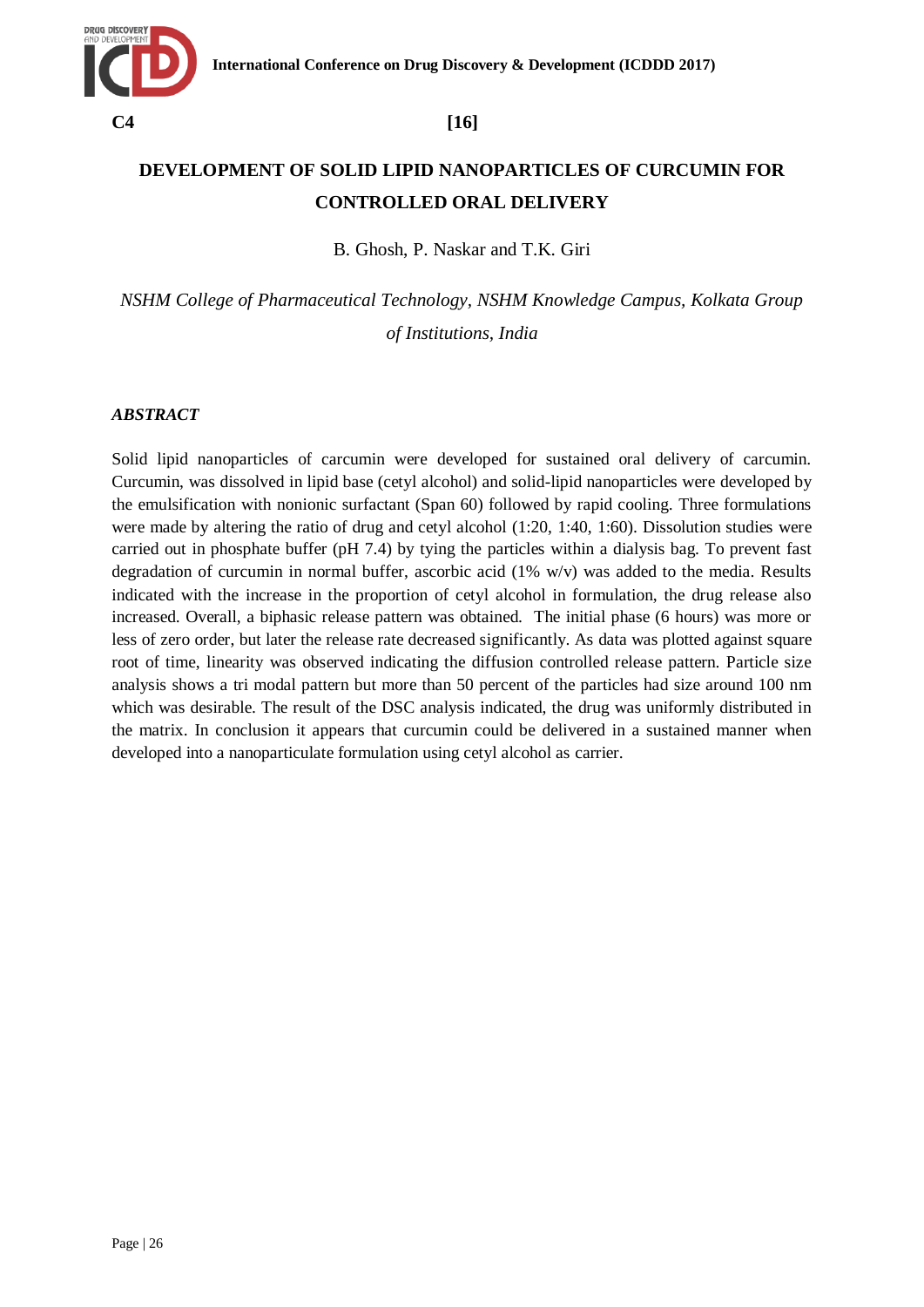

# **DEVELOPMENT OF SOLID LIPID NANOPARTICLES OF CURCUMIN FOR CONTROLLED ORAL DELIVERY**

B. Ghosh, P. Naskar and T.K. Giri

*NSHM College of Pharmaceutical Technology, NSHM Knowledge Campus, Kolkata Group of Institutions, India*

### *ABSTRACT*

Solid lipid nanoparticles of carcumin were developed for sustained oral delivery of carcumin. Curcumin, was dissolved in lipid base (cetyl alcohol) and solid-lipid nanoparticles were developed by the emulsification with nonionic surfactant (Span 60) followed by rapid cooling. Three formulations were made by altering the ratio of drug and cetyl alcohol (1:20, 1:40, 1:60). Dissolution studies were carried out in phosphate buffer (pH 7.4) by tying the particles within a dialysis bag. To prevent fast degradation of curcumin in normal buffer, ascorbic acid (1% w/v) was added to the media. Results indicated with the increase in the proportion of cetyl alcohol in formulation, the drug release also increased. Overall, a biphasic release pattern was obtained. The initial phase (6 hours) was more or less of zero order, but later the release rate decreased significantly. As data was plotted against square root of time, linearity was observed indicating the diffusion controlled release pattern. Particle size analysis shows a tri modal pattern but more than 50 percent of the particles had size around 100 nm which was desirable. The result of the DSC analysis indicated, the drug was uniformly distributed in the matrix. In conclusion it appears that curcumin could be delivered in a sustained manner when developed into a nanoparticulate formulation using cetyl alcohol as carrier.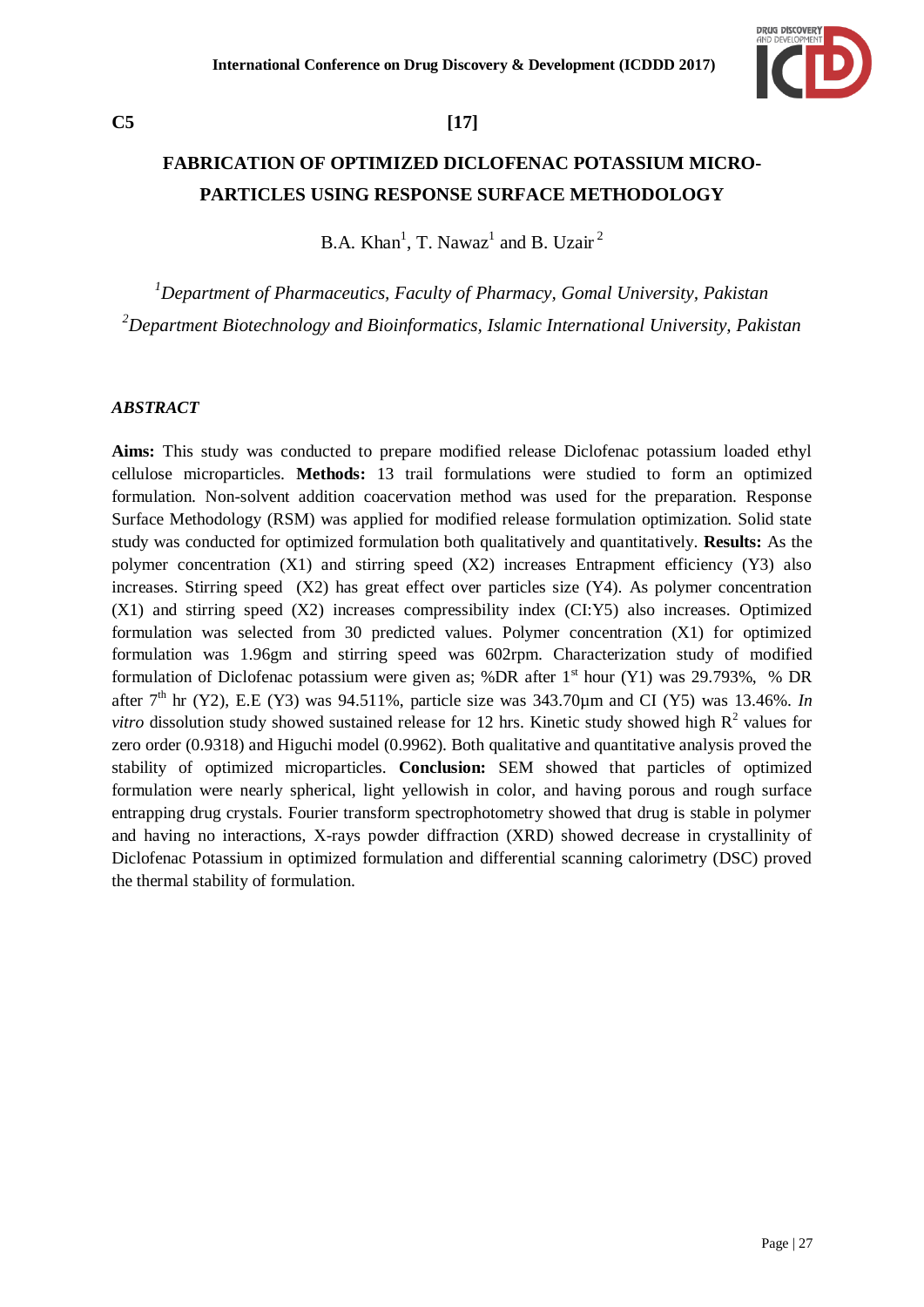

## **C5 [17]**

# **FABRICATION OF OPTIMIZED DICLOFENAC POTASSIUM MICRO-PARTICLES USING RESPONSE SURFACE METHODOLOGY**

B.A. Khan<sup>1</sup>, T. Nawaz<sup>1</sup> and B. Uzair<sup>2</sup>

*<sup>1</sup>Department of Pharmaceutics, Faculty of Pharmacy, Gomal University, Pakistan <sup>2</sup>Department Biotechnology and Bioinformatics, Islamic International University, Pakistan*

### *ABSTRACT*

**Aims:** This study was conducted to prepare modified release Diclofenac potassium loaded ethyl cellulose microparticles. **Methods:** 13 trail formulations were studied to form an optimized formulation. Non-solvent addition coacervation method was used for the preparation. Response Surface Methodology (RSM) was applied for modified release formulation optimization. Solid state study was conducted for optimized formulation both qualitatively and quantitatively. **Results:** As the polymer concentration (X1) and stirring speed (X2) increases Entrapment efficiency (Y3) also increases. Stirring speed  $(X2)$  has great effect over particles size  $(Y4)$ . As polymer concentration (X1) and stirring speed (X2) increases compressibility index (CI:Y5) also increases. Optimized formulation was selected from 30 predicted values. Polymer concentration (X1) for optimized formulation was 1.96gm and stirring speed was 602rpm. Characterization study of modified formulation of Diclofenac potassium were given as; %DR after  $1<sup>st</sup>$  hour (Y1) was 29.793%, % DR after 7<sup>th</sup> hr (Y2), E.E (Y3) was 94.511%, particle size was 343.70 $\mu$ m and CI (Y5) was 13.46%. *In vitro* dissolution study showed sustained release for 12 hrs. Kinetic study showed high  $R^2$  values for zero order (0.9318) and Higuchi model (0.9962). Both qualitative and quantitative analysis proved the stability of optimized microparticles. **Conclusion:** SEM showed that particles of optimized formulation were nearly spherical, light yellowish in color, and having porous and rough surface entrapping drug crystals. Fourier transform spectrophotometry showed that drug is stable in polymer and having no interactions, X-rays powder diffraction (XRD) showed decrease in crystallinity of Diclofenac Potassium in optimized formulation and differential scanning calorimetry (DSC) proved the thermal stability of formulation.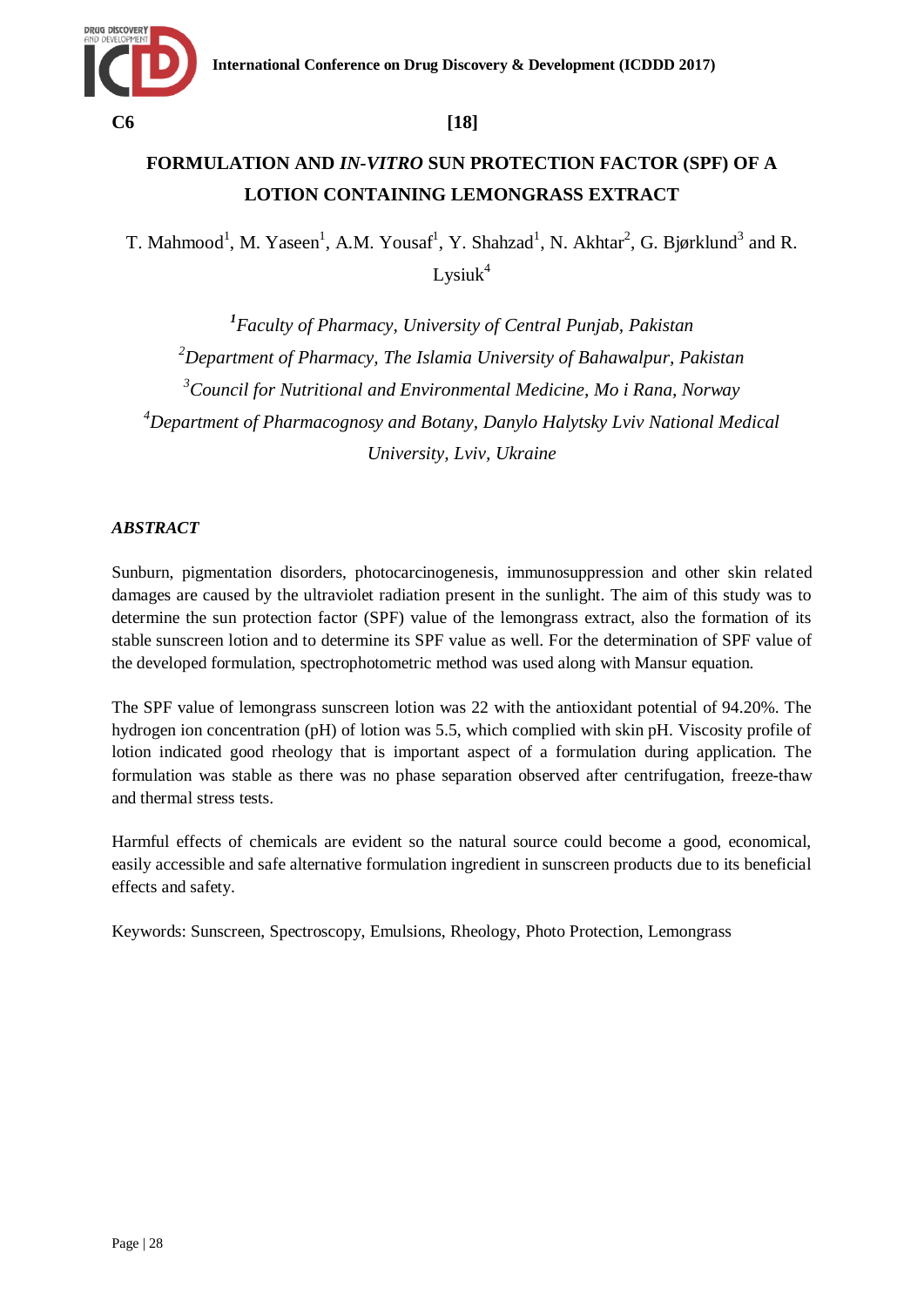

# **FORMULATION AND** *IN-VITRO* **SUN PROTECTION FACTOR (SPF) OF A LOTION CONTAINING LEMONGRASS EXTRACT**

T. Mahmood<sup>1</sup>, M. Yaseen<sup>1</sup>, A.M. Yousaf<sup>1</sup>, Y. Shahzad<sup>1</sup>, N. Akhtar<sup>2</sup>, G. Bjørklund<sup>3</sup> and R.  $L$ ysiuk $4$ 

 *Faculty of Pharmacy, University of Central Punjab, Pakistan Department of Pharmacy, The Islamia University of Bahawalpur, Pakistan Council for Nutritional and Environmental Medicine, Mo i Rana, Norway Department of Pharmacognosy and Botany, Danylo Halytsky Lviv National Medical University, Lviv, Ukraine*

## *ABSTRACT*

Sunburn, pigmentation disorders, photocarcinogenesis, immunosuppression and other skin related damages are caused by the ultraviolet radiation present in the sunlight. The aim of this study was to determine the sun protection factor (SPF) value of the lemongrass extract, also the formation of its stable sunscreen lotion and to determine its SPF value as well. For the determination of SPF value of the developed formulation, spectrophotometric method was used along with Mansur equation.

The SPF value of lemongrass sunscreen lotion was 22 with the antioxidant potential of 94.20%. The hydrogen ion concentration (pH) of lotion was 5.5, which complied with skin pH. Viscosity profile of lotion indicated good rheology that is important aspect of a formulation during application. The formulation was stable as there was no phase separation observed after centrifugation, freeze-thaw and thermal stress tests.

Harmful effects of chemicals are evident so the natural source could become a good, economical, easily accessible and safe alternative formulation ingredient in sunscreen products due to its beneficial effects and safety.

Keywords: Sunscreen, Spectroscopy, Emulsions, Rheology, Photo Protection, Lemongrass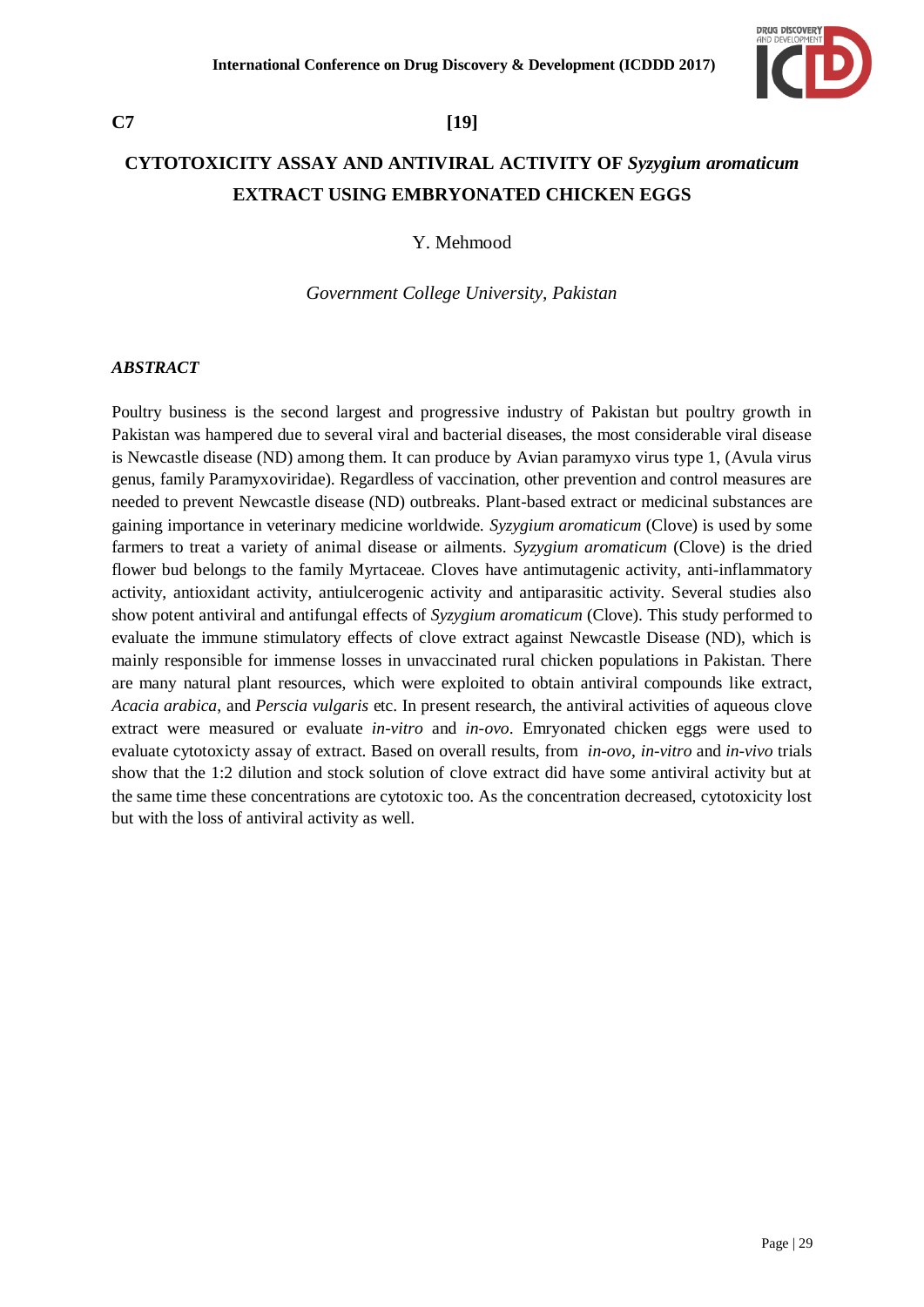

# **CYTOTOXICITY ASSAY AND ANTIVIRAL ACTIVITY OF** *Syzygium aromaticum* **EXTRACT USING EMBRYONATED CHICKEN EGGS**

Y. Mehmood

*Government College University, Pakistan*

### *ABSTRACT*

Poultry business is the second largest and progressive industry of Pakistan but poultry growth in Pakistan was hampered due to several viral and bacterial diseases, the most considerable viral disease is Newcastle disease (ND) among them. It can produce by Avian paramyxo virus type 1, (Avula virus genus, family Paramyxoviridae). Regardless of vaccination, other prevention and control measures are needed to prevent Newcastle disease (ND) outbreaks. Plant-based extract or medicinal substances are gaining importance in veterinary medicine worldwide. *Syzygium aromaticum* (Clove) is used by some farmers to treat a variety of animal disease or ailments. *Syzygium aromaticum* (Clove) is the dried flower bud belongs to the family Myrtaceae. Cloves have antimutagenic activity, anti-inflammatory activity, antioxidant activity, antiulcerogenic activity and antiparasitic activity. Several studies also show potent antiviral and antifungal effects of *Syzygium aromaticum* (Clove). This study performed to evaluate the immune stimulatory effects of clove extract against Newcastle Disease (ND), which is mainly responsible for immense losses in unvaccinated rural chicken populations in Pakistan. There are many natural plant resources, which were exploited to obtain antiviral compounds like extract, *Acacia arabica*, and *Perscia vulgaris* etc. In present research, the antiviral activities of aqueous clove extract were measured or evaluate *in-vitro* and *in-ovo*. Emryonated chicken eggs were used to evaluate cytotoxicty assay of extract. Based on overall results, from *in-ovo*, *in-vitro* and *in-vivo* trials show that the 1:2 dilution and stock solution of clove extract did have some antiviral activity but at the same time these concentrations are cytotoxic too. As the concentration decreased, cytotoxicity lost but with the loss of antiviral activity as well.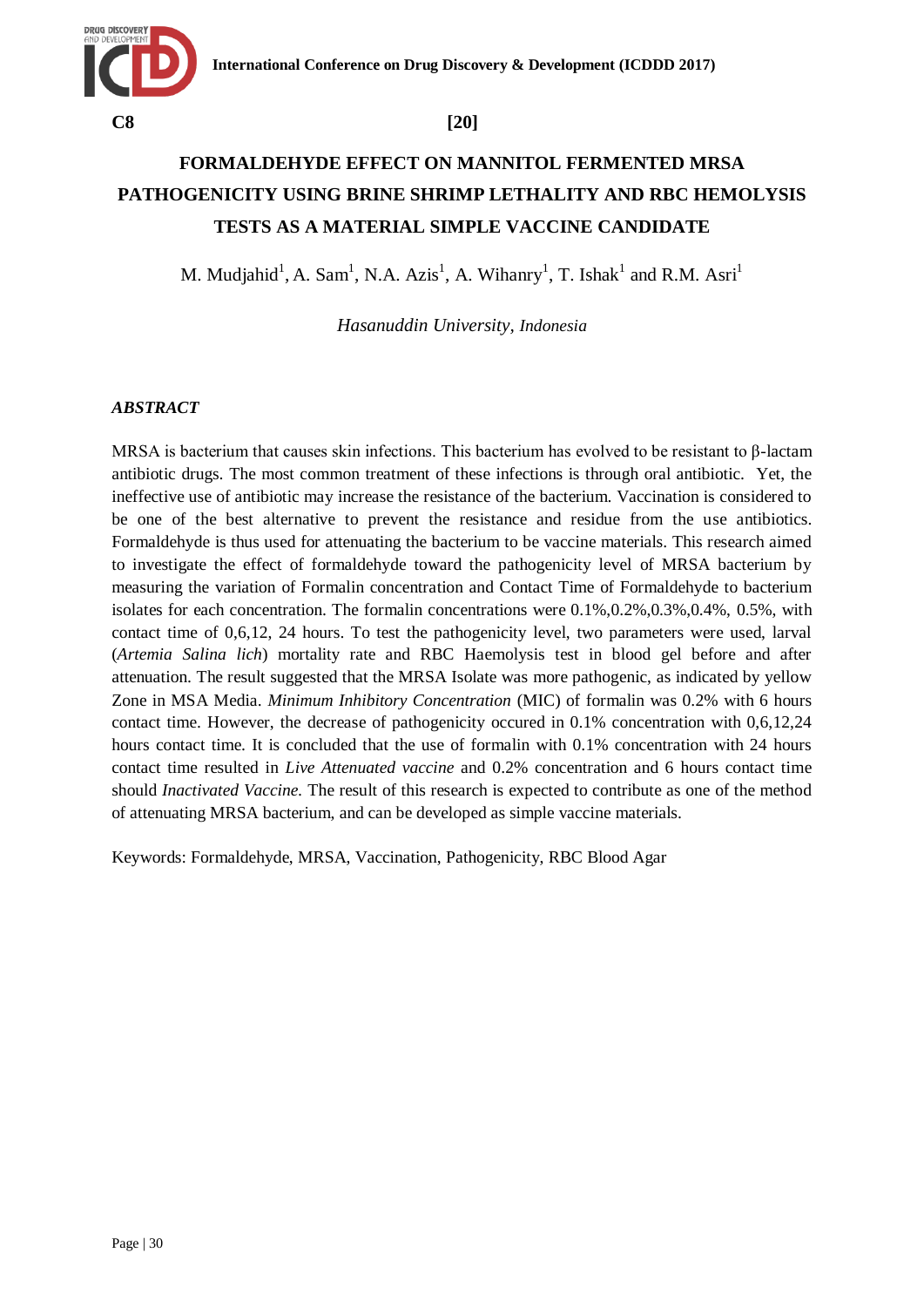

# **FORMALDEHYDE EFFECT ON MANNITOL FERMENTED MRSA PATHOGENICITY USING BRINE SHRIMP LETHALITY AND RBC HEMOLYSIS TESTS AS A MATERIAL SIMPLE VACCINE CANDIDATE**

M. Mudjahid<sup>1</sup>, A. Sam<sup>1</sup>, N.A. Azis<sup>1</sup>, A. Wihanry<sup>1</sup>, T. Ishak<sup>1</sup> and R.M. Asri<sup>1</sup>

*Hasanuddin University, Indonesia*

## *ABSTRACT*

MRSA is bacterium that causes skin infections. This bacterium has evolved to be resistant to β-lactam antibiotic drugs. The most common treatment of these infections is through oral antibiotic. Yet, the ineffective use of antibiotic may increase the resistance of the bacterium. Vaccination is considered to be one of the best alternative to prevent the resistance and residue from the use antibiotics. Formaldehyde is thus used for attenuating the bacterium to be vaccine materials. This research aimed to investigate the effect of formaldehyde toward the pathogenicity level of MRSA bacterium by measuring the variation of Formalin concentration and Contact Time of Formaldehyde to bacterium isolates for each concentration. The formal n concentrations were  $0.1\%,0.2\%,0.3\%,0.4\%,0.5\%,$  with contact time of 0,6,12, 24 hours. To test the pathogenicity level, two parameters were used, larval (*Artemia Salina lich*) mortality rate and RBC Haemolysis test in blood gel before and after attenuation. The result suggested that the MRSA Isolate was more pathogenic, as indicated by yellow Zone in MSA Media. *Minimum Inhibitory Concentration* (MIC) of formalin was 0.2% with 6 hours contact time. However, the decrease of pathogenicity occured in 0.1% concentration with 0,6,12,24 hours contact time. It is concluded that the use of formalin with 0.1% concentration with 24 hours contact time resulted in *Live Attenuated vaccine* and 0.2% concentration and 6 hours contact time should *Inactivated Vaccine.* The result of this research is expected to contribute as one of the method of attenuating MRSA bacterium, and can be developed as simple vaccine materials.

Keywords: Formaldehyde, MRSA, Vaccination, Pathogenicity, RBC Blood Agar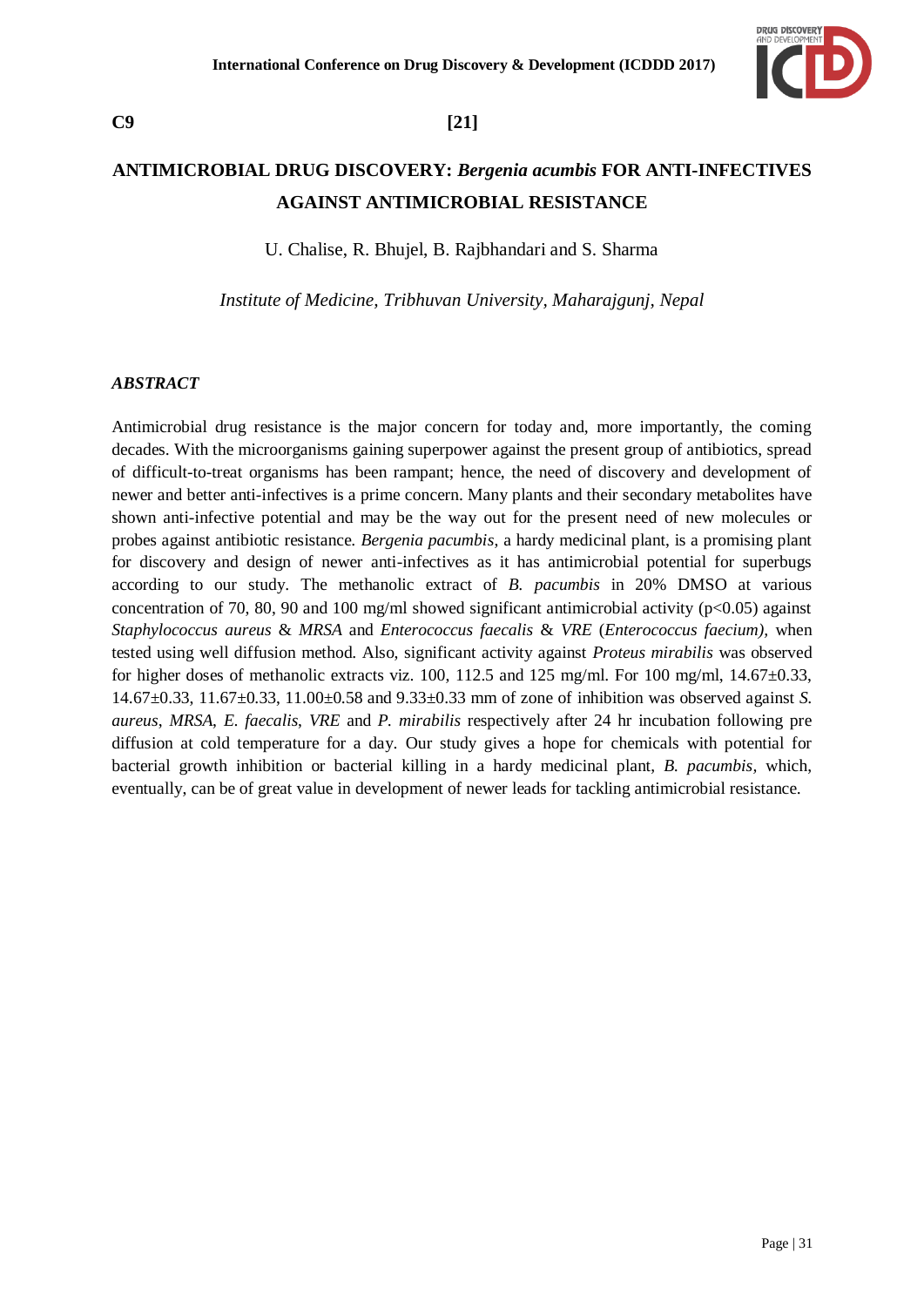

# **C9 [21]**

# **ANTIMICROBIAL DRUG DISCOVERY:** *Bergenia acumbis* **FOR ANTI-INFECTIVES AGAINST ANTIMICROBIAL RESISTANCE**

U. Chalise, R. Bhujel, B. Rajbhandari and S. Sharma

*Institute of Medicine, Tribhuvan University, Maharajgunj, Nepal*

### *ABSTRACT*

Antimicrobial drug resistance is the major concern for today and, more importantly, the coming decades. With the microorganisms gaining superpower against the present group of antibiotics, spread of difficult-to-treat organisms has been rampant; hence, the need of discovery and development of newer and better anti-infectives is a prime concern. Many plants and their secondary metabolites have shown anti-infective potential and may be the way out for the present need of new molecules or probes against antibiotic resistance. *Bergenia pacumbis*, a hardy medicinal plant, is a promising plant for discovery and design of newer anti-infectives as it has antimicrobial potential for superbugs according to our study. The methanolic extract of *B. pacumbis* in 20% DMSO at various concentration of 70, 80, 90 and 100 mg/ml showed significant antimicrobial activity ( $p<0.05$ ) against *Staphylococcus aureus* & *MRSA* and *Enterococcus faecalis* & *VRE* (*Enterococcus faecium),* when tested using well diffusion method. Also, significant activity against *Proteus mirabilis* was observed for higher doses of methanolic extracts viz. 100, 112.5 and 125 mg/ml. For 100 mg/ml,  $14.67\pm0.33$ , 14.67±0.33, 11.67±0.33, 11.00±0.58 and 9.33±0.33 mm of zone of inhibition was observed against *S. aureus*, *MRSA*, *E. faecalis*, *VRE* and *P. mirabilis* respectively after 24 hr incubation following pre diffusion at cold temperature for a day. Our study gives a hope for chemicals with potential for bacterial growth inhibition or bacterial killing in a hardy medicinal plant, *B. pacumbis,* which, eventually, can be of great value in development of newer leads for tackling antimicrobial resistance.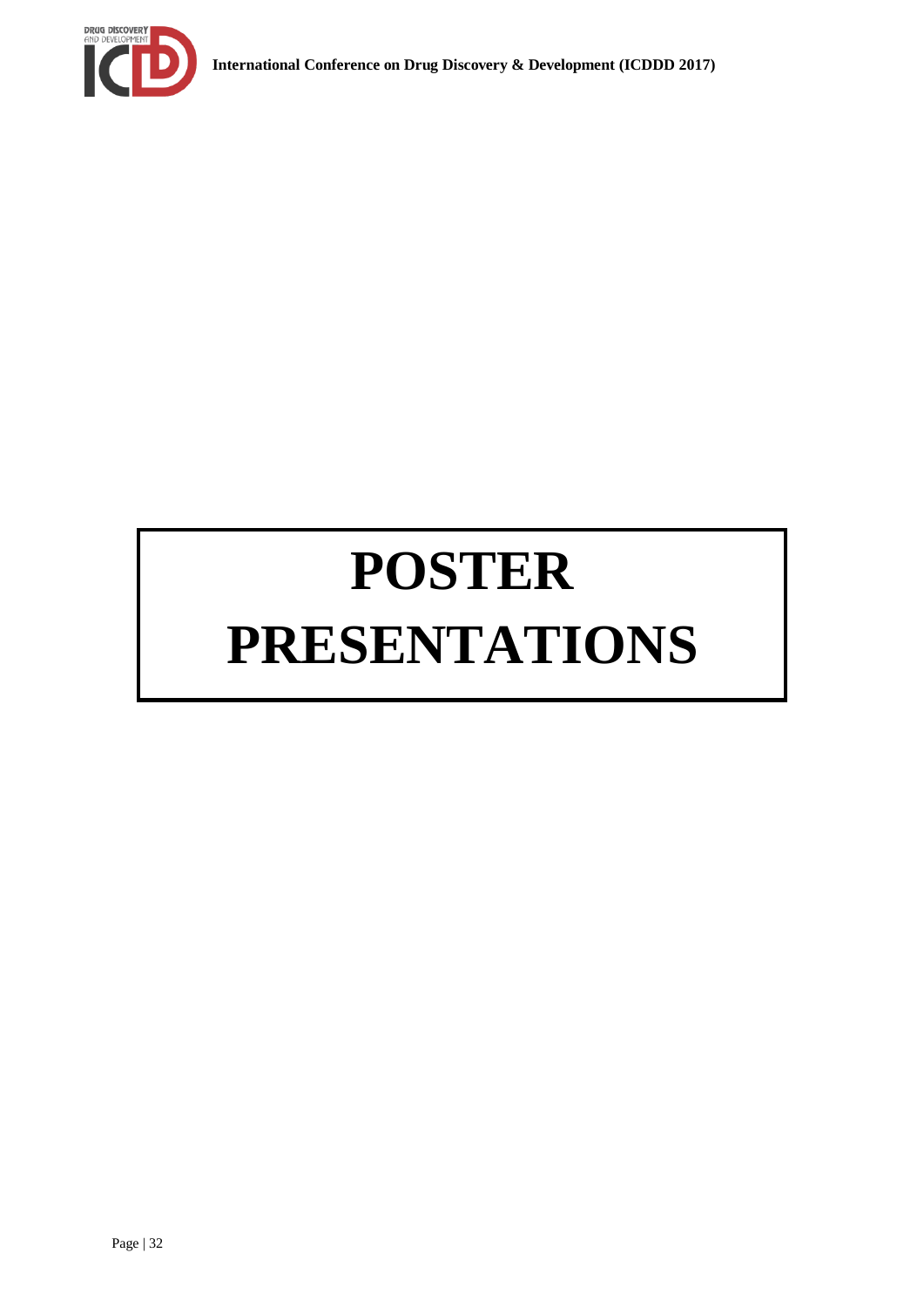

# **POSTER PRESENTATIONS**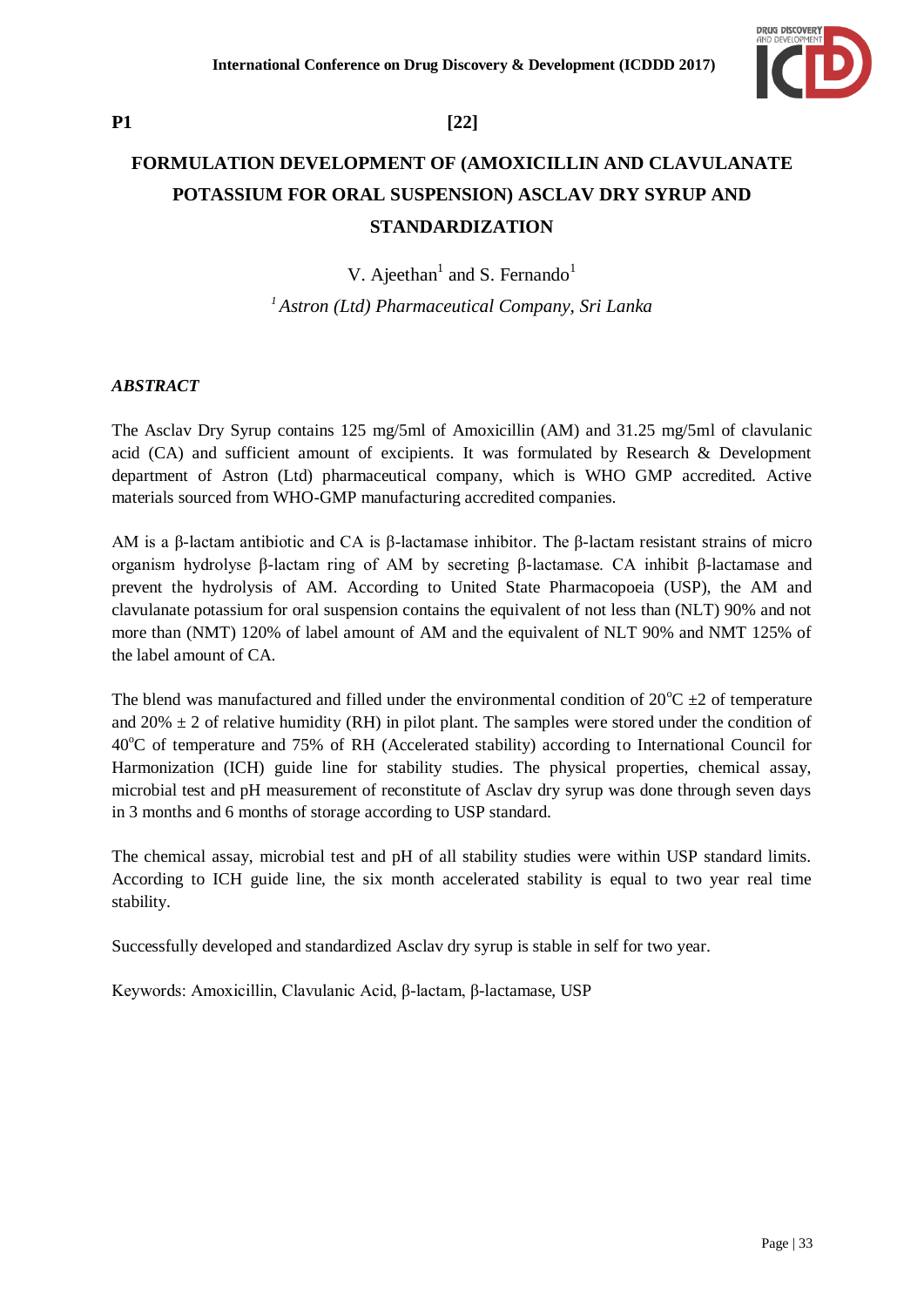

# **FORMULATION DEVELOPMENT OF (AMOXICILLIN AND CLAVULANATE POTASSIUM FOR ORAL SUSPENSION) ASCLAV DRY SYRUP AND STANDARDIZATION**

V. Ajeethan<sup>1</sup> and S. Fernando<sup>1</sup> *<sup>1</sup>Astron (Ltd) Pharmaceutical Company, Sri Lanka*

# *ABSTRACT*

The Asclav Dry Syrup contains 125 mg/5ml of Amoxicillin (AM) and 31.25 mg/5ml of clavulanic acid (CA) and sufficient amount of excipients. It was formulated by Research & Development department of Astron (Ltd) pharmaceutical company, which is WHO GMP accredited. Active materials sourced from WHO-GMP manufacturing accredited companies.

AM is a β-lactam antibiotic and CA is β-lactamase inhibitor. The β-lactam resistant strains of micro organism hydrolyse β-lactam ring of AM by secreting β-lactamase. CA inhibit β-lactamase and prevent the hydrolysis of AM. According to United State Pharmacopoeia (USP), the AM and clavulanate potassium for oral suspension contains the equivalent of not less than (NLT) 90% and not more than (NMT) 120% of label amount of AM and the equivalent of NLT 90% and NMT 125% of the label amount of CA.

The blend was manufactured and filled under the environmental condition of  $20^{\circ}C \pm 2$  of temperature and 20%  $\pm$  2 of relative humidity (RH) in pilot plant. The samples were stored under the condition of 40<sup>o</sup>C of temperature and 75% of RH (Accelerated stability) according to International Council for Harmonization (ICH) guide line for stability studies. The physical properties, chemical assay, microbial test and pH measurement of reconstitute of Asclav dry syrup was done through seven days in 3 months and 6 months of storage according to USP standard.

The chemical assay, microbial test and pH of all stability studies were within USP standard limits. According to ICH guide line, the six month accelerated stability is equal to two year real time stability.

Successfully developed and standardized Asclav dry syrup is stable in self for two year.

Keywords: Amoxicillin, Clavulanic Acid, β-lactam, β-lactamase, USP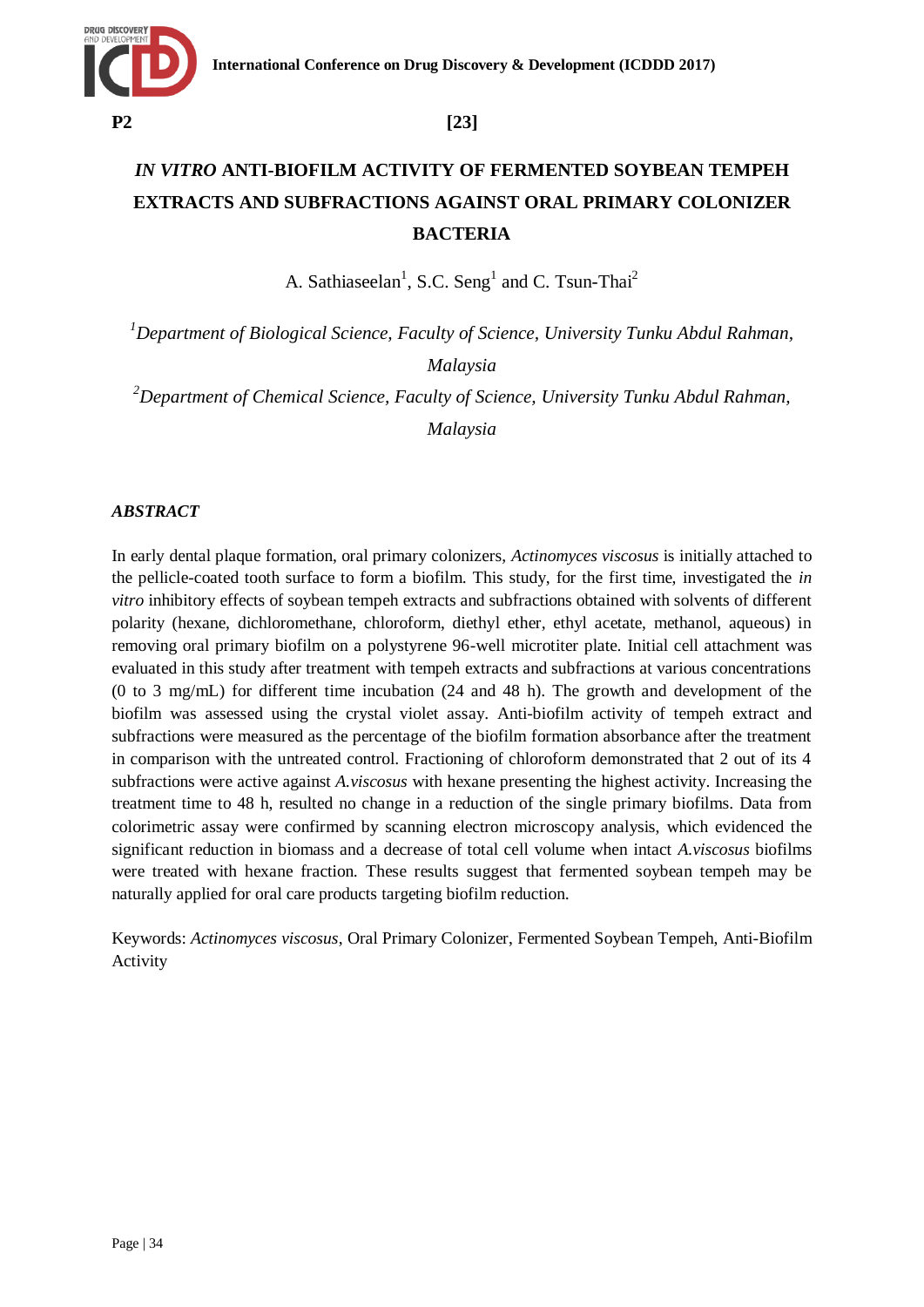# **P2 [23]**

# *IN VITRO* **ANTI-BIOFILM ACTIVITY OF FERMENTED SOYBEAN TEMPEH EXTRACTS AND SUBFRACTIONS AGAINST ORAL PRIMARY COLONIZER BACTERIA**

A. Sathiaseelan<sup>1</sup>, S.C. Seng<sup>1</sup> and C. Tsun-Thai<sup>2</sup>

*<sup>1</sup>Department of Biological Science, Faculty of Science, University Tunku Abdul Rahman,*

*Malaysia*

*<sup>2</sup>Department of Chemical Science, Faculty of Science, University Tunku Abdul Rahman, Malaysia*

### *ABSTRACT*

In early dental plaque formation, oral primary colonizers, *Actinomyces viscosus* is initially attached to the pellicle-coated tooth surface to form a biofilm. This study, for the first time, investigated the *in vitro* inhibitory effects of soybean tempeh extracts and subfractions obtained with solvents of different polarity (hexane, dichloromethane, chloroform, diethyl ether, ethyl acetate, methanol, aqueous) in removing oral primary biofilm on a polystyrene 96-well microtiter plate. Initial cell attachment was evaluated in this study after treatment with tempeh extracts and subfractions at various concentrations (0 to 3 mg/mL) for different time incubation (24 and 48 h). The growth and development of the biofilm was assessed using the crystal violet assay. Anti-biofilm activity of tempeh extract and subfractions were measured as the percentage of the biofilm formation absorbance after the treatment in comparison with the untreated control. Fractioning of chloroform demonstrated that 2 out of its 4 subfractions were active against *A.viscosus* with hexane presenting the highest activity. Increasing the treatment time to 48 h, resulted no change in a reduction of the single primary biofilms. Data from colorimetric assay were confirmed by scanning electron microscopy analysis, which evidenced the significant reduction in biomass and a decrease of total cell volume when intact *A.viscosus* biofilms were treated with hexane fraction. These results suggest that fermented soybean tempeh may be naturally applied for oral care products targeting biofilm reduction.

Keywords: *Actinomyces viscosus*, Oral Primary Colonizer, Fermented Soybean Tempeh, Anti-Biofilm Activity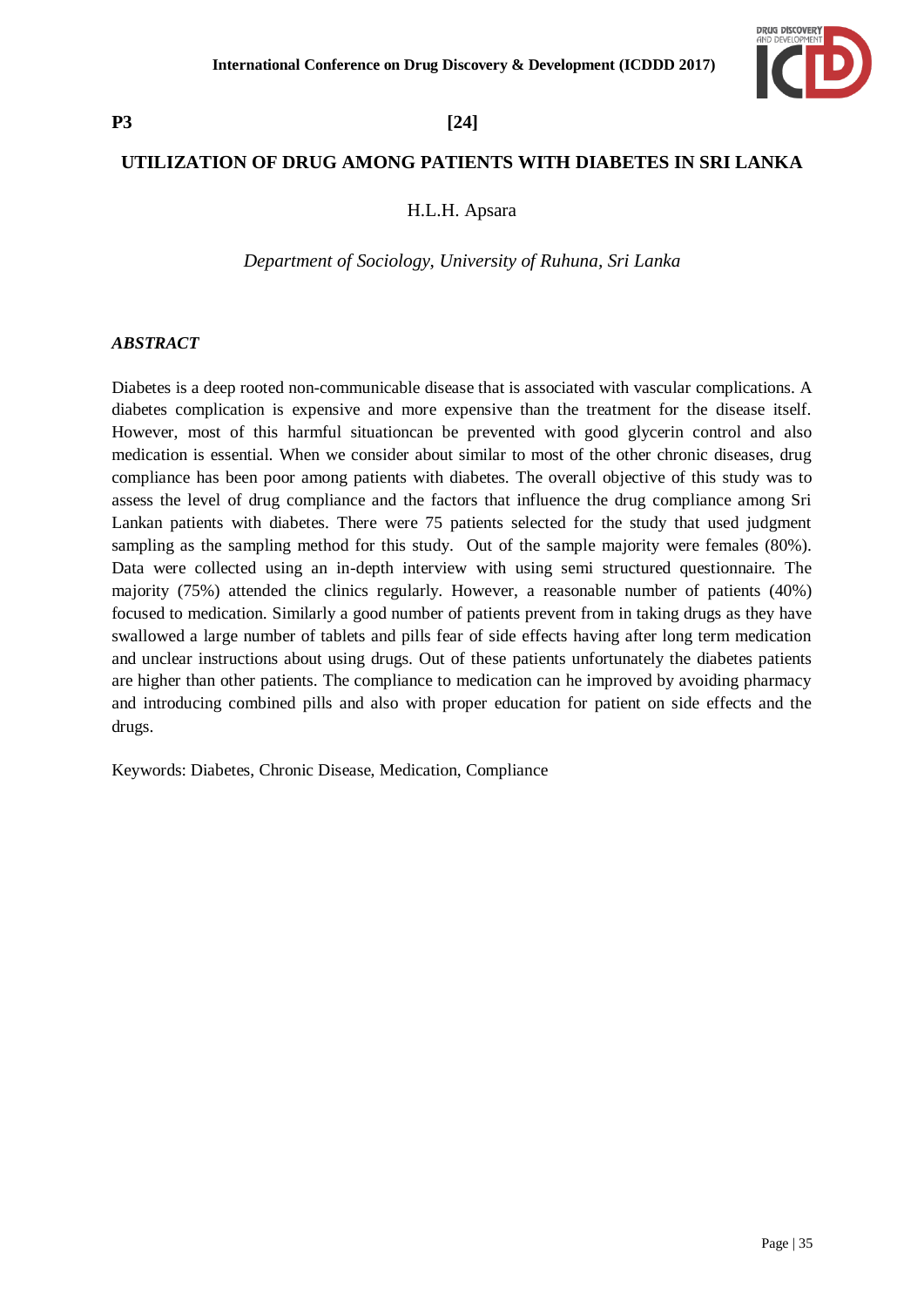

# **UTILIZATION OF DRUG AMONG PATIENTS WITH DIABETES IN SRI LANKA**

### H.L.H. Apsara

*Department of Sociology, University of Ruhuna, Sri Lanka*

### *ABSTRACT*

Diabetes is a deep rooted non-communicable disease that is associated with vascular complications. A diabetes complication is expensive and more expensive than the treatment for the disease itself. However, most of this harmful situationcan be prevented with good glycerin control and also medication is essential. When we consider about similar to most of the other chronic diseases, drug compliance has been poor among patients with diabetes. The overall objective of this study was to assess the level of drug compliance and the factors that influence the drug compliance among Sri Lankan patients with diabetes. There were 75 patients selected for the study that used judgment sampling as the sampling method for this study. Out of the sample majority were females (80%). Data were collected using an in-depth interview with using semi structured questionnaire. The majority (75%) attended the clinics regularly. However, a reasonable number of patients (40%) focused to medication. Similarly a good number of patients prevent from in taking drugs as they have swallowed a large number of tablets and pills fear of side effects having after long term medication and unclear instructions about using drugs. Out of these patients unfortunately the diabetes patients are higher than other patients. The compliance to medication can he improved by avoiding pharmacy and introducing combined pills and also with proper education for patient on side effects and the drugs.

Keywords: Diabetes, Chronic Disease, Medication, Compliance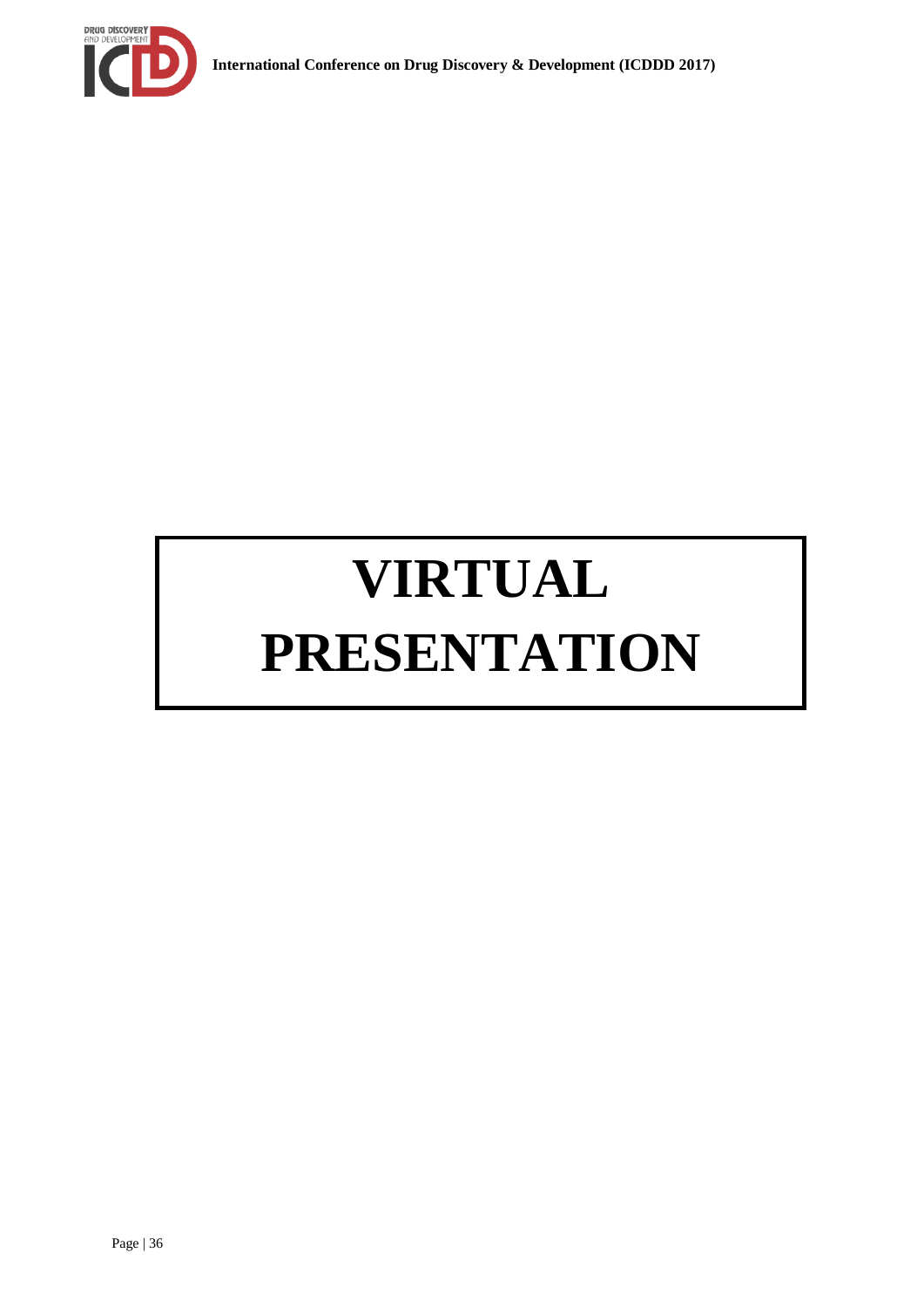

# **VIRTUAL PRESENTATION**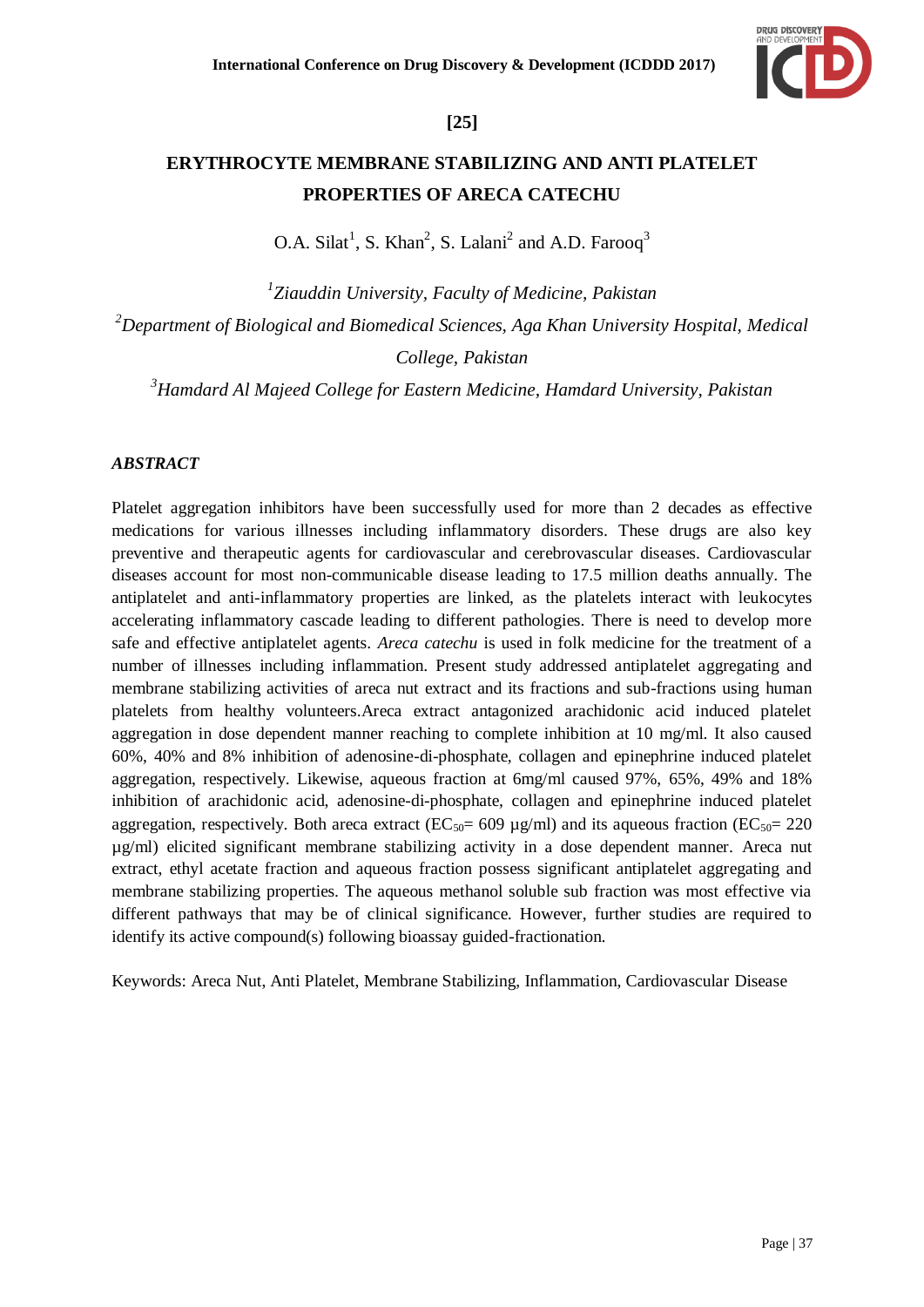

# **[25]**

# **ERYTHROCYTE MEMBRANE STABILIZING AND ANTI PLATELET PROPERTIES OF ARECA CATECHU**

O.A. Silat<sup>1</sup>, S. Khan<sup>2</sup>, S. Lalani<sup>2</sup> and A.D. Farooq<sup>3</sup>

*1 Ziauddin University, Faculty of Medicine, Pakistan <sup>2</sup>Department of Biological and Biomedical Sciences, Aga Khan University Hospital, Medical* 

*College, Pakistan*

*<sup>3</sup>Hamdard Al Majeed College for Eastern Medicine, Hamdard University, Pakistan*

## *ABSTRACT*

Platelet aggregation inhibitors have been successfully used for more than 2 decades as effective medications for various illnesses including inflammatory disorders. These drugs are also key preventive and therapeutic agents for cardiovascular and cerebrovascular diseases. Cardiovascular diseases account for most non-communicable disease leading to 17.5 million deaths annually. The antiplatelet and anti-inflammatory properties are linked, as the platelets interact with leukocytes accelerating inflammatory cascade leading to different pathologies. There is need to develop more safe and effective antiplatelet agents. *Areca catechu* is used in folk medicine for the treatment of a number of illnesses including inflammation. Present study addressed antiplatelet aggregating and membrane stabilizing activities of areca nut extract and its fractions and sub-fractions using human platelets from healthy volunteers.Areca extract antagonized arachidonic acid induced platelet aggregation in dose dependent manner reaching to complete inhibition at 10 mg/ml. It also caused 60%, 40% and 8% inhibition of adenosine-di-phosphate, collagen and epinephrine induced platelet aggregation, respectively. Likewise, aqueous fraction at 6mg/ml caused 97%, 65%, 49% and 18% inhibition of arachidonic acid, adenosine-di-phosphate, collagen and epinephrine induced platelet aggregation, respectively. Both areca extract ( $EC_{50}=609 \text{ µg/ml}$ ) and its aqueous fraction ( $EC_{50}=220$ µg/ml) elicited significant membrane stabilizing activity in a dose dependent manner. Areca nut extract, ethyl acetate fraction and aqueous fraction possess significant antiplatelet aggregating and membrane stabilizing properties. The aqueous methanol soluble sub fraction was most effective via different pathways that may be of clinical significance. However, further studies are required to identify its active compound(s) following bioassay guided-fractionation.

Keywords: Areca Nut, Anti Platelet, Membrane Stabilizing, Inflammation, Cardiovascular Disease